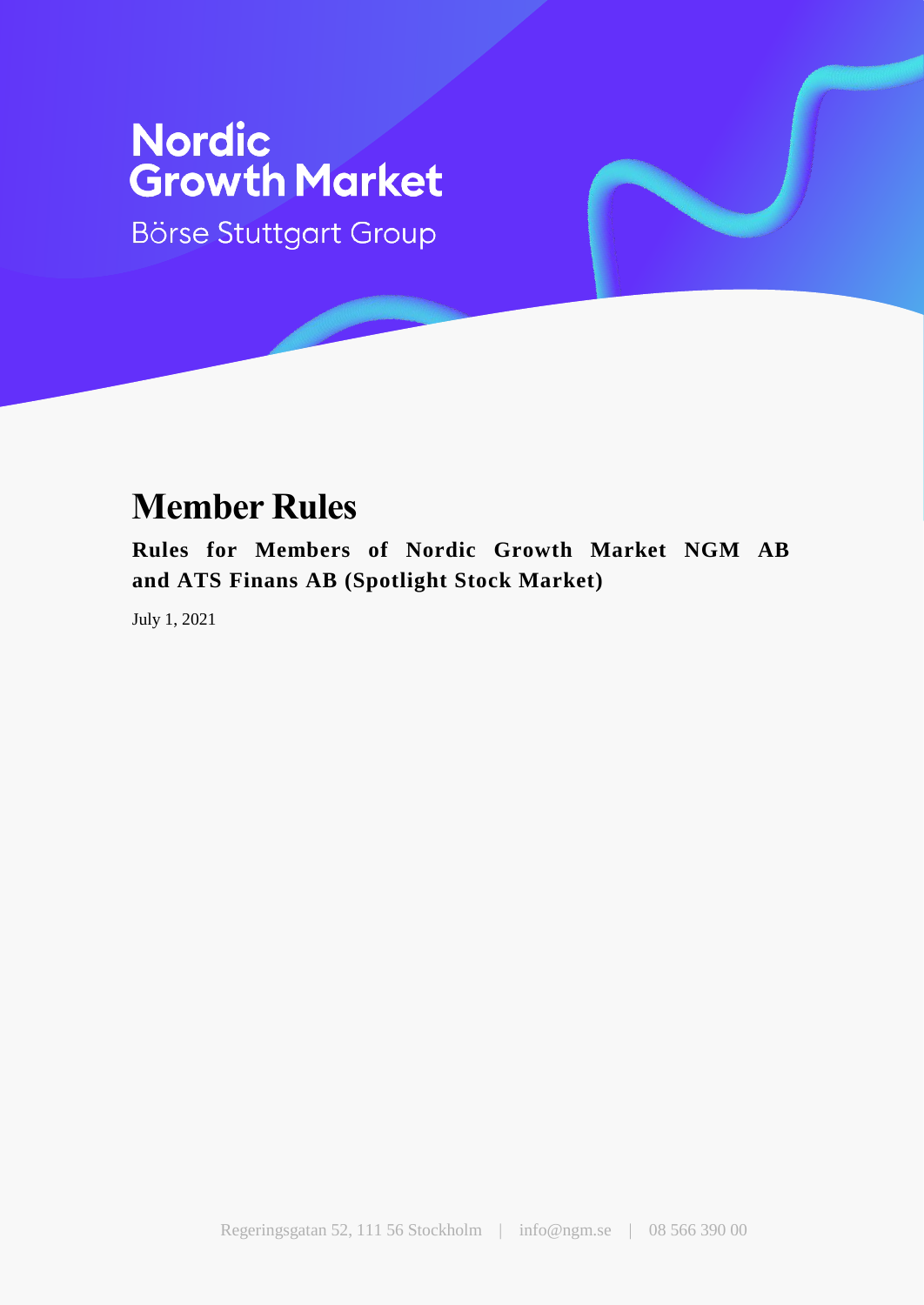Börse Stuttgart Group

## **Member Rules**

**Rules for Members of Nordic Growth Market NGM AB and ATS Finans AB (Spotlight Stock Market)**

July 1, 2021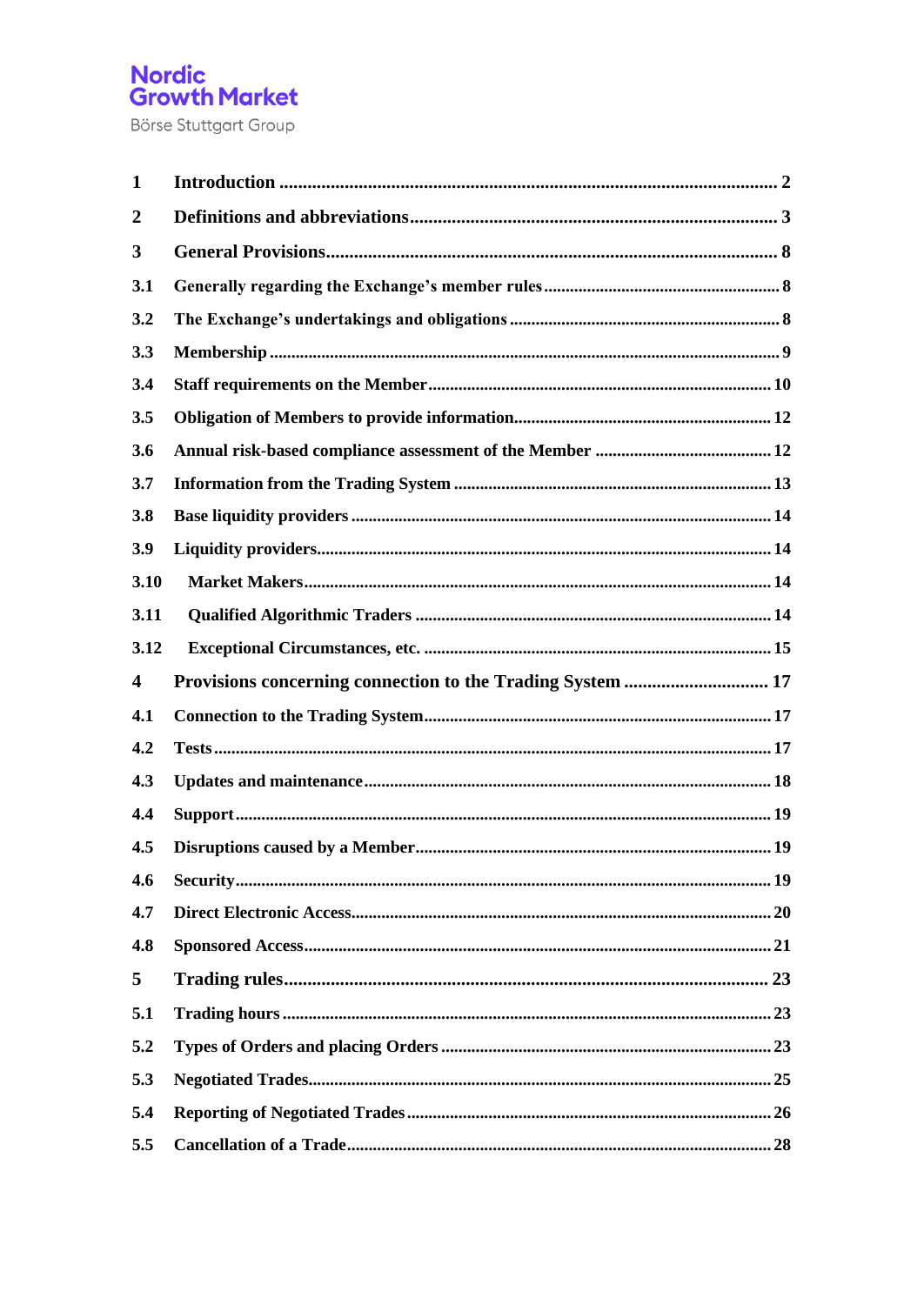| $\mathbf{1}$            |  |
|-------------------------|--|
| $\overline{2}$          |  |
| 3                       |  |
| 3.1                     |  |
| 3.2                     |  |
| 3.3                     |  |
| 3.4                     |  |
| 3.5                     |  |
| 3.6                     |  |
| 3.7                     |  |
| 3.8                     |  |
| 3.9                     |  |
| 3.10                    |  |
| 3.11                    |  |
| 3.12                    |  |
|                         |  |
| $\overline{\mathbf{4}}$ |  |
| 4.1                     |  |
| 4.2                     |  |
| 4.3                     |  |
| 4.4                     |  |
| 4.5                     |  |
| 4.6                     |  |
| 4.7                     |  |
| 4.8                     |  |
| 5                       |  |
| 5.1                     |  |
| 5.2                     |  |
| 5.3                     |  |
| 5.4                     |  |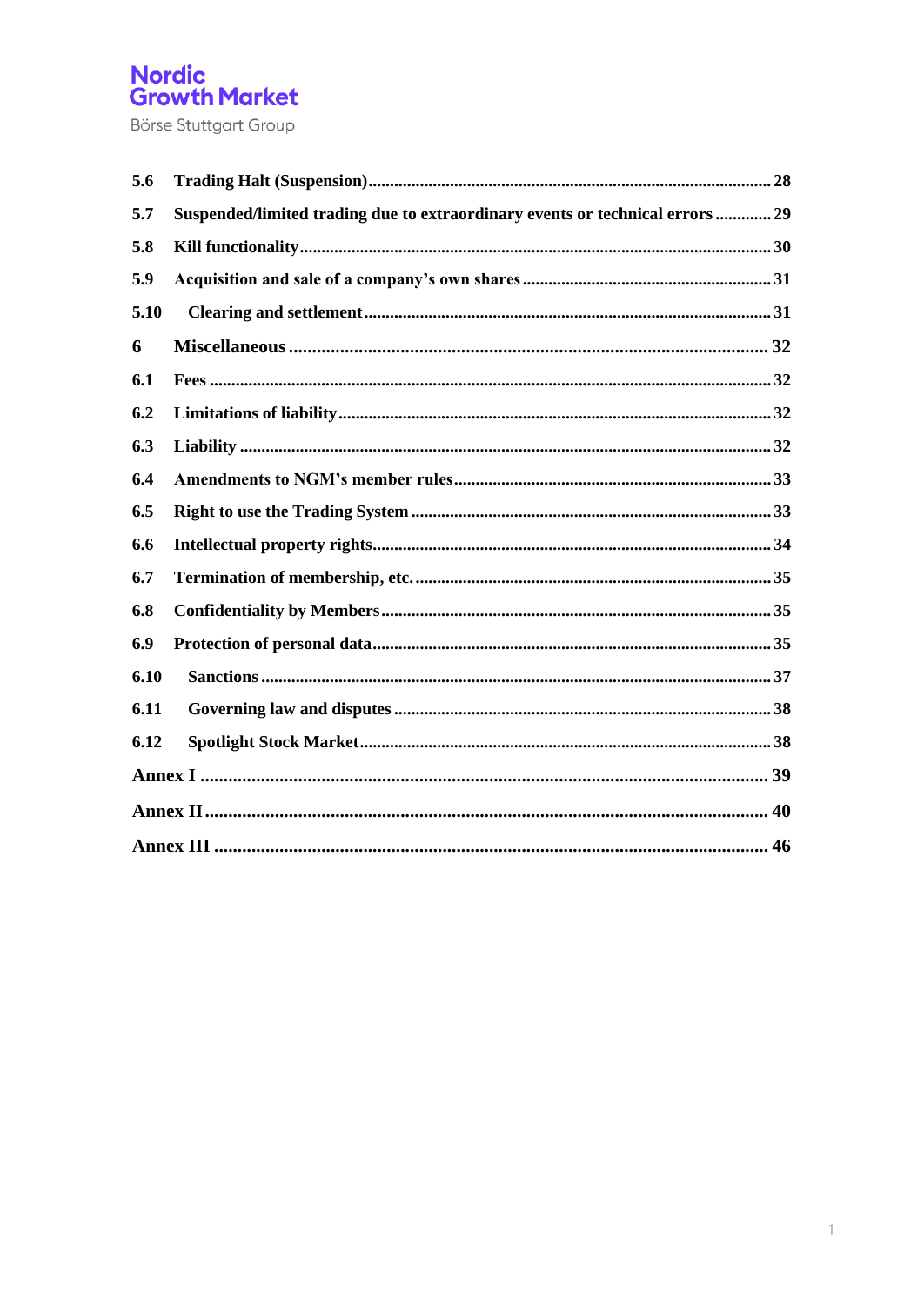| 5.6  |                                                                               |
|------|-------------------------------------------------------------------------------|
| 5.7  | Suspended/limited trading due to extraordinary events or technical errors  29 |
| 5.8  |                                                                               |
| 5.9  |                                                                               |
| 5.10 |                                                                               |
| 6    |                                                                               |
| 6.1  |                                                                               |
| 6.2  |                                                                               |
| 6.3  |                                                                               |
| 6.4  |                                                                               |
| 6.5  |                                                                               |
| 6.6  |                                                                               |
| 6.7  |                                                                               |
| 6.8  |                                                                               |
| 6.9  |                                                                               |
| 6.10 |                                                                               |
| 6.11 |                                                                               |
| 6.12 |                                                                               |
|      |                                                                               |
|      |                                                                               |
|      |                                                                               |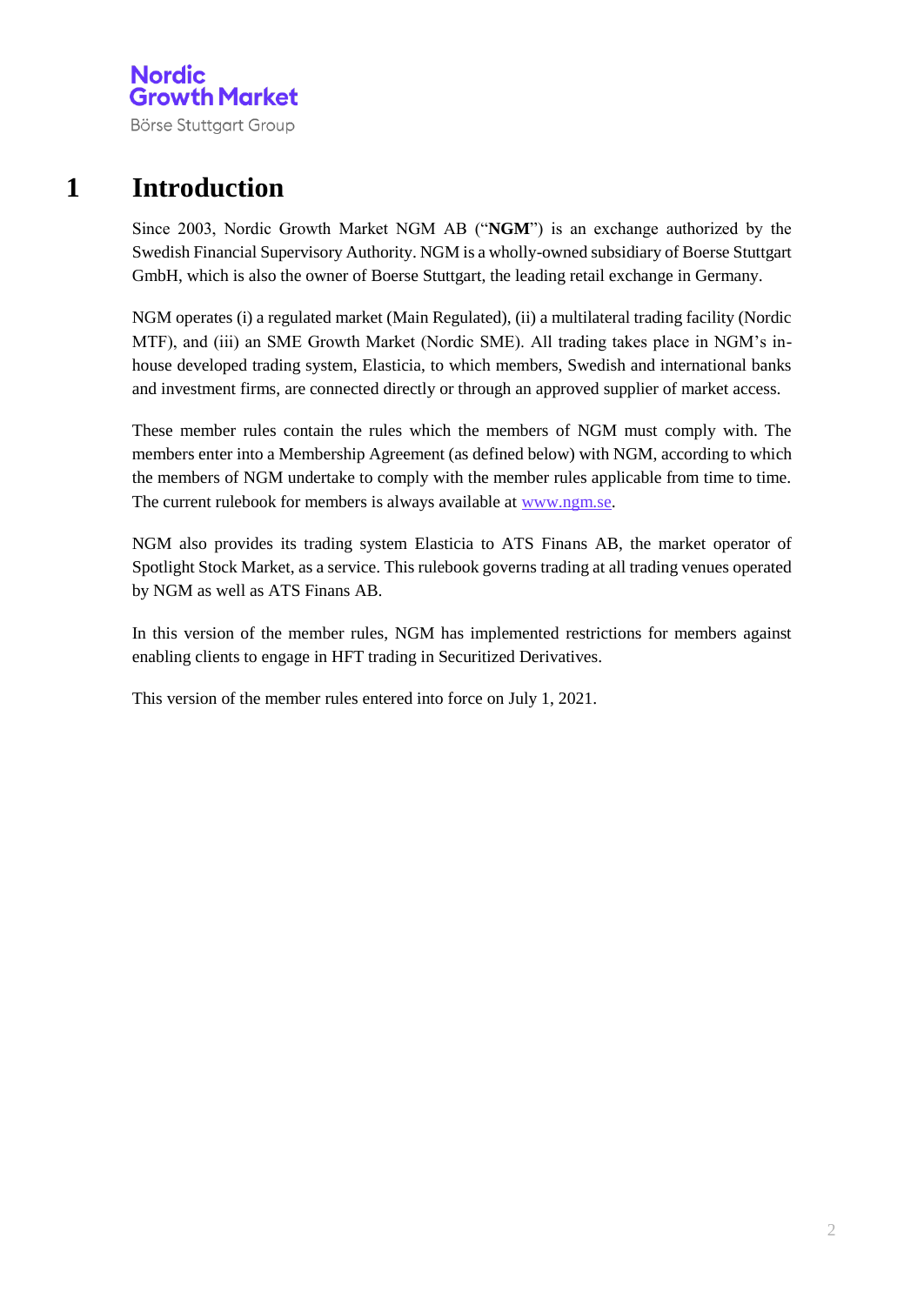## **1 Introduction**

Since 2003, Nordic Growth Market NGM AB ("**NGM**") is an exchange authorized by the Swedish Financial Supervisory Authority. NGM is a wholly-owned subsidiary of Boerse Stuttgart GmbH, which is also the owner of Boerse Stuttgart, the leading retail exchange in Germany.

NGM operates (i) a regulated market (Main Regulated), (ii) a multilateral trading facility (Nordic MTF), and (iii) an SME Growth Market (Nordic SME). All trading takes place in NGM's inhouse developed trading system, Elasticia, to which members, Swedish and international banks and investment firms, are connected directly or through an approved supplier of market access.

These member rules contain the rules which the members of NGM must comply with. The members enter into a Membership Agreement (as defined below) with NGM, according to which the members of NGM undertake to comply with the member rules applicable from time to time. The current rulebook for members is always available at [www.ngm.se.](http://www.ngm.se/)

NGM also provides its trading system Elasticia to ATS Finans AB, the market operator of Spotlight Stock Market, as a service. This rulebook governs trading at all trading venues operated by NGM as well as ATS Finans AB.

In this version of the member rules, NGM has implemented restrictions for members against enabling clients to engage in HFT trading in Securitized Derivatives.

This version of the member rules entered into force on July 1, 2021.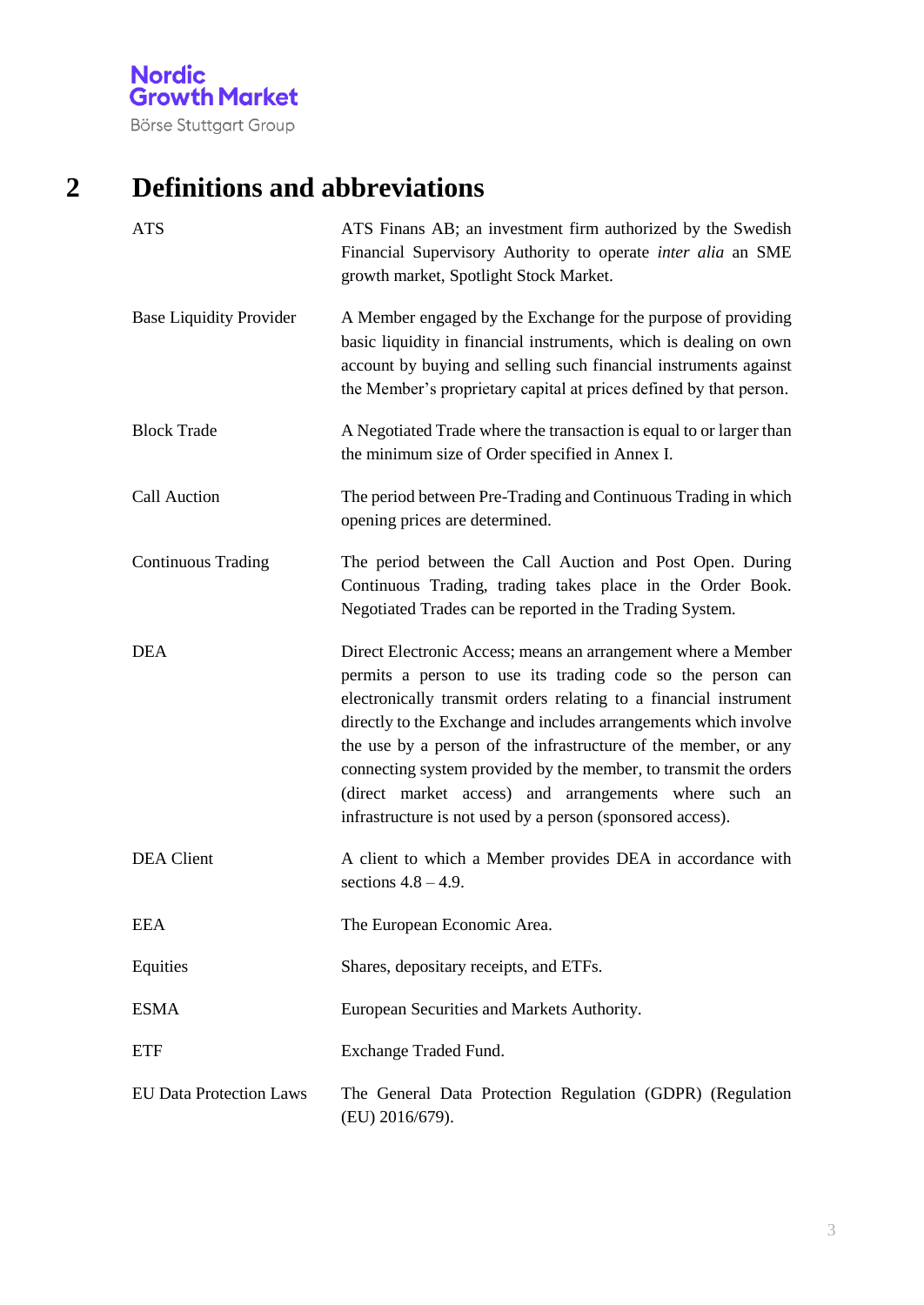Börse Stuttgart Group

## **2 Definitions and abbreviations**

| <b>ATS</b>                     | ATS Finans AB; an investment firm authorized by the Swedish<br>Financial Supervisory Authority to operate inter alia an SME<br>growth market, Spotlight Stock Market.                                                                                                                                                                                                                                                                                                                                                              |
|--------------------------------|------------------------------------------------------------------------------------------------------------------------------------------------------------------------------------------------------------------------------------------------------------------------------------------------------------------------------------------------------------------------------------------------------------------------------------------------------------------------------------------------------------------------------------|
| <b>Base Liquidity Provider</b> | A Member engaged by the Exchange for the purpose of providing<br>basic liquidity in financial instruments, which is dealing on own<br>account by buying and selling such financial instruments against<br>the Member's proprietary capital at prices defined by that person.                                                                                                                                                                                                                                                       |
| <b>Block Trade</b>             | A Negotiated Trade where the transaction is equal to or larger than<br>the minimum size of Order specified in Annex I.                                                                                                                                                                                                                                                                                                                                                                                                             |
| <b>Call Auction</b>            | The period between Pre-Trading and Continuous Trading in which<br>opening prices are determined.                                                                                                                                                                                                                                                                                                                                                                                                                                   |
| <b>Continuous Trading</b>      | The period between the Call Auction and Post Open. During<br>Continuous Trading, trading takes place in the Order Book.<br>Negotiated Trades can be reported in the Trading System.                                                                                                                                                                                                                                                                                                                                                |
| <b>DEA</b>                     | Direct Electronic Access; means an arrangement where a Member<br>permits a person to use its trading code so the person can<br>electronically transmit orders relating to a financial instrument<br>directly to the Exchange and includes arrangements which involve<br>the use by a person of the infrastructure of the member, or any<br>connecting system provided by the member, to transmit the orders<br>(direct market access) and arrangements where such an<br>infrastructure is not used by a person (sponsored access). |
| <b>DEA</b> Client              | A client to which a Member provides DEA in accordance with<br>sections $4.8 - 4.9$ .                                                                                                                                                                                                                                                                                                                                                                                                                                               |
| <b>EEA</b>                     | The European Economic Area.                                                                                                                                                                                                                                                                                                                                                                                                                                                                                                        |
| Equities                       | Shares, depositary receipts, and ETFs.                                                                                                                                                                                                                                                                                                                                                                                                                                                                                             |
| <b>ESMA</b>                    | European Securities and Markets Authority.                                                                                                                                                                                                                                                                                                                                                                                                                                                                                         |
| <b>ETF</b>                     | Exchange Traded Fund.                                                                                                                                                                                                                                                                                                                                                                                                                                                                                                              |
| <b>EU Data Protection Laws</b> | The General Data Protection Regulation (GDPR) (Regulation<br>(EU) 2016/679).                                                                                                                                                                                                                                                                                                                                                                                                                                                       |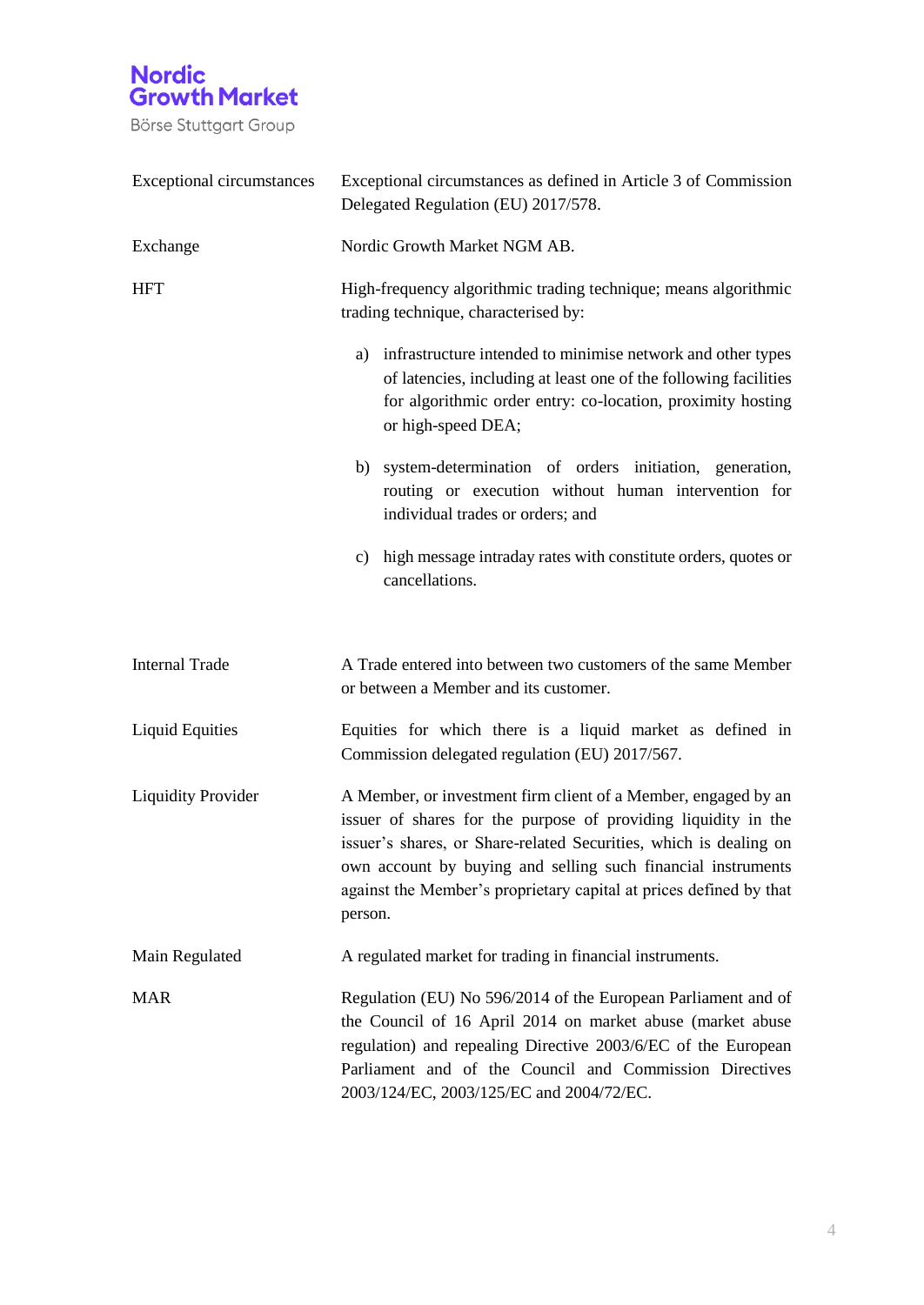

| <b>Exceptional circumstances</b> | Exceptional circumstances as defined in Article 3 of Commission<br>Delegated Regulation (EU) 2017/578.                                                                                                                                                                                                                                                 |  |  |
|----------------------------------|--------------------------------------------------------------------------------------------------------------------------------------------------------------------------------------------------------------------------------------------------------------------------------------------------------------------------------------------------------|--|--|
| Exchange                         | Nordic Growth Market NGM AB.                                                                                                                                                                                                                                                                                                                           |  |  |
| <b>HFT</b>                       | High-frequency algorithmic trading technique; means algorithmic<br>trading technique, characterised by:                                                                                                                                                                                                                                                |  |  |
|                                  | infrastructure intended to minimise network and other types<br>a)<br>of latencies, including at least one of the following facilities<br>for algorithmic order entry: co-location, proximity hosting<br>or high-speed DEA;                                                                                                                             |  |  |
|                                  | b) system-determination of orders initiation, generation,<br>routing or execution without human intervention for<br>individual trades or orders; and                                                                                                                                                                                                   |  |  |
|                                  | c) high message intraday rates with constitute orders, quotes or<br>cancellations.                                                                                                                                                                                                                                                                     |  |  |
| <b>Internal Trade</b>            | A Trade entered into between two customers of the same Member<br>or between a Member and its customer.                                                                                                                                                                                                                                                 |  |  |
| <b>Liquid Equities</b>           | Equities for which there is a liquid market as defined in<br>Commission delegated regulation (EU) 2017/567.                                                                                                                                                                                                                                            |  |  |
| <b>Liquidity Provider</b>        | A Member, or investment firm client of a Member, engaged by an<br>issuer of shares for the purpose of providing liquidity in the<br>issuer's shares, or Share-related Securities, which is dealing on<br>own account by buying and selling such financial instruments<br>against the Member's proprietary capital at prices defined by that<br>person. |  |  |
| Main Regulated                   | A regulated market for trading in financial instruments.                                                                                                                                                                                                                                                                                               |  |  |
| <b>MAR</b>                       | Regulation (EU) No 596/2014 of the European Parliament and of<br>the Council of 16 April 2014 on market abuse (market abuse<br>regulation) and repealing Directive 2003/6/EC of the European<br>Parliament and of the Council and Commission Directives<br>2003/124/EC, 2003/125/EC and 2004/72/EC.                                                    |  |  |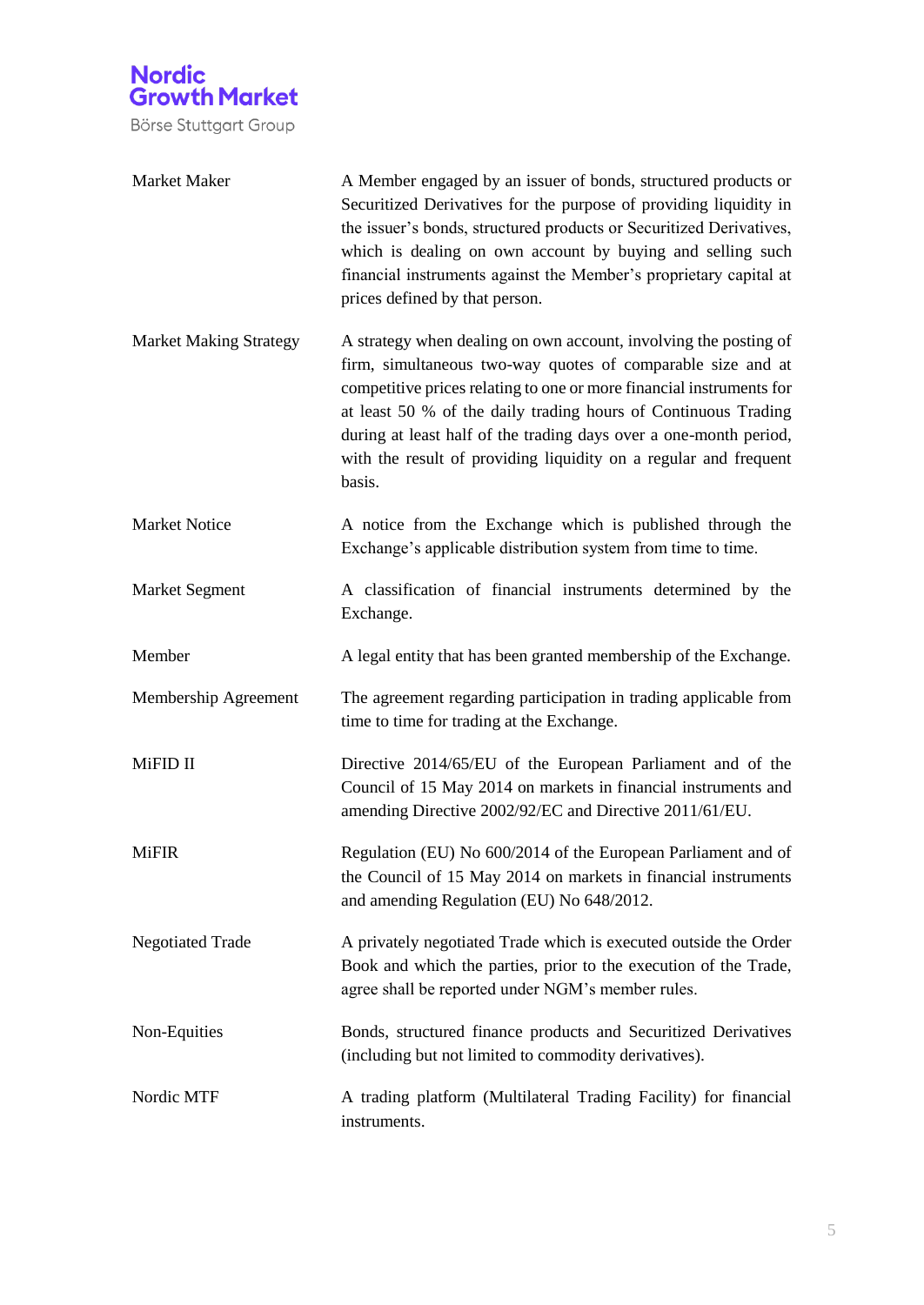| Market Maker                  | A Member engaged by an issuer of bonds, structured products or<br>Securitized Derivatives for the purpose of providing liquidity in<br>the issuer's bonds, structured products or Securitized Derivatives,<br>which is dealing on own account by buying and selling such<br>financial instruments against the Member's proprietary capital at<br>prices defined by that person.                                              |
|-------------------------------|------------------------------------------------------------------------------------------------------------------------------------------------------------------------------------------------------------------------------------------------------------------------------------------------------------------------------------------------------------------------------------------------------------------------------|
| <b>Market Making Strategy</b> | A strategy when dealing on own account, involving the posting of<br>firm, simultaneous two-way quotes of comparable size and at<br>competitive prices relating to one or more financial instruments for<br>at least 50 % of the daily trading hours of Continuous Trading<br>during at least half of the trading days over a one-month period,<br>with the result of providing liquidity on a regular and frequent<br>basis. |
| <b>Market Notice</b>          | A notice from the Exchange which is published through the<br>Exchange's applicable distribution system from time to time.                                                                                                                                                                                                                                                                                                    |
| Market Segment                | A classification of financial instruments determined by the<br>Exchange.                                                                                                                                                                                                                                                                                                                                                     |
| Member                        | A legal entity that has been granted membership of the Exchange.                                                                                                                                                                                                                                                                                                                                                             |
| Membership Agreement          | The agreement regarding participation in trading applicable from<br>time to time for trading at the Exchange.                                                                                                                                                                                                                                                                                                                |
| MiFID II                      | Directive 2014/65/EU of the European Parliament and of the<br>Council of 15 May 2014 on markets in financial instruments and<br>amending Directive 2002/92/EC and Directive 2011/61/EU.                                                                                                                                                                                                                                      |
| <b>MiFIR</b>                  | Regulation (EU) No 600/2014 of the European Parliament and of<br>the Council of 15 May 2014 on markets in financial instruments<br>and amending Regulation (EU) No 648/2012.                                                                                                                                                                                                                                                 |
| <b>Negotiated Trade</b>       | A privately negotiated Trade which is executed outside the Order<br>Book and which the parties, prior to the execution of the Trade,<br>agree shall be reported under NGM's member rules.                                                                                                                                                                                                                                    |
| Non-Equities                  | Bonds, structured finance products and Securitized Derivatives<br>(including but not limited to commodity derivatives).                                                                                                                                                                                                                                                                                                      |
| Nordic MTF                    | A trading platform (Multilateral Trading Facility) for financial<br>instruments.                                                                                                                                                                                                                                                                                                                                             |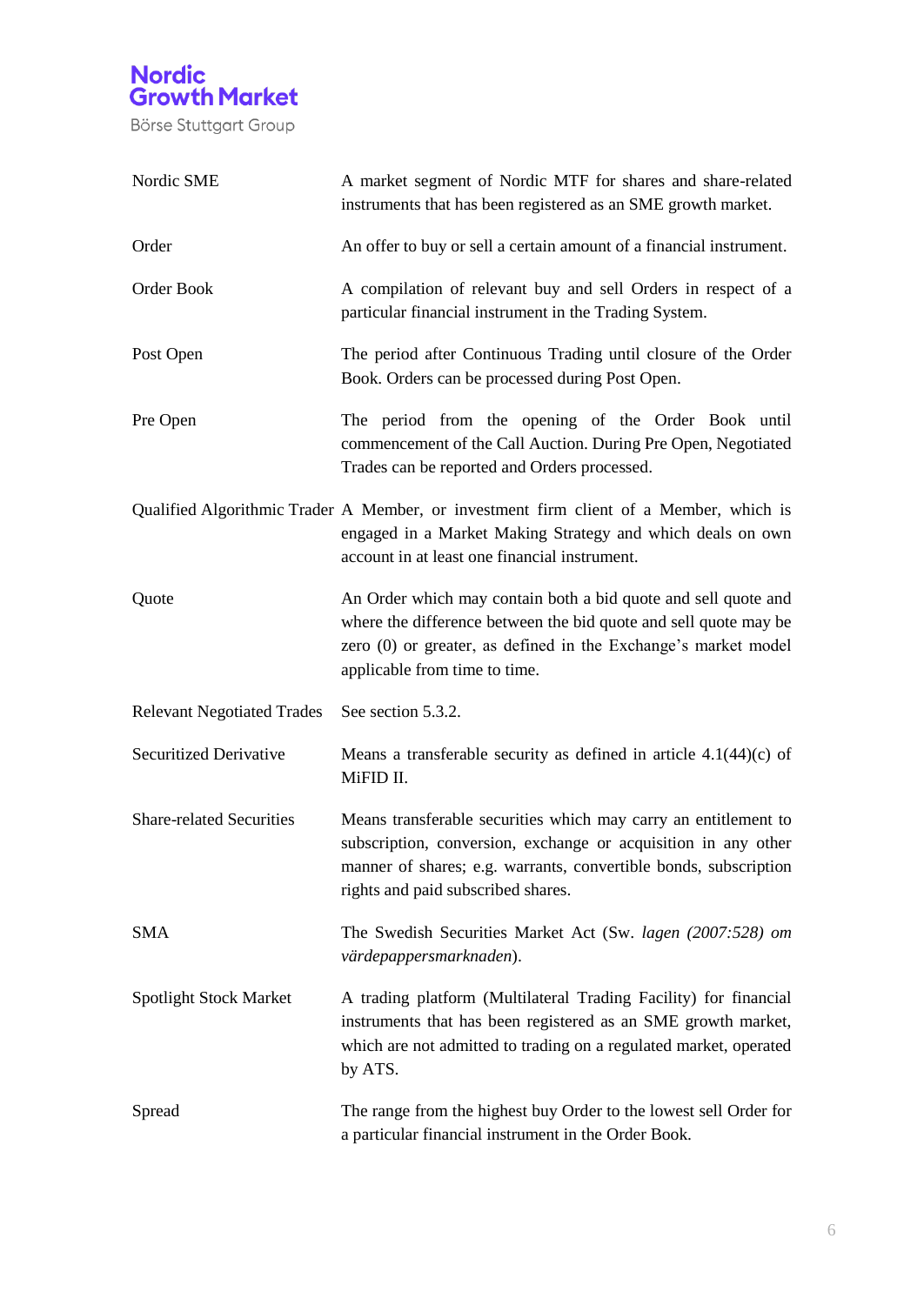

| Nordic SME                        | A market segment of Nordic MTF for shares and share-related<br>instruments that has been registered as an SME growth market.                                                                                                                |
|-----------------------------------|---------------------------------------------------------------------------------------------------------------------------------------------------------------------------------------------------------------------------------------------|
| Order                             | An offer to buy or sell a certain amount of a financial instrument.                                                                                                                                                                         |
| Order Book                        | A compilation of relevant buy and sell Orders in respect of a<br>particular financial instrument in the Trading System.                                                                                                                     |
| Post Open                         | The period after Continuous Trading until closure of the Order<br>Book. Orders can be processed during Post Open.                                                                                                                           |
| Pre Open                          | The period from the opening of the Order Book until<br>commencement of the Call Auction. During Pre Open, Negotiated<br>Trades can be reported and Orders processed.                                                                        |
|                                   | Qualified Algorithmic Trader A Member, or investment firm client of a Member, which is<br>engaged in a Market Making Strategy and which deals on own<br>account in at least one financial instrument.                                       |
| Quote                             | An Order which may contain both a bid quote and sell quote and<br>where the difference between the bid quote and sell quote may be<br>zero (0) or greater, as defined in the Exchange's market model<br>applicable from time to time.       |
| <b>Relevant Negotiated Trades</b> | See section 5.3.2.                                                                                                                                                                                                                          |
| Securitized Derivative            | Means a transferable security as defined in article $4.1(44)(c)$ of<br>MiFID II.                                                                                                                                                            |
| <b>Share-related Securities</b>   | Means transferable securities which may carry an entitlement to<br>subscription, conversion, exchange or acquisition in any other<br>manner of shares; e.g. warrants, convertible bonds, subscription<br>rights and paid subscribed shares. |
| <b>SMA</b>                        | The Swedish Securities Market Act (Sw. lagen (2007:528) om<br>värdepappersmarknaden).                                                                                                                                                       |
| <b>Spotlight Stock Market</b>     | A trading platform (Multilateral Trading Facility) for financial<br>instruments that has been registered as an SME growth market,<br>which are not admitted to trading on a regulated market, operated<br>by ATS.                           |
| Spread                            | The range from the highest buy Order to the lowest sell Order for<br>a particular financial instrument in the Order Book.                                                                                                                   |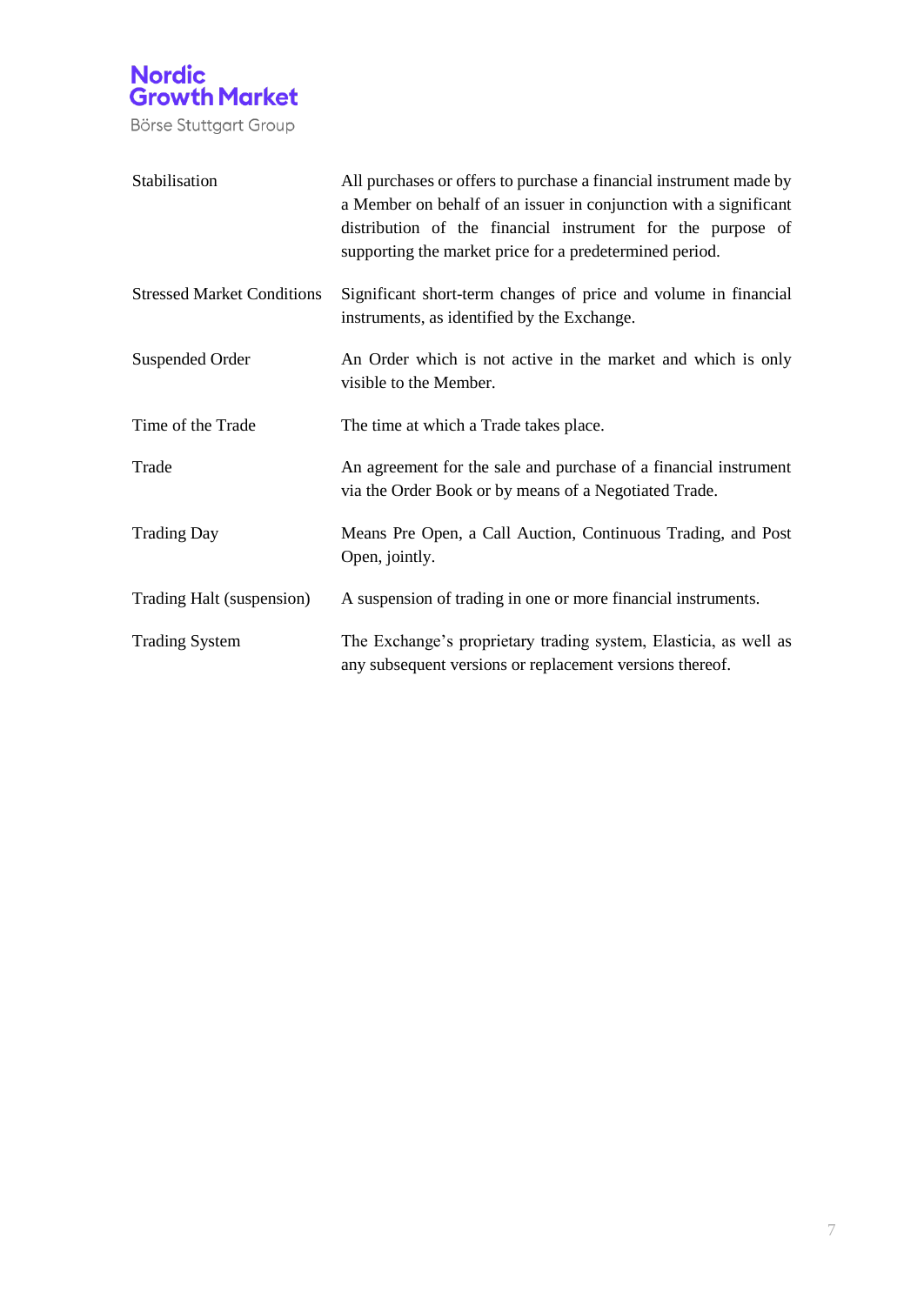

| Stabilisation                     | All purchases or offers to purchase a financial instrument made by<br>a Member on behalf of an issuer in conjunction with a significant<br>distribution of the financial instrument for the purpose of<br>supporting the market price for a predetermined period. |
|-----------------------------------|-------------------------------------------------------------------------------------------------------------------------------------------------------------------------------------------------------------------------------------------------------------------|
| <b>Stressed Market Conditions</b> | Significant short-term changes of price and volume in financial<br>instruments, as identified by the Exchange.                                                                                                                                                    |
| Suspended Order                   | An Order which is not active in the market and which is only<br>visible to the Member.                                                                                                                                                                            |
| Time of the Trade                 | The time at which a Trade takes place.                                                                                                                                                                                                                            |
| Trade                             | An agreement for the sale and purchase of a financial instrument<br>via the Order Book or by means of a Negotiated Trade.                                                                                                                                         |
| <b>Trading Day</b>                | Means Pre Open, a Call Auction, Continuous Trading, and Post<br>Open, jointly.                                                                                                                                                                                    |
| Trading Halt (suspension)         | A suspension of trading in one or more financial instruments.                                                                                                                                                                                                     |
| <b>Trading System</b>             | The Exchange's proprietary trading system, Elasticia, as well as<br>any subsequent versions or replacement versions thereof.                                                                                                                                      |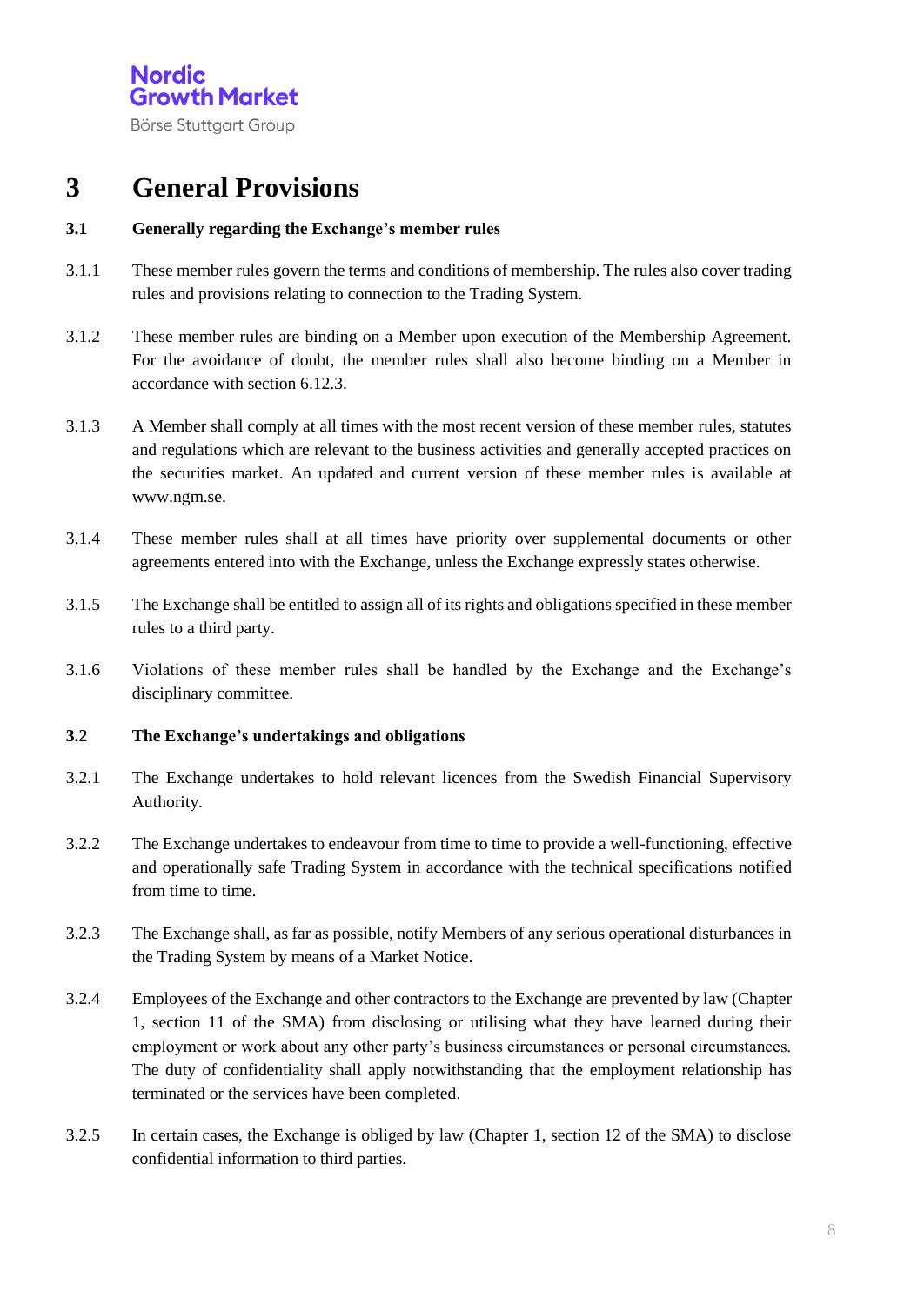## **3 General Provisions**

#### **3.1 Generally regarding the Exchange's member rules**

- 3.1.1 These member rules govern the terms and conditions of membership. The rules also cover trading rules and provisions relating to connection to the Trading System.
- 3.1.2 These member rules are binding on a Member upon execution of the Membership Agreement. For the avoidance of doubt, the member rules shall also become binding on a Member in accordance with section 6.12.3.
- 3.1.3 A Member shall comply at all times with the most recent version of these member rules, statutes and regulations which are relevant to the business activities and generally accepted practices on the securities market. An updated and current version of these member rules is available at www.ngm.se.
- 3.1.4 These member rules shall at all times have priority over supplemental documents or other agreements entered into with the Exchange, unless the Exchange expressly states otherwise.
- 3.1.5 The Exchange shall be entitled to assign all of its rights and obligations specified in these member rules to a third party.
- 3.1.6 Violations of these member rules shall be handled by the Exchange and the Exchange's disciplinary committee.

#### **3.2 The Exchange's undertakings and obligations**

- 3.2.1 The Exchange undertakes to hold relevant licences from the Swedish Financial Supervisory Authority.
- 3.2.2 The Exchange undertakes to endeavour from time to time to provide a well-functioning, effective and operationally safe Trading System in accordance with the technical specifications notified from time to time.
- 3.2.3 The Exchange shall, as far as possible, notify Members of any serious operational disturbances in the Trading System by means of a Market Notice.
- 3.2.4 Employees of the Exchange and other contractors to the Exchange are prevented by law (Chapter 1, section 11 of the SMA) from disclosing or utilising what they have learned during their employment or work about any other party's business circumstances or personal circumstances. The duty of confidentiality shall apply notwithstanding that the employment relationship has terminated or the services have been completed.
- 3.2.5 In certain cases, the Exchange is obliged by law (Chapter 1, section 12 of the SMA) to disclose confidential information to third parties.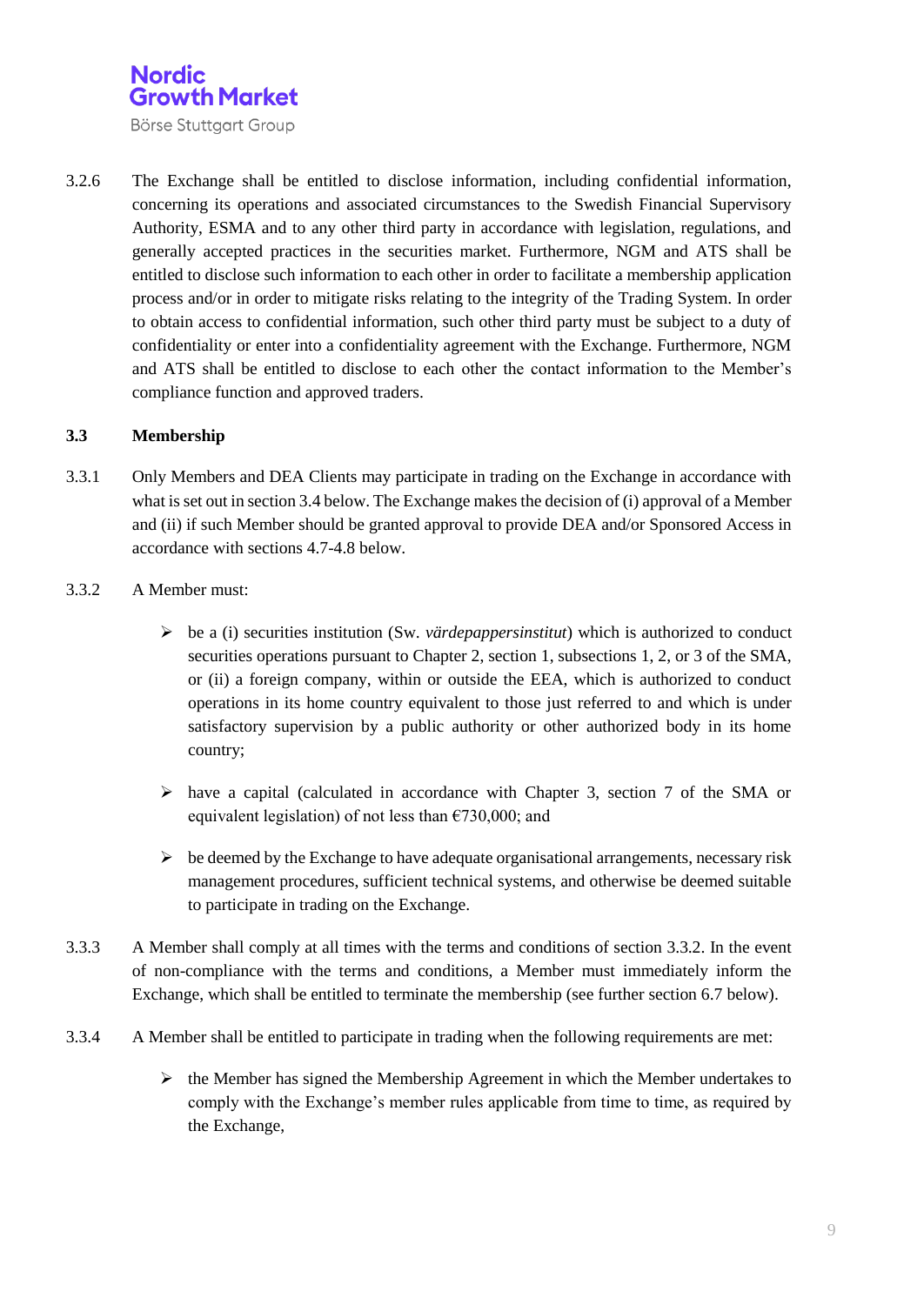

3.2.6 The Exchange shall be entitled to disclose information, including confidential information, concerning its operations and associated circumstances to the Swedish Financial Supervisory Authority, ESMA and to any other third party in accordance with legislation, regulations, and generally accepted practices in the securities market. Furthermore, NGM and ATS shall be entitled to disclose such information to each other in order to facilitate a membership application process and/or in order to mitigate risks relating to the integrity of the Trading System. In order to obtain access to confidential information, such other third party must be subject to a duty of confidentiality or enter into a confidentiality agreement with the Exchange. Furthermore, NGM and ATS shall be entitled to disclose to each other the contact information to the Member's compliance function and approved traders.

#### **3.3 Membership**

- 3.3.1 Only Members and DEA Clients may participate in trading on the Exchange in accordance with what is set out in section 3.4 below. The Exchange makes the decision of (i) approval of a Member and (ii) if such Member should be granted approval to provide DEA and/or Sponsored Access in accordance with sections 4.7-4.8 below.
- 3.3.2 A Member must:
	- $\triangleright$  be a (i) securities institution (Sw. *värdepappersinstitut*) which is authorized to conduct securities operations pursuant to Chapter 2, section 1, subsections 1, 2, or 3 of the SMA, or (ii) a foreign company, within or outside the EEA, which is authorized to conduct operations in its home country equivalent to those just referred to and which is under satisfactory supervision by a public authority or other authorized body in its home country;
	- $\triangleright$  have a capital (calculated in accordance with Chapter 3, section 7 of the SMA or equivalent legislation) of not less than  $\epsilon$ 730,000; and
	- $\triangleright$  be deemed by the Exchange to have adequate organisational arrangements, necessary risk management procedures, sufficient technical systems, and otherwise be deemed suitable to participate in trading on the Exchange.
- 3.3.3 A Member shall comply at all times with the terms and conditions of section 3.3.2. In the event of non-compliance with the terms and conditions, a Member must immediately inform the Exchange, which shall be entitled to terminate the membership (see further section 6.7 below).
- 3.3.4 A Member shall be entitled to participate in trading when the following requirements are met:
	- $\triangleright$  the Member has signed the Membership Agreement in which the Member undertakes to comply with the Exchange's member rules applicable from time to time, as required by the Exchange,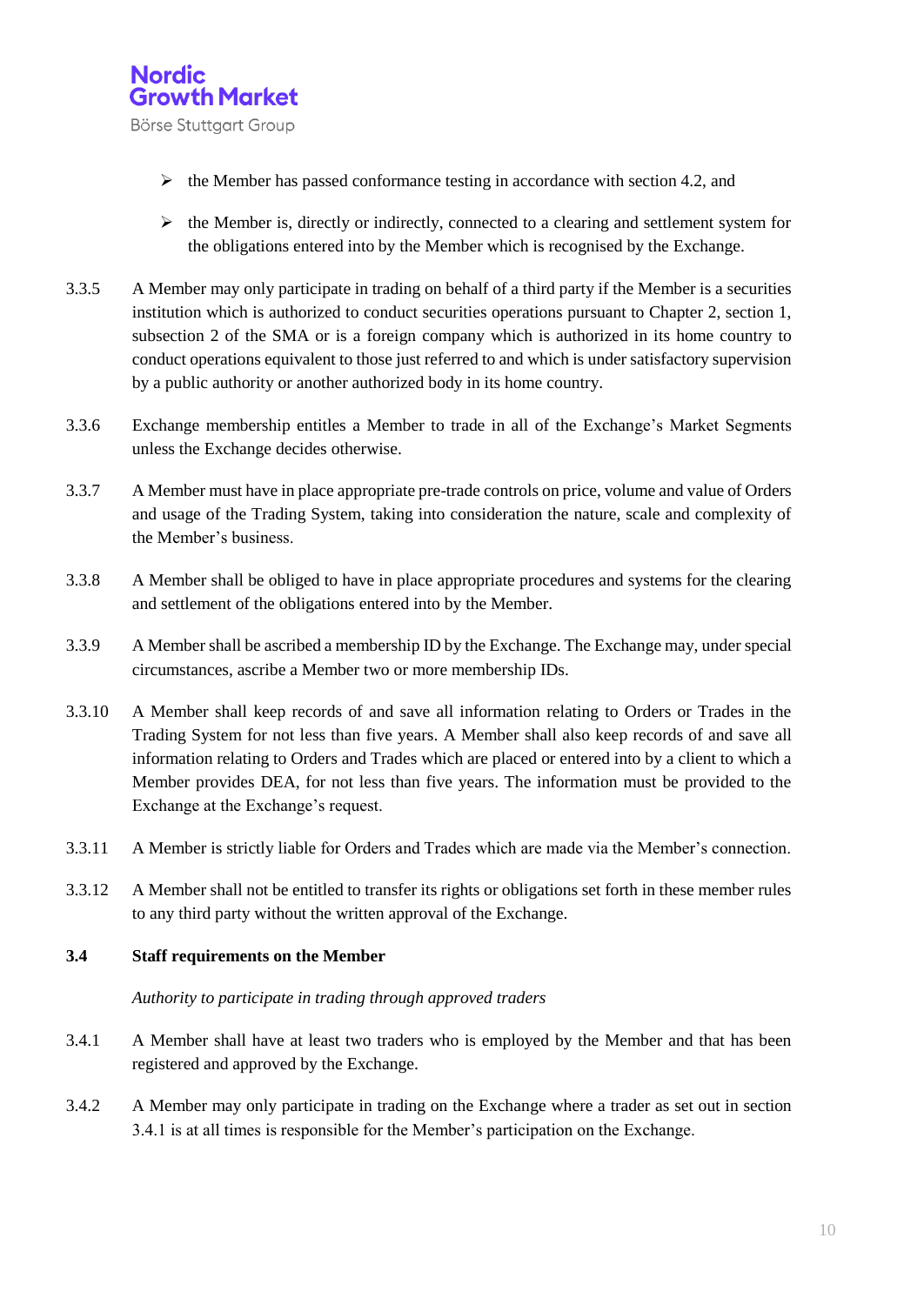

- $\triangleright$  the Member has passed conformance testing in accordance with section 4.2, and
- $\triangleright$  the Member is, directly or indirectly, connected to a clearing and settlement system for the obligations entered into by the Member which is recognised by the Exchange.
- 3.3.5 A Member may only participate in trading on behalf of a third party if the Member is a securities institution which is authorized to conduct securities operations pursuant to Chapter 2, section 1, subsection 2 of the SMA or is a foreign company which is authorized in its home country to conduct operations equivalent to those just referred to and which is under satisfactory supervision by a public authority or another authorized body in its home country.
- 3.3.6 Exchange membership entitles a Member to trade in all of the Exchange's Market Segments unless the Exchange decides otherwise.
- 3.3.7 A Member must have in place appropriate pre-trade controls on price, volume and value of Orders and usage of the Trading System, taking into consideration the nature, scale and complexity of the Member's business.
- 3.3.8 A Member shall be obliged to have in place appropriate procedures and systems for the clearing and settlement of the obligations entered into by the Member.
- 3.3.9 A Member shall be ascribed a membership ID by the Exchange. The Exchange may, under special circumstances, ascribe a Member two or more membership IDs.
- 3.3.10 A Member shall keep records of and save all information relating to Orders or Trades in the Trading System for not less than five years. A Member shall also keep records of and save all information relating to Orders and Trades which are placed or entered into by a client to which a Member provides DEA, for not less than five years. The information must be provided to the Exchange at the Exchange's request.
- 3.3.11 A Member is strictly liable for Orders and Trades which are made via the Member's connection.
- 3.3.12 A Member shall not be entitled to transfer its rights or obligations set forth in these member rules to any third party without the written approval of the Exchange.

#### **3.4 Staff requirements on the Member**

*Authority to participate in trading through approved traders*

- 3.4.1 A Member shall have at least two traders who is employed by the Member and that has been registered and approved by the Exchange.
- 3.4.2 A Member may only participate in trading on the Exchange where a trader as set out in section 3.4.1 is at all times is responsible for the Member's participation on the Exchange.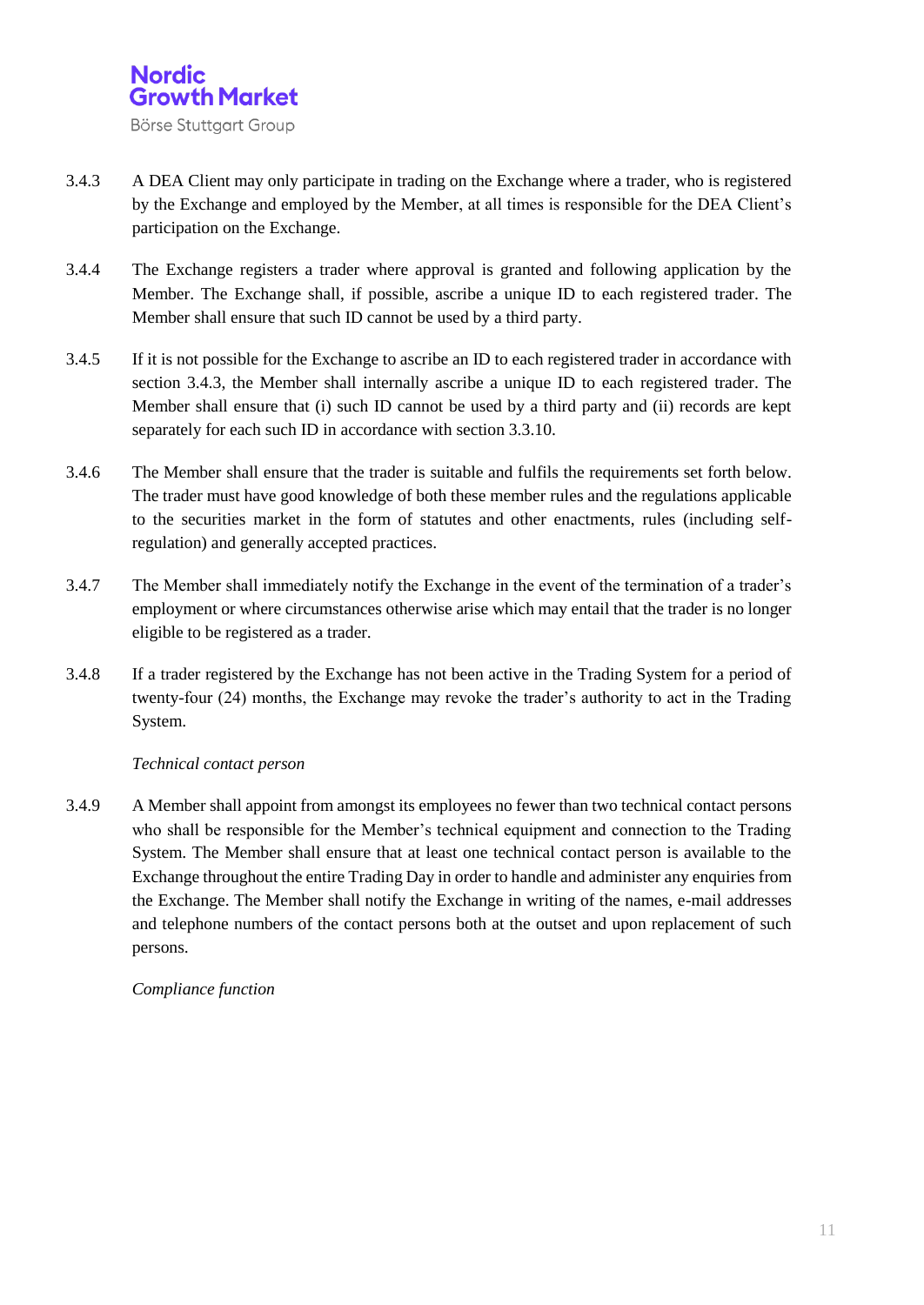

- 3.4.3 A DEA Client may only participate in trading on the Exchange where a trader, who is registered by the Exchange and employed by the Member, at all times is responsible for the DEA Client's participation on the Exchange.
- 3.4.4 The Exchange registers a trader where approval is granted and following application by the Member. The Exchange shall, if possible, ascribe a unique ID to each registered trader. The Member shall ensure that such ID cannot be used by a third party.
- 3.4.5 If it is not possible for the Exchange to ascribe an ID to each registered trader in accordance with section 3.4.3, the Member shall internally ascribe a unique ID to each registered trader. The Member shall ensure that (i) such ID cannot be used by a third party and (ii) records are kept separately for each such ID in accordance with section 3.3.10.
- 3.4.6 The Member shall ensure that the trader is suitable and fulfils the requirements set forth below. The trader must have good knowledge of both these member rules and the regulations applicable to the securities market in the form of statutes and other enactments, rules (including selfregulation) and generally accepted practices.
- 3.4.7 The Member shall immediately notify the Exchange in the event of the termination of a trader's employment or where circumstances otherwise arise which may entail that the trader is no longer eligible to be registered as a trader.
- 3.4.8 If a trader registered by the Exchange has not been active in the Trading System for a period of twenty-four (24) months, the Exchange may revoke the trader's authority to act in the Trading System.

#### *Technical contact person*

3.4.9 A Member shall appoint from amongst its employees no fewer than two technical contact persons who shall be responsible for the Member's technical equipment and connection to the Trading System. The Member shall ensure that at least one technical contact person is available to the Exchange throughout the entire Trading Day in order to handle and administer any enquiries from the Exchange. The Member shall notify the Exchange in writing of the names, e-mail addresses and telephone numbers of the contact persons both at the outset and upon replacement of such persons.

#### *Compliance function*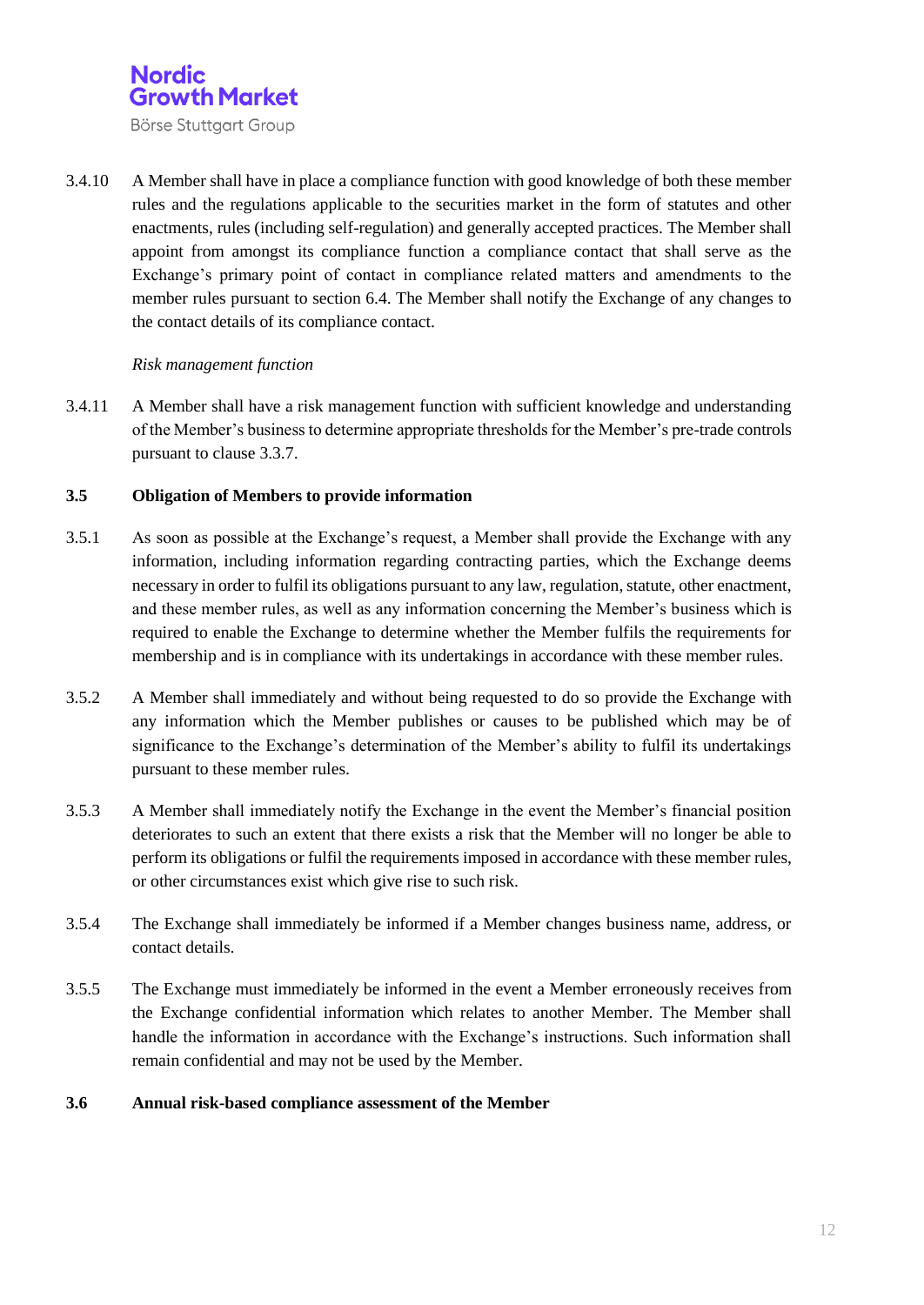

3.4.10 A Member shall have in place a compliance function with good knowledge of both these member rules and the regulations applicable to the securities market in the form of statutes and other enactments, rules (including self-regulation) and generally accepted practices. The Member shall appoint from amongst its compliance function a compliance contact that shall serve as the Exchange's primary point of contact in compliance related matters and amendments to the member rules pursuant to section 6.4. The Member shall notify the Exchange of any changes to the contact details of its compliance contact.

#### *Risk management function*

3.4.11 A Member shall have a risk management function with sufficient knowledge and understanding of the Member's business to determine appropriate thresholds for the Member's pre-trade controls pursuant to clause 3.3.7.

#### **3.5 Obligation of Members to provide information**

- 3.5.1 As soon as possible at the Exchange's request, a Member shall provide the Exchange with any information, including information regarding contracting parties, which the Exchange deems necessary in order to fulfil its obligations pursuant to any law, regulation, statute, other enactment, and these member rules, as well as any information concerning the Member's business which is required to enable the Exchange to determine whether the Member fulfils the requirements for membership and is in compliance with its undertakings in accordance with these member rules.
- 3.5.2 A Member shall immediately and without being requested to do so provide the Exchange with any information which the Member publishes or causes to be published which may be of significance to the Exchange's determination of the Member's ability to fulfil its undertakings pursuant to these member rules.
- 3.5.3 A Member shall immediately notify the Exchange in the event the Member's financial position deteriorates to such an extent that there exists a risk that the Member will no longer be able to perform its obligations or fulfil the requirements imposed in accordance with these member rules, or other circumstances exist which give rise to such risk.
- 3.5.4 The Exchange shall immediately be informed if a Member changes business name, address, or contact details.
- 3.5.5 The Exchange must immediately be informed in the event a Member erroneously receives from the Exchange confidential information which relates to another Member. The Member shall handle the information in accordance with the Exchange's instructions. Such information shall remain confidential and may not be used by the Member.

#### **3.6 Annual risk-based compliance assessment of the Member**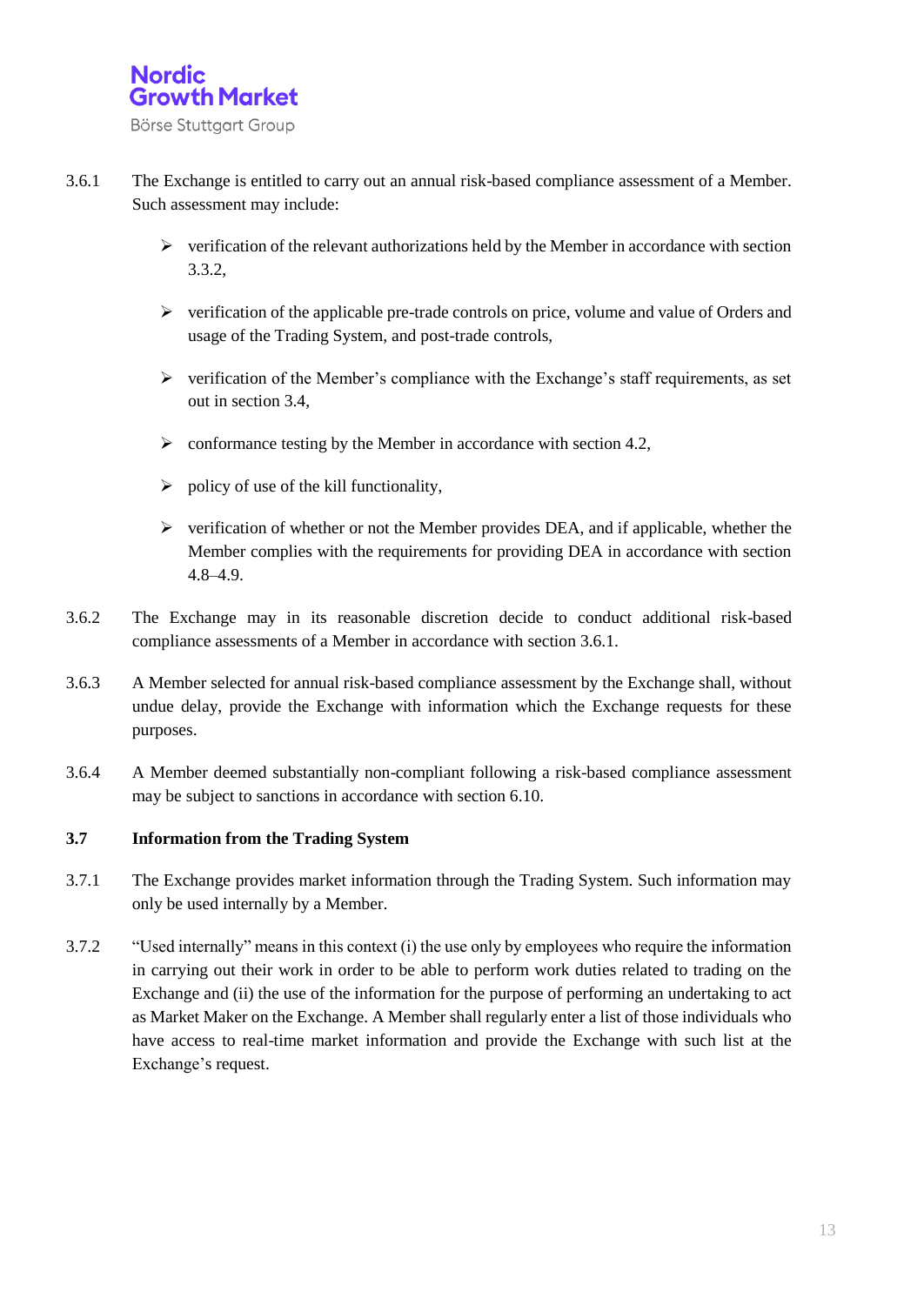

- 3.6.1 The Exchange is entitled to carry out an annual risk-based compliance assessment of a Member. Such assessment may include:
	- $\triangleright$  verification of the relevant authorizations held by the Member in accordance with section 3.3.2,
	- $\triangleright$  verification of the applicable pre-trade controls on price, volume and value of Orders and usage of the Trading System, and post-trade controls,
	- $\triangleright$  verification of the Member's compliance with the Exchange's staff requirements, as set out in section 3.4,
	- $\geq$  conformance testing by the Member in accordance with section 4.2,
	- $\triangleright$  policy of use of the kill functionality,
	- $\triangleright$  verification of whether or not the Member provides DEA, and if applicable, whether the Member complies with the requirements for providing DEA in accordance with section 4.8–4.9.
- 3.6.2 The Exchange may in its reasonable discretion decide to conduct additional risk-based compliance assessments of a Member in accordance with section 3.6.1.
- 3.6.3 A Member selected for annual risk-based compliance assessment by the Exchange shall, without undue delay, provide the Exchange with information which the Exchange requests for these purposes.
- 3.6.4 A Member deemed substantially non-compliant following a risk-based compliance assessment may be subject to sanctions in accordance with section 6.10.

#### **3.7 Information from the Trading System**

- 3.7.1 The Exchange provides market information through the Trading System. Such information may only be used internally by a Member.
- 3.7.2 "Used internally" means in this context (i) the use only by employees who require the information in carrying out their work in order to be able to perform work duties related to trading on the Exchange and (ii) the use of the information for the purpose of performing an undertaking to act as Market Maker on the Exchange. A Member shall regularly enter a list of those individuals who have access to real-time market information and provide the Exchange with such list at the Exchange's request.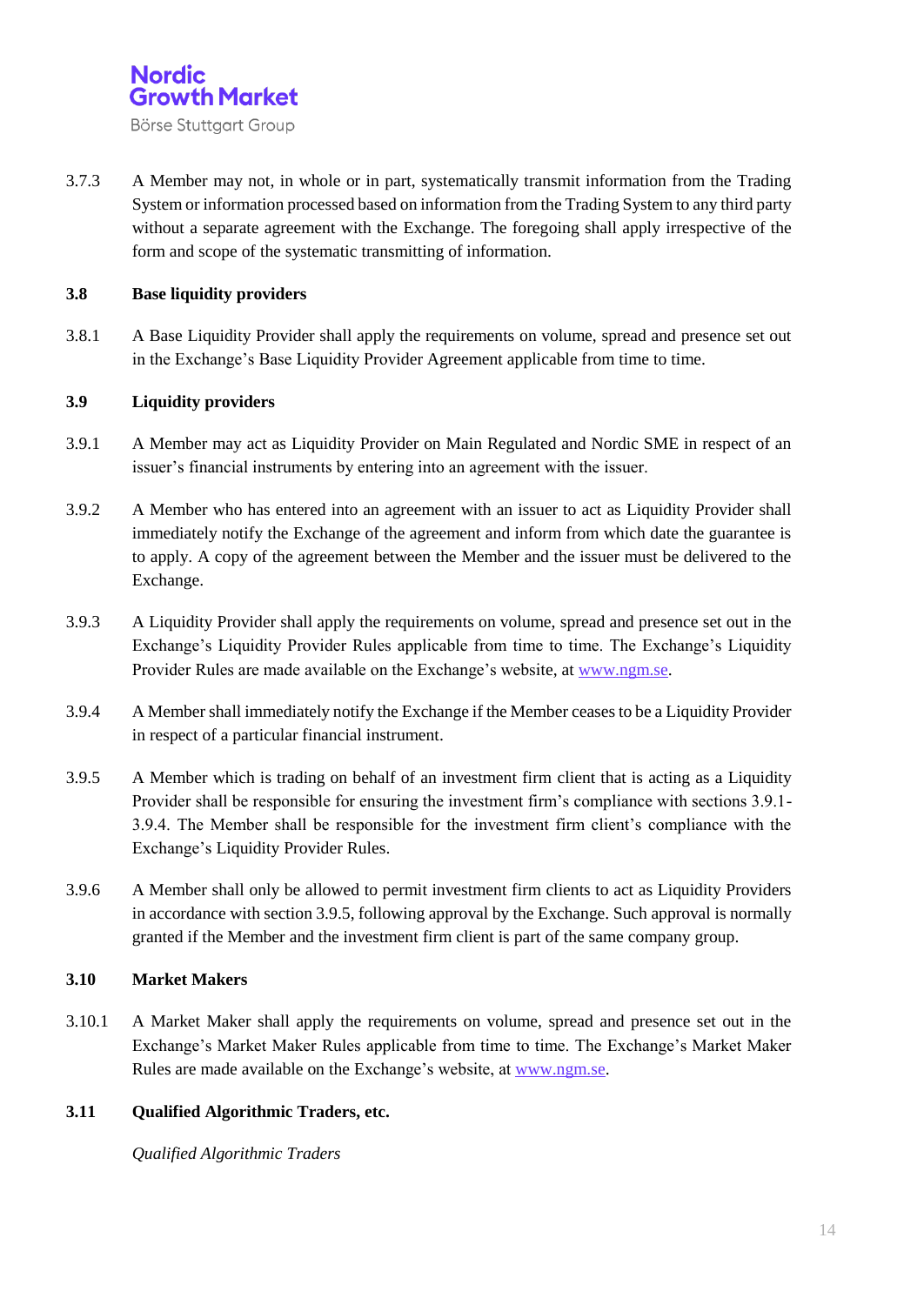

3.7.3 A Member may not, in whole or in part, systematically transmit information from the Trading System or information processed based on information from the Trading System to any third party without a separate agreement with the Exchange. The foregoing shall apply irrespective of the form and scope of the systematic transmitting of information.

#### **3.8 Base liquidity providers**

3.8.1 A Base Liquidity Provider shall apply the requirements on volume, spread and presence set out in the Exchange's Base Liquidity Provider Agreement applicable from time to time.

#### **3.9 Liquidity providers**

- 3.9.1 A Member may act as Liquidity Provider on Main Regulated and Nordic SME in respect of an issuer's financial instruments by entering into an agreement with the issuer.
- 3.9.2 A Member who has entered into an agreement with an issuer to act as Liquidity Provider shall immediately notify the Exchange of the agreement and inform from which date the guarantee is to apply. A copy of the agreement between the Member and the issuer must be delivered to the Exchange.
- 3.9.3 A Liquidity Provider shall apply the requirements on volume, spread and presence set out in the Exchange's Liquidity Provider Rules applicable from time to time. The Exchange's Liquidity Provider Rules are made available on the Exchange's website, at [www.ngm.se.](http://www.ngm.se/)
- 3.9.4 A Member shall immediately notify the Exchange if the Member ceases to be a Liquidity Provider in respect of a particular financial instrument.
- 3.9.5 A Member which is trading on behalf of an investment firm client that is acting as a Liquidity Provider shall be responsible for ensuring the investment firm's compliance with sections 3.9.1- 3.9.4. The Member shall be responsible for the investment firm client's compliance with the Exchange's Liquidity Provider Rules.
- 3.9.6 A Member shall only be allowed to permit investment firm clients to act as Liquidity Providers in accordance with section 3.9.5, following approval by the Exchange. Such approval is normally granted if the Member and the investment firm client is part of the same company group.

#### **3.10 Market Makers**

3.10.1 A Market Maker shall apply the requirements on volume, spread and presence set out in the Exchange's Market Maker Rules applicable from time to time. The Exchange's Market Maker Rules are made available on the Exchange's website, at [www.ngm.se.](http://www.ngm.se/)

#### **3.11 Qualified Algorithmic Traders, etc.**

*Qualified Algorithmic Traders*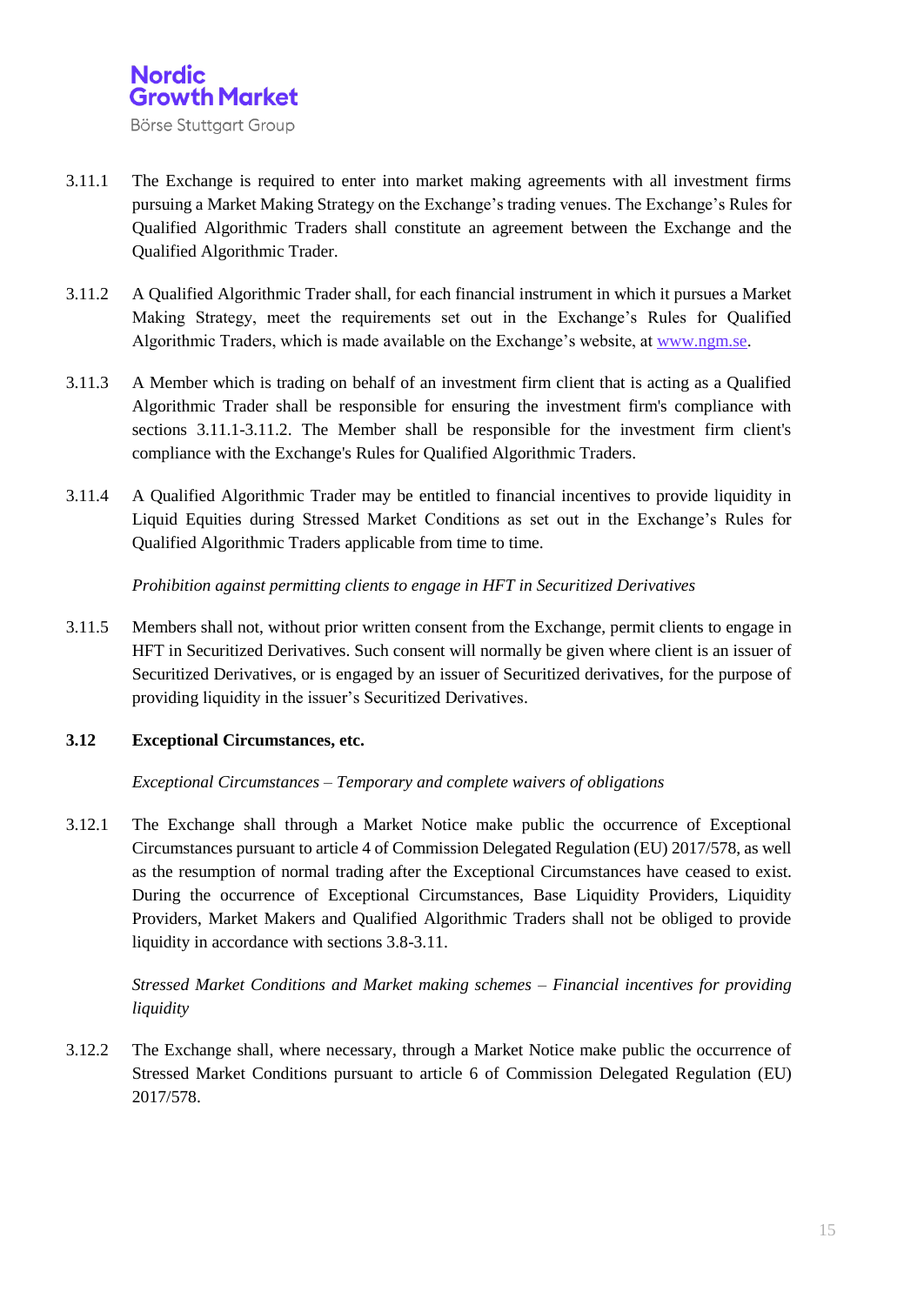

- 3.11.1 The Exchange is required to enter into market making agreements with all investment firms pursuing a Market Making Strategy on the Exchange's trading venues. The Exchange's Rules for Qualified Algorithmic Traders shall constitute an agreement between the Exchange and the Qualified Algorithmic Trader.
- 3.11.2 A Qualified Algorithmic Trader shall, for each financial instrument in which it pursues a Market Making Strategy, meet the requirements set out in the Exchange's Rules for Qualified Algorithmic Traders, which is made available on the Exchange's website, at [www.ngm.se.](http://www.ngm.se/)
- 3.11.3 A Member which is trading on behalf of an investment firm client that is acting as a Qualified Algorithmic Trader shall be responsible for ensuring the investment firm's compliance with sections 3.11.1-3.11.2. The Member shall be responsible for the investment firm client's compliance with the Exchange's Rules for Qualified Algorithmic Traders.
- 3.11.4 A Qualified Algorithmic Trader may be entitled to financial incentives to provide liquidity in Liquid Equities during Stressed Market Conditions as set out in the Exchange's Rules for Qualified Algorithmic Traders applicable from time to time.

*Prohibition against permitting clients to engage in HFT in Securitized Derivatives*

3.11.5 Members shall not, without prior written consent from the Exchange, permit clients to engage in HFT in Securitized Derivatives. Such consent will normally be given where client is an issuer of Securitized Derivatives, or is engaged by an issuer of Securitized derivatives, for the purpose of providing liquidity in the issuer's Securitized Derivatives.

#### **3.12 Exceptional Circumstances, etc.**

*Exceptional Circumstances – Temporary and complete waivers of obligations*

3.12.1 The Exchange shall through a Market Notice make public the occurrence of Exceptional Circumstances pursuant to article 4 of Commission Delegated Regulation (EU) 2017/578, as well as the resumption of normal trading after the Exceptional Circumstances have ceased to exist. During the occurrence of Exceptional Circumstances, Base Liquidity Providers, Liquidity Providers, Market Makers and Qualified Algorithmic Traders shall not be obliged to provide liquidity in accordance with sections 3.8-3.11.

*Stressed Market Conditions and Market making schemes – Financial incentives for providing liquidity* 

3.12.2 The Exchange shall, where necessary, through a Market Notice make public the occurrence of Stressed Market Conditions pursuant to article 6 of Commission Delegated Regulation (EU) 2017/578.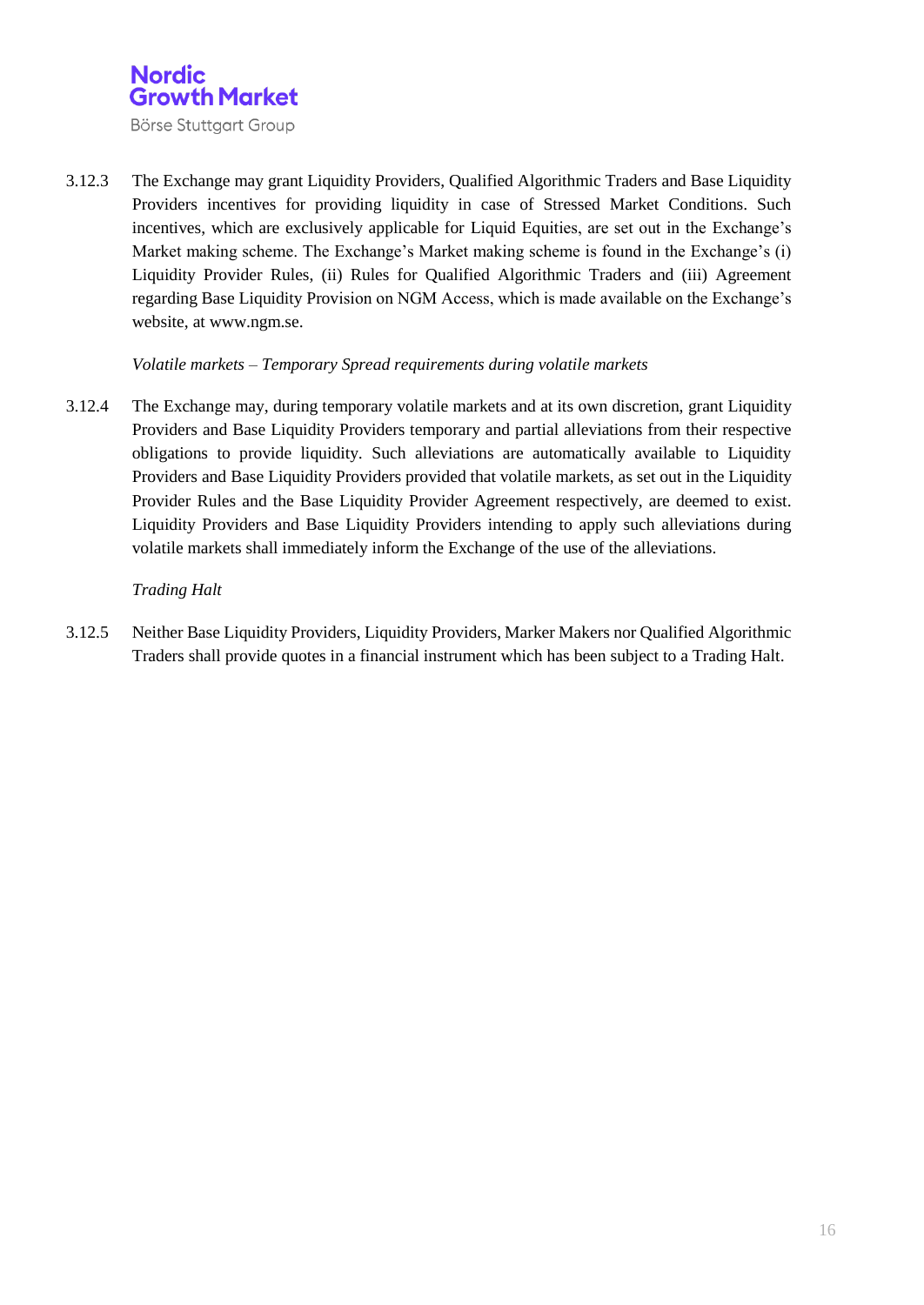

3.12.3 The Exchange may grant Liquidity Providers, Qualified Algorithmic Traders and Base Liquidity Providers incentives for providing liquidity in case of Stressed Market Conditions. Such incentives, which are exclusively applicable for Liquid Equities, are set out in the Exchange's Market making scheme. The Exchange's Market making scheme is found in the Exchange's (i) Liquidity Provider Rules, (ii) Rules for Qualified Algorithmic Traders and (iii) Agreement regarding Base Liquidity Provision on NGM Access, which is made available on the Exchange's website, at www.ngm.se.

#### *Volatile markets – Temporary Spread requirements during volatile markets*

3.12.4 The Exchange may, during temporary volatile markets and at its own discretion, grant Liquidity Providers and Base Liquidity Providers temporary and partial alleviations from their respective obligations to provide liquidity. Such alleviations are automatically available to Liquidity Providers and Base Liquidity Providers provided that volatile markets, as set out in the Liquidity Provider Rules and the Base Liquidity Provider Agreement respectively, are deemed to exist. Liquidity Providers and Base Liquidity Providers intending to apply such alleviations during volatile markets shall immediately inform the Exchange of the use of the alleviations.

#### *Trading Halt*

3.12.5 Neither Base Liquidity Providers, Liquidity Providers, Marker Makers nor Qualified Algorithmic Traders shall provide quotes in a financial instrument which has been subject to a Trading Halt.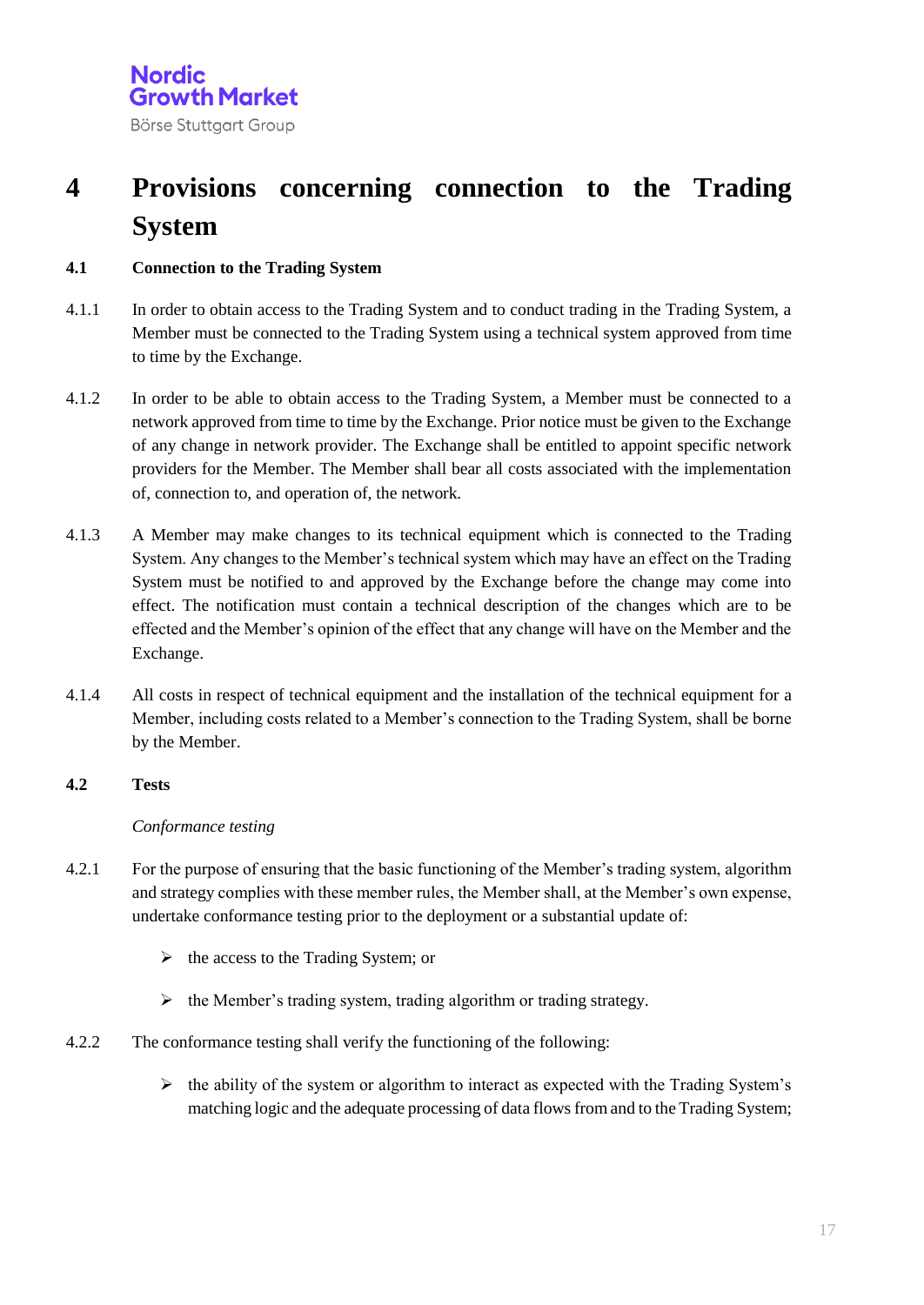## **4 Provisions concerning connection to the Trading System**

#### **4.1 Connection to the Trading System**

- 4.1.1 In order to obtain access to the Trading System and to conduct trading in the Trading System, a Member must be connected to the Trading System using a technical system approved from time to time by the Exchange.
- 4.1.2 In order to be able to obtain access to the Trading System, a Member must be connected to a network approved from time to time by the Exchange. Prior notice must be given to the Exchange of any change in network provider. The Exchange shall be entitled to appoint specific network providers for the Member. The Member shall bear all costs associated with the implementation of, connection to, and operation of, the network.
- 4.1.3 A Member may make changes to its technical equipment which is connected to the Trading System. Any changes to the Member's technical system which may have an effect on the Trading System must be notified to and approved by the Exchange before the change may come into effect. The notification must contain a technical description of the changes which are to be effected and the Member's opinion of the effect that any change will have on the Member and the Exchange.
- 4.1.4 All costs in respect of technical equipment and the installation of the technical equipment for a Member, including costs related to a Member's connection to the Trading System, shall be borne by the Member.

#### **4.2 Tests**

#### *Conformance testing*

- 4.2.1 For the purpose of ensuring that the basic functioning of the Member's trading system, algorithm and strategy complies with these member rules, the Member shall, at the Member's own expense, undertake conformance testing prior to the deployment or a substantial update of:
	- $\triangleright$  the access to the Trading System; or
	- $\triangleright$  the Member's trading system, trading algorithm or trading strategy.
- 4.2.2 The conformance testing shall verify the functioning of the following:
	- $\triangleright$  the ability of the system or algorithm to interact as expected with the Trading System's matching logic and the adequate processing of data flows from and to the Trading System;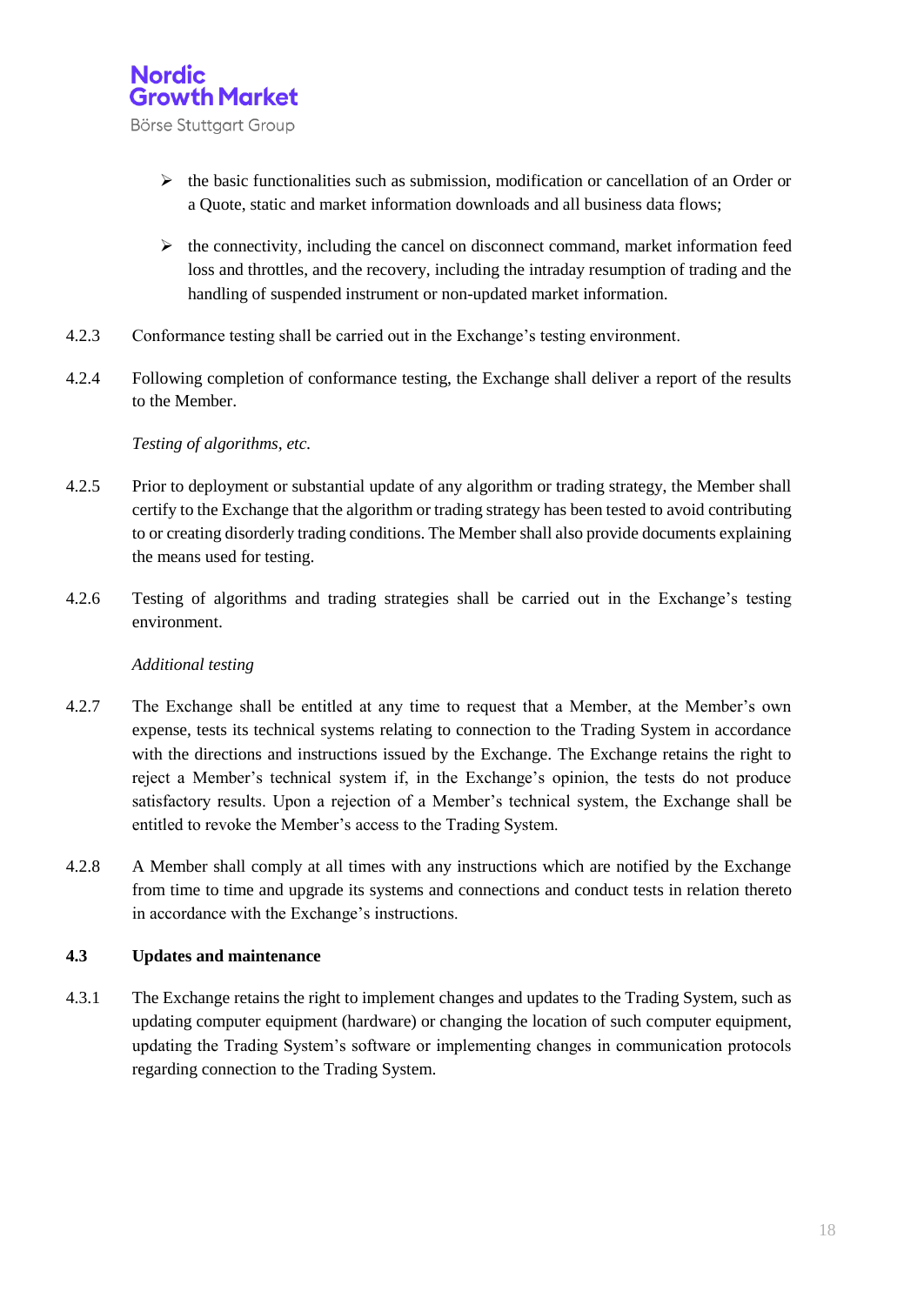

- $\triangleright$  the basic functionalities such as submission, modification or cancellation of an Order or a Quote, static and market information downloads and all business data flows;
- $\triangleright$  the connectivity, including the cancel on disconnect command, market information feed loss and throttles, and the recovery, including the intraday resumption of trading and the handling of suspended instrument or non-updated market information.
- 4.2.3 Conformance testing shall be carried out in the Exchange's testing environment.
- 4.2.4 Following completion of conformance testing, the Exchange shall deliver a report of the results to the Member.

#### *Testing of algorithms, etc.*

- 4.2.5 Prior to deployment or substantial update of any algorithm or trading strategy, the Member shall certify to the Exchange that the algorithm or trading strategy has been tested to avoid contributing to or creating disorderly trading conditions. The Member shall also provide documents explaining the means used for testing.
- 4.2.6 Testing of algorithms and trading strategies shall be carried out in the Exchange's testing environment.

#### *Additional testing*

- 4.2.7 The Exchange shall be entitled at any time to request that a Member, at the Member's own expense, tests its technical systems relating to connection to the Trading System in accordance with the directions and instructions issued by the Exchange. The Exchange retains the right to reject a Member's technical system if, in the Exchange's opinion, the tests do not produce satisfactory results. Upon a rejection of a Member's technical system, the Exchange shall be entitled to revoke the Member's access to the Trading System.
- 4.2.8 A Member shall comply at all times with any instructions which are notified by the Exchange from time to time and upgrade its systems and connections and conduct tests in relation thereto in accordance with the Exchange's instructions.

#### **4.3 Updates and maintenance**

4.3.1 The Exchange retains the right to implement changes and updates to the Trading System, such as updating computer equipment (hardware) or changing the location of such computer equipment, updating the Trading System's software or implementing changes in communication protocols regarding connection to the Trading System.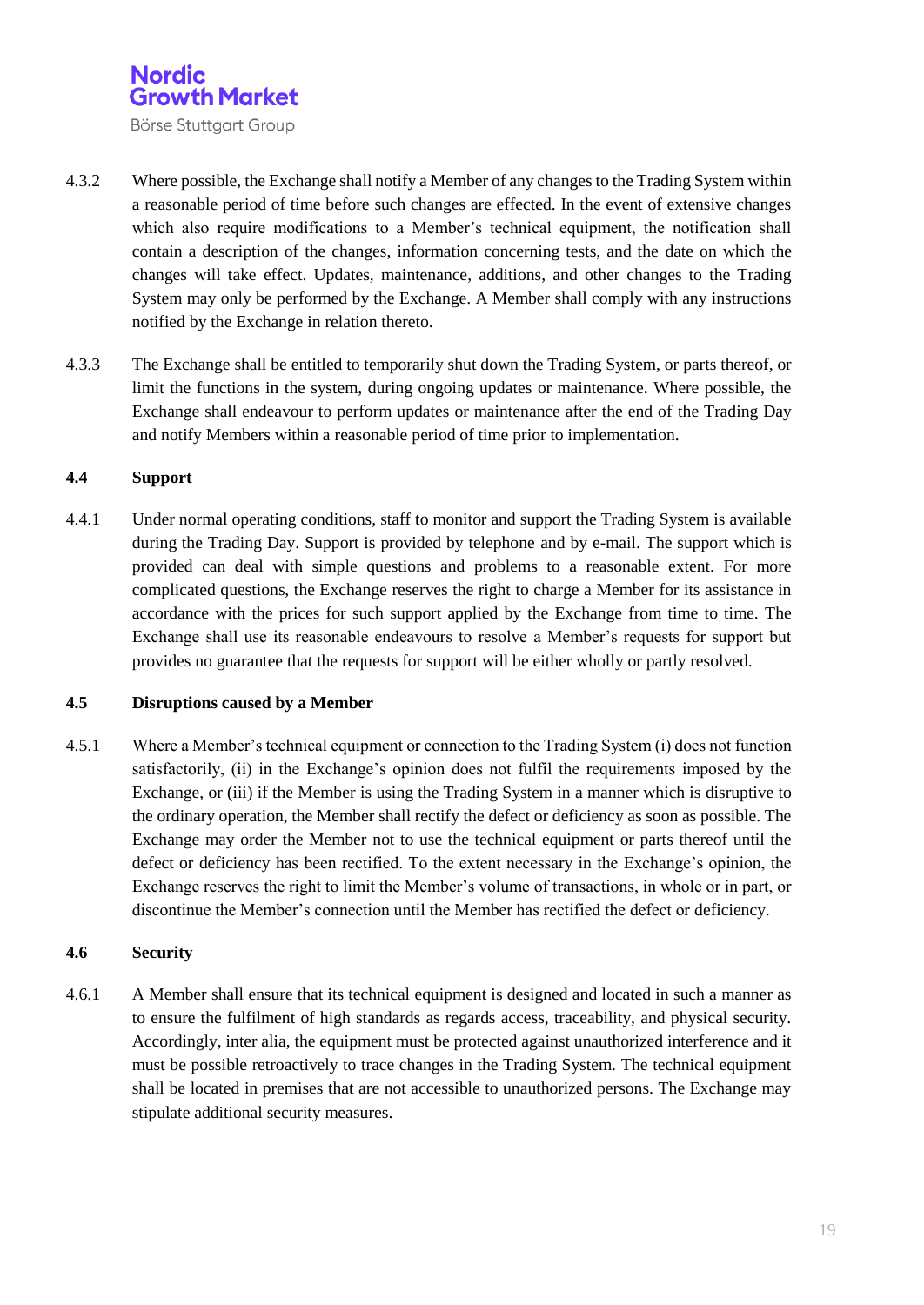

- 4.3.2 Where possible, the Exchange shall notify a Member of any changes to the Trading System within a reasonable period of time before such changes are effected. In the event of extensive changes which also require modifications to a Member's technical equipment, the notification shall contain a description of the changes, information concerning tests, and the date on which the changes will take effect. Updates, maintenance, additions, and other changes to the Trading System may only be performed by the Exchange. A Member shall comply with any instructions notified by the Exchange in relation thereto.
- 4.3.3 The Exchange shall be entitled to temporarily shut down the Trading System, or parts thereof, or limit the functions in the system, during ongoing updates or maintenance. Where possible, the Exchange shall endeavour to perform updates or maintenance after the end of the Trading Day and notify Members within a reasonable period of time prior to implementation.

#### **4.4 Support**

4.4.1 Under normal operating conditions, staff to monitor and support the Trading System is available during the Trading Day. Support is provided by telephone and by e-mail. The support which is provided can deal with simple questions and problems to a reasonable extent. For more complicated questions, the Exchange reserves the right to charge a Member for its assistance in accordance with the prices for such support applied by the Exchange from time to time. The Exchange shall use its reasonable endeavours to resolve a Member's requests for support but provides no guarantee that the requests for support will be either wholly or partly resolved.

#### **4.5 Disruptions caused by a Member**

4.5.1 Where a Member's technical equipment or connection to the Trading System (i) does not function satisfactorily, (ii) in the Exchange's opinion does not fulfil the requirements imposed by the Exchange, or (iii) if the Member is using the Trading System in a manner which is disruptive to the ordinary operation, the Member shall rectify the defect or deficiency as soon as possible. The Exchange may order the Member not to use the technical equipment or parts thereof until the defect or deficiency has been rectified. To the extent necessary in the Exchange's opinion, the Exchange reserves the right to limit the Member's volume of transactions, in whole or in part, or discontinue the Member's connection until the Member has rectified the defect or deficiency.

#### **4.6 Security**

4.6.1 A Member shall ensure that its technical equipment is designed and located in such a manner as to ensure the fulfilment of high standards as regards access, traceability, and physical security. Accordingly, inter alia, the equipment must be protected against unauthorized interference and it must be possible retroactively to trace changes in the Trading System. The technical equipment shall be located in premises that are not accessible to unauthorized persons. The Exchange may stipulate additional security measures.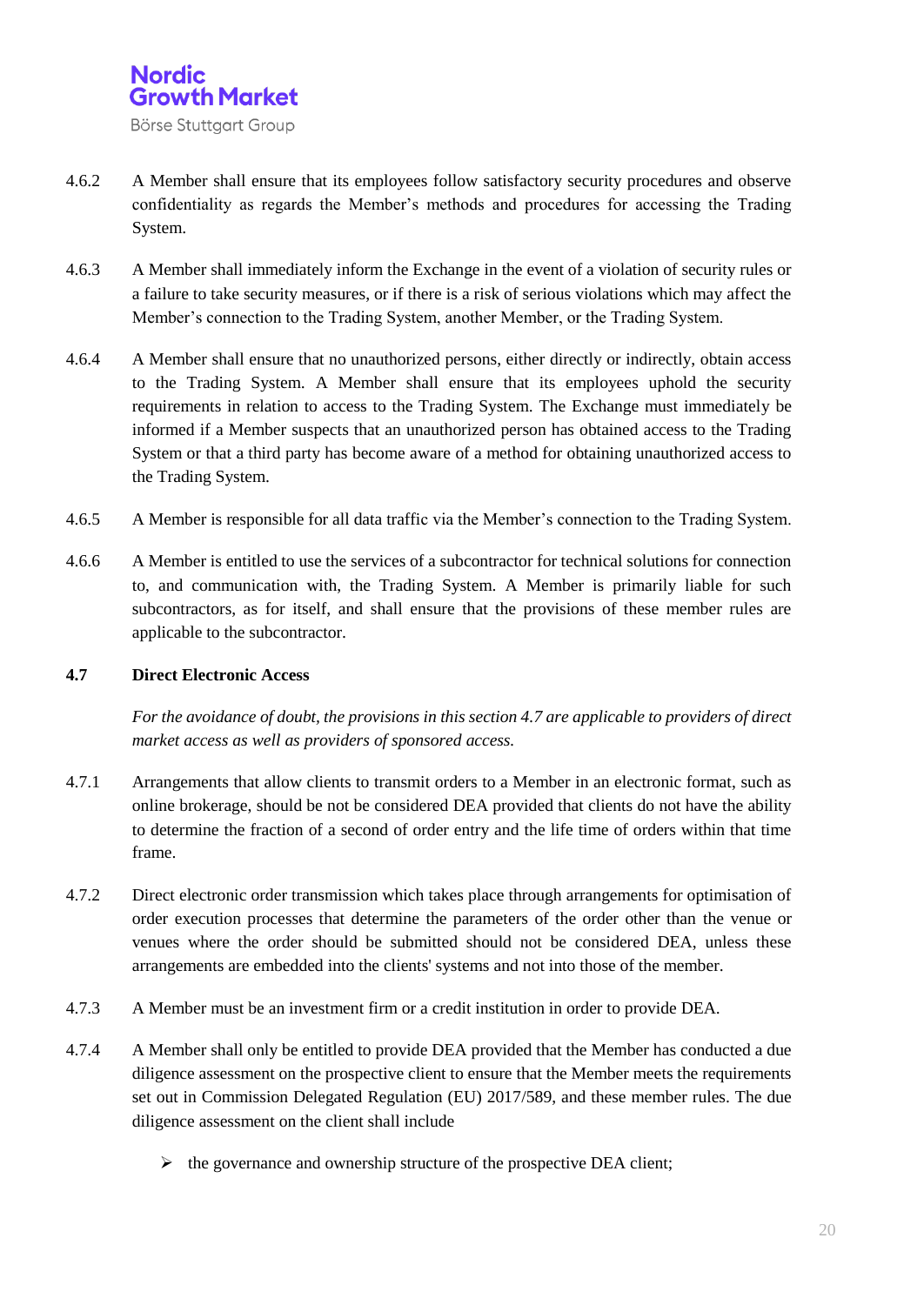

- 4.6.2 A Member shall ensure that its employees follow satisfactory security procedures and observe confidentiality as regards the Member's methods and procedures for accessing the Trading System.
- 4.6.3 A Member shall immediately inform the Exchange in the event of a violation of security rules or a failure to take security measures, or if there is a risk of serious violations which may affect the Member's connection to the Trading System, another Member, or the Trading System.
- 4.6.4 A Member shall ensure that no unauthorized persons, either directly or indirectly, obtain access to the Trading System. A Member shall ensure that its employees uphold the security requirements in relation to access to the Trading System. The Exchange must immediately be informed if a Member suspects that an unauthorized person has obtained access to the Trading System or that a third party has become aware of a method for obtaining unauthorized access to the Trading System.
- 4.6.5 A Member is responsible for all data traffic via the Member's connection to the Trading System.
- 4.6.6 A Member is entitled to use the services of a subcontractor for technical solutions for connection to, and communication with, the Trading System. A Member is primarily liable for such subcontractors, as for itself, and shall ensure that the provisions of these member rules are applicable to the subcontractor.

#### **4.7 Direct Electronic Access**

*For the avoidance of doubt, the provisions in this section 4.7 are applicable to providers of direct market access as well as providers of sponsored access.*

- 4.7.1 Arrangements that allow clients to transmit orders to a Member in an electronic format, such as online brokerage, should be not be considered DEA provided that clients do not have the ability to determine the fraction of a second of order entry and the life time of orders within that time frame.
- 4.7.2 Direct electronic order transmission which takes place through arrangements for optimisation of order execution processes that determine the parameters of the order other than the venue or venues where the order should be submitted should not be considered DEA, unless these arrangements are embedded into the clients' systems and not into those of the member.
- 4.7.3 A Member must be an investment firm or a credit institution in order to provide DEA.
- 4.7.4 A Member shall only be entitled to provide DEA provided that the Member has conducted a due diligence assessment on the prospective client to ensure that the Member meets the requirements set out in Commission Delegated Regulation (EU) 2017/589, and these member rules. The due diligence assessment on the client shall include
	- $\triangleright$  the governance and ownership structure of the prospective DEA client;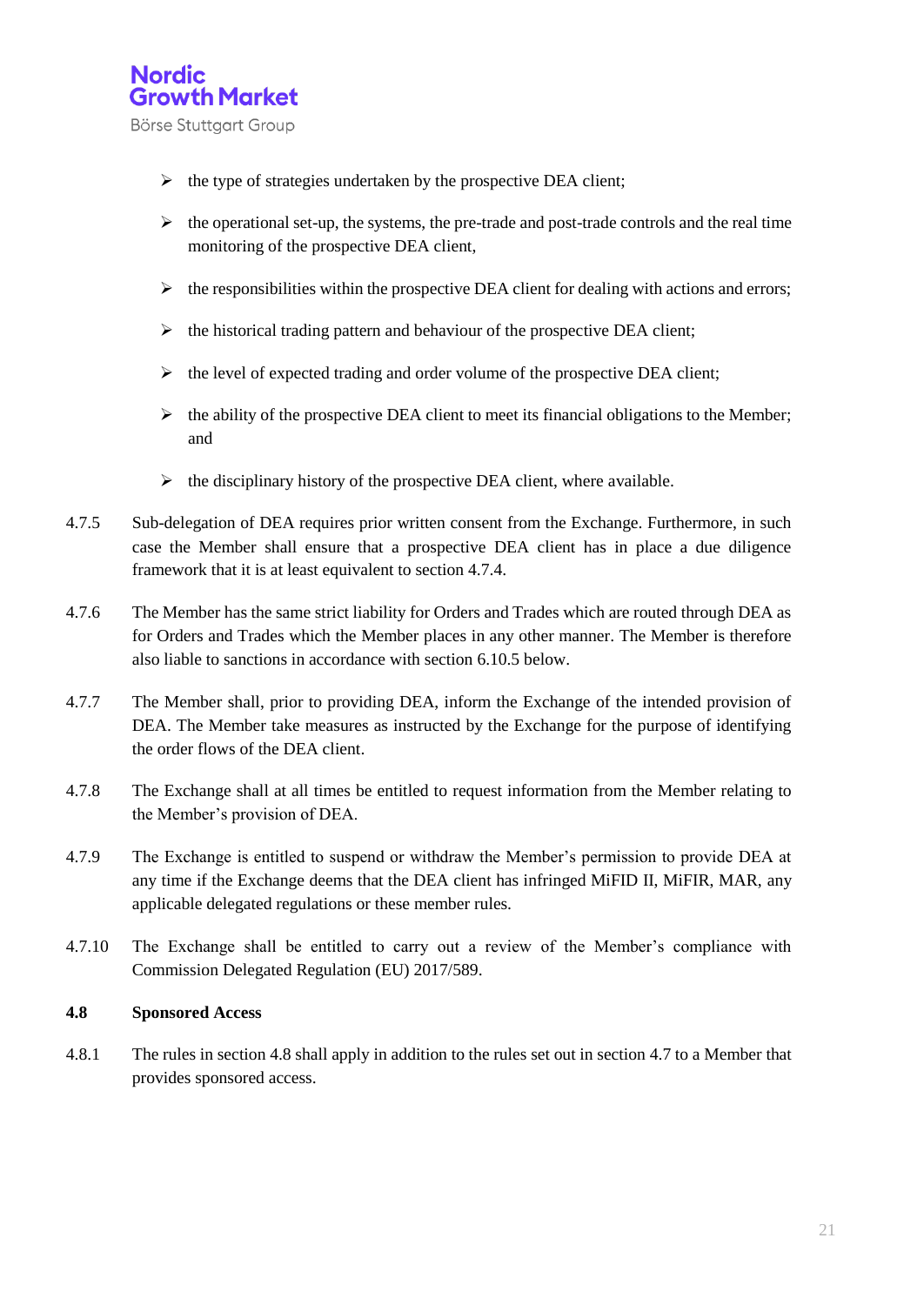

- $\triangleright$  the type of strategies undertaken by the prospective DEA client;
- $\triangleright$  the operational set-up, the systems, the pre-trade and post-trade controls and the real time monitoring of the prospective DEA client,
- $\triangleright$  the responsibilities within the prospective DEA client for dealing with actions and errors;
- $\triangleright$  the historical trading pattern and behaviour of the prospective DEA client;
- $\triangleright$  the level of expected trading and order volume of the prospective DEA client;
- $\triangleright$  the ability of the prospective DEA client to meet its financial obligations to the Member; and
- $\triangleright$  the disciplinary history of the prospective DEA client, where available.
- 4.7.5 Sub-delegation of DEA requires prior written consent from the Exchange. Furthermore, in such case the Member shall ensure that a prospective DEA client has in place a due diligence framework that it is at least equivalent to section 4.7.4.
- 4.7.6 The Member has the same strict liability for Orders and Trades which are routed through DEA as for Orders and Trades which the Member places in any other manner. The Member is therefore also liable to sanctions in accordance with section 6.10.5 below.
- 4.7.7 The Member shall, prior to providing DEA, inform the Exchange of the intended provision of DEA. The Member take measures as instructed by the Exchange for the purpose of identifying the order flows of the DEA client.
- 4.7.8 The Exchange shall at all times be entitled to request information from the Member relating to the Member's provision of DEA.
- 4.7.9 The Exchange is entitled to suspend or withdraw the Member's permission to provide DEA at any time if the Exchange deems that the DEA client has infringed MiFID II, MiFIR, MAR, any applicable delegated regulations or these member rules.
- 4.7.10 The Exchange shall be entitled to carry out a review of the Member's compliance with Commission Delegated Regulation (EU) 2017/589.

#### **4.8 Sponsored Access**

4.8.1 The rules in section 4.8 shall apply in addition to the rules set out in section 4.7 to a Member that provides sponsored access.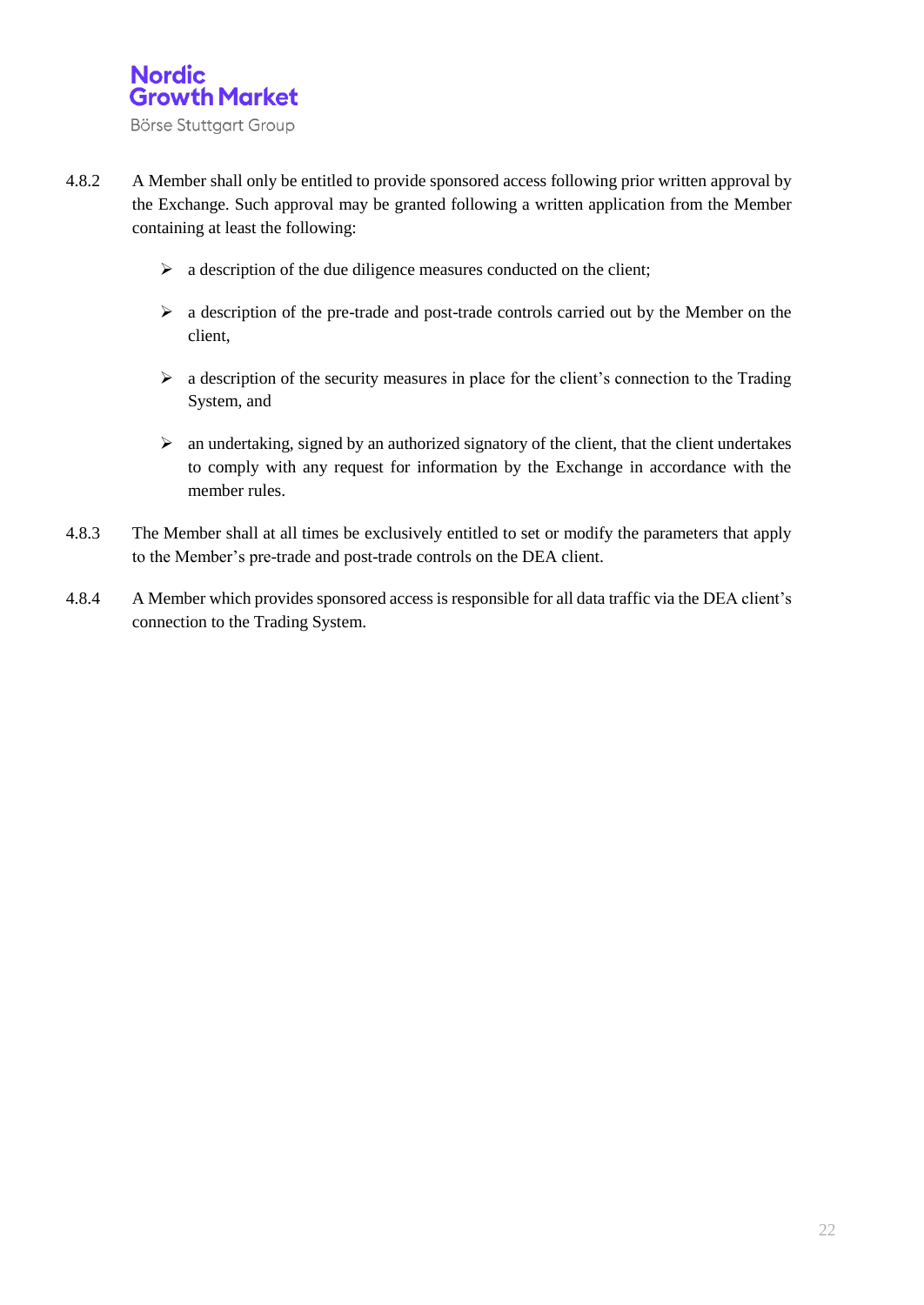

- 4.8.2 A Member shall only be entitled to provide sponsored access following prior written approval by the Exchange. Such approval may be granted following a written application from the Member containing at least the following:
	- $\triangleright$  a description of the due diligence measures conducted on the client;
	- $\triangleright$  a description of the pre-trade and post-trade controls carried out by the Member on the client,
	- $\triangleright$  a description of the security measures in place for the client's connection to the Trading System, and
	- $\triangleright$  an undertaking, signed by an authorized signatory of the client, that the client undertakes to comply with any request for information by the Exchange in accordance with the member rules.
- 4.8.3 The Member shall at all times be exclusively entitled to set or modify the parameters that apply to the Member's pre-trade and post-trade controls on the DEA client.
- 4.8.4 A Member which provides sponsored access is responsible for all data traffic via the DEA client's connection to the Trading System.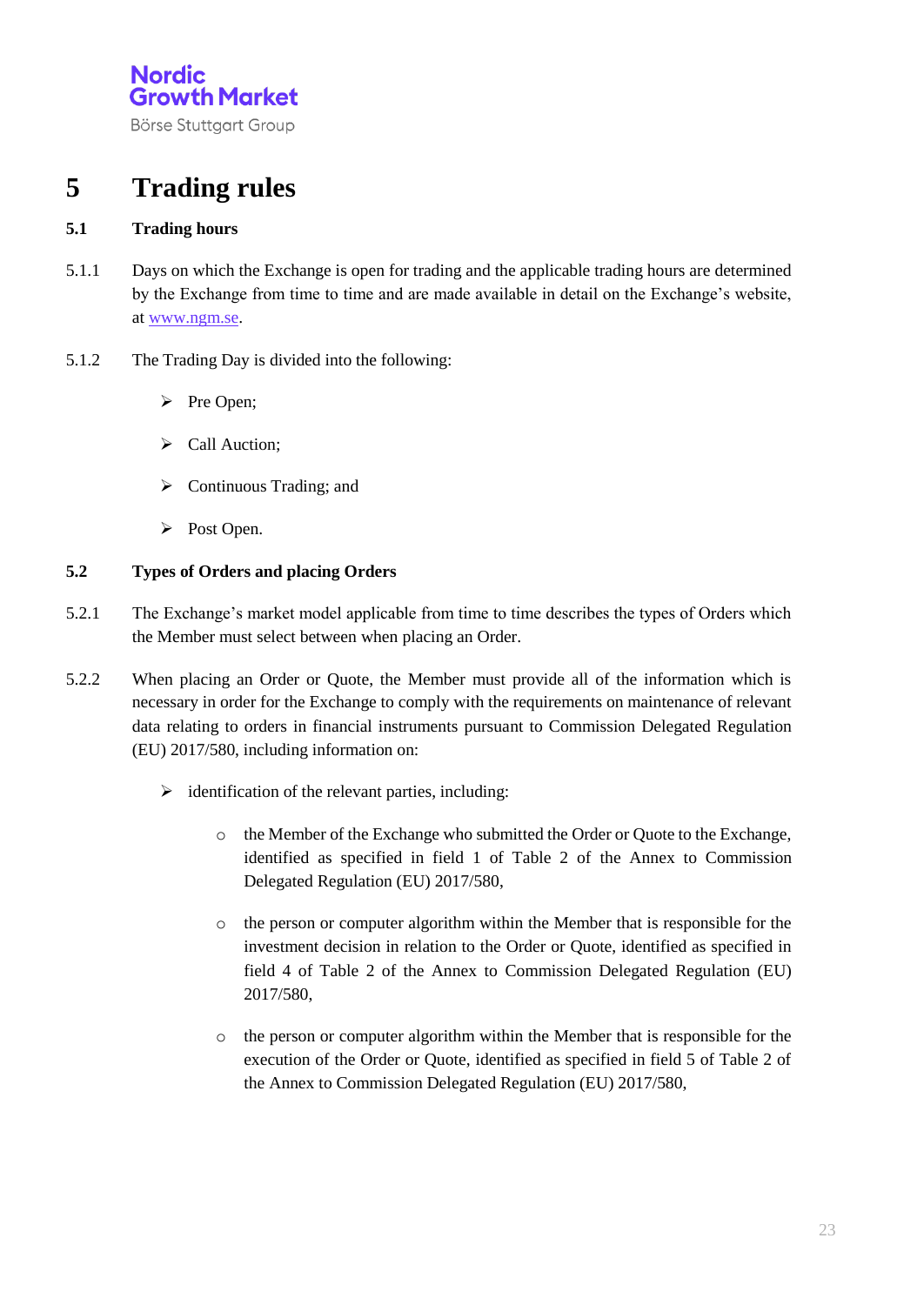Börse Stuttgart Group

## **5 Trading rules**

#### **5.1 Trading hours**

- 5.1.1 Days on which the Exchange is open for trading and the applicable trading hours are determined by the Exchange from time to time and are made available in detail on the Exchange's website, a[t www.ngm.se.](http://www.ngm.se/)
- 5.1.2 The Trading Day is divided into the following:
	- $\triangleright$  Pre Open;
	- Call Auction;
	- $\triangleright$  Continuous Trading; and
	- $\triangleright$  Post Open.

#### **5.2 Types of Orders and placing Orders**

- 5.2.1 The Exchange's market model applicable from time to time describes the types of Orders which the Member must select between when placing an Order.
- 5.2.2 When placing an Order or Quote, the Member must provide all of the information which is necessary in order for the Exchange to comply with the requirements on maintenance of relevant data relating to orders in financial instruments pursuant to Commission Delegated Regulation (EU) 2017/580, including information on:
	- $\triangleright$  identification of the relevant parties, including:
		- o the Member of the Exchange who submitted the Order or Quote to the Exchange, identified as specified in field 1 of Table 2 of the Annex to Commission Delegated Regulation (EU) 2017/580,
		- o the person or computer algorithm within the Member that is responsible for the investment decision in relation to the Order or Quote, identified as specified in field 4 of Table 2 of the Annex to Commission Delegated Regulation (EU) 2017/580,
		- o the person or computer algorithm within the Member that is responsible for the execution of the Order or Quote, identified as specified in field 5 of Table 2 of the Annex to Commission Delegated Regulation (EU) 2017/580,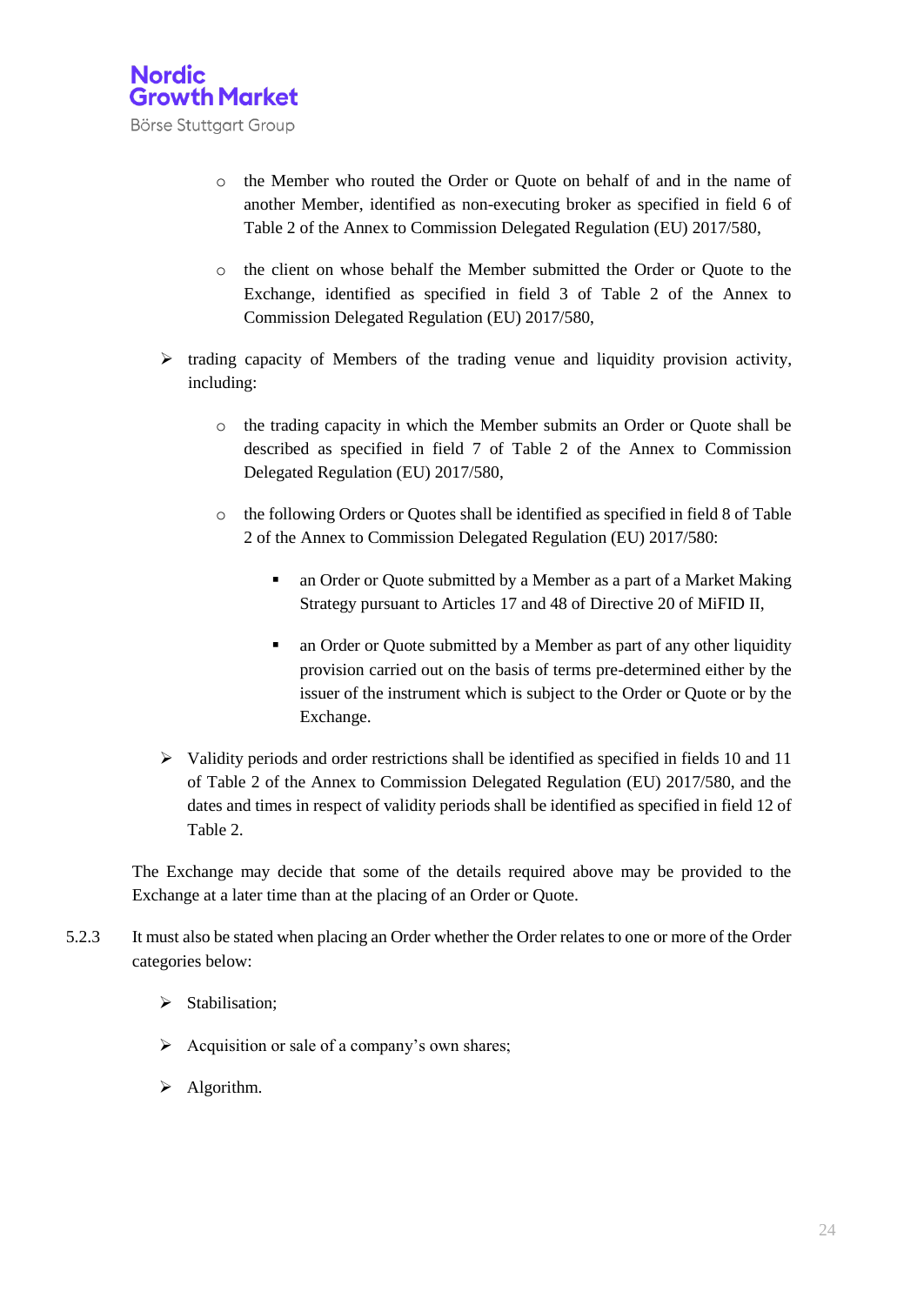

- o the Member who routed the Order or Quote on behalf of and in the name of another Member, identified as non-executing broker as specified in field 6 of Table 2 of the Annex to Commission Delegated Regulation (EU) 2017/580,
- o the client on whose behalf the Member submitted the Order or Quote to the Exchange, identified as specified in field 3 of Table 2 of the Annex to Commission Delegated Regulation (EU) 2017/580,
- $\triangleright$  trading capacity of Members of the trading venue and liquidity provision activity, including:
	- o the trading capacity in which the Member submits an Order or Quote shall be described as specified in field 7 of Table 2 of the Annex to Commission Delegated Regulation (EU) 2017/580,
	- o the following Orders or Quotes shall be identified as specified in field 8 of Table 2 of the Annex to Commission Delegated Regulation (EU) 2017/580:
		- an Order or Quote submitted by a Member as a part of a Market Making Strategy pursuant to Articles 17 and 48 of Directive 20 of MiFID II,
		- an Order or Quote submitted by a Member as part of any other liquidity provision carried out on the basis of terms pre-determined either by the issuer of the instrument which is subject to the Order or Quote or by the Exchange.
- $\triangleright$  Validity periods and order restrictions shall be identified as specified in fields 10 and 11 of Table 2 of the Annex to Commission Delegated Regulation (EU) 2017/580, and the dates and times in respect of validity periods shall be identified as specified in field 12 of Table 2.

The Exchange may decide that some of the details required above may be provided to the Exchange at a later time than at the placing of an Order or Quote.

- 5.2.3 It must also be stated when placing an Order whether the Order relates to one or more of the Order categories below:
	- $\triangleright$  Stabilisation;
	- $\triangleright$  Acquisition or sale of a company's own shares;
	- $\triangleright$  Algorithm.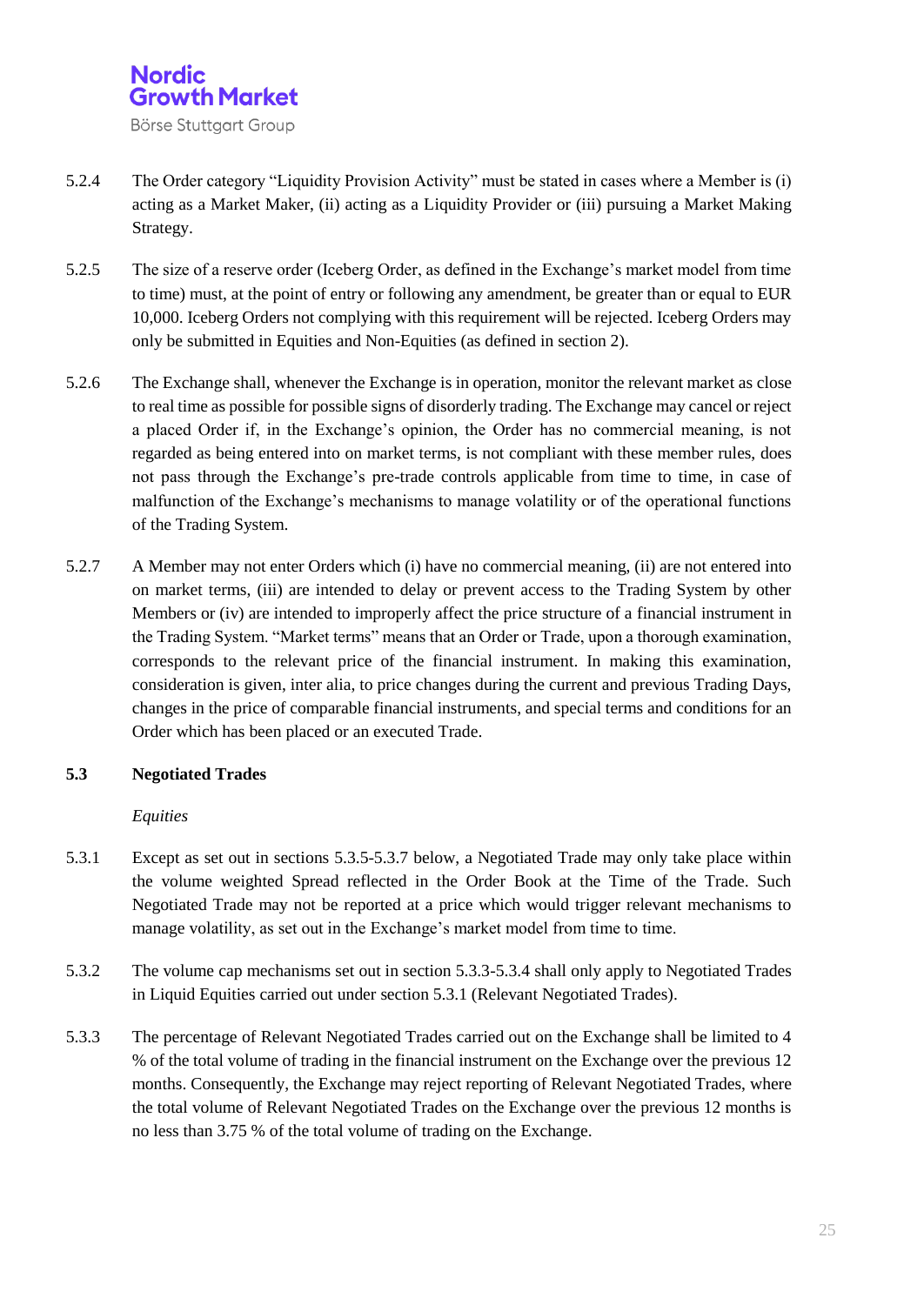

- 5.2.4 The Order category "Liquidity Provision Activity" must be stated in cases where a Member is (i) acting as a Market Maker, (ii) acting as a Liquidity Provider or (iii) pursuing a Market Making Strategy.
- 5.2.5 The size of a reserve order (Iceberg Order, as defined in the Exchange's market model from time to time) must, at the point of entry or following any amendment, be greater than or equal to EUR 10,000. Iceberg Orders not complying with this requirement will be rejected. Iceberg Orders may only be submitted in Equities and Non-Equities (as defined in section 2).
- 5.2.6 The Exchange shall, whenever the Exchange is in operation, monitor the relevant market as close to real time as possible for possible signs of disorderly trading. The Exchange may cancel or reject a placed Order if, in the Exchange's opinion, the Order has no commercial meaning, is not regarded as being entered into on market terms, is not compliant with these member rules, does not pass through the Exchange's pre-trade controls applicable from time to time, in case of malfunction of the Exchange's mechanisms to manage volatility or of the operational functions of the Trading System.
- 5.2.7 A Member may not enter Orders which (i) have no commercial meaning, (ii) are not entered into on market terms, (iii) are intended to delay or prevent access to the Trading System by other Members or (iv) are intended to improperly affect the price structure of a financial instrument in the Trading System. "Market terms" means that an Order or Trade, upon a thorough examination, corresponds to the relevant price of the financial instrument. In making this examination, consideration is given, inter alia, to price changes during the current and previous Trading Days, changes in the price of comparable financial instruments, and special terms and conditions for an Order which has been placed or an executed Trade.

#### **5.3 Negotiated Trades**

#### *Equities*

- 5.3.1 Except as set out in sections 5.3.5-5.3.7 below, a Negotiated Trade may only take place within the volume weighted Spread reflected in the Order Book at the Time of the Trade. Such Negotiated Trade may not be reported at a price which would trigger relevant mechanisms to manage volatility, as set out in the Exchange's market model from time to time.
- 5.3.2 The volume cap mechanisms set out in section 5.3.3-5.3.4 shall only apply to Negotiated Trades in Liquid Equities carried out under section 5.3.1 (Relevant Negotiated Trades).
- 5.3.3 The percentage of Relevant Negotiated Trades carried out on the Exchange shall be limited to 4 % of the total volume of trading in the financial instrument on the Exchange over the previous 12 months. Consequently, the Exchange may reject reporting of Relevant Negotiated Trades, where the total volume of Relevant Negotiated Trades on the Exchange over the previous 12 months is no less than 3.75 % of the total volume of trading on the Exchange.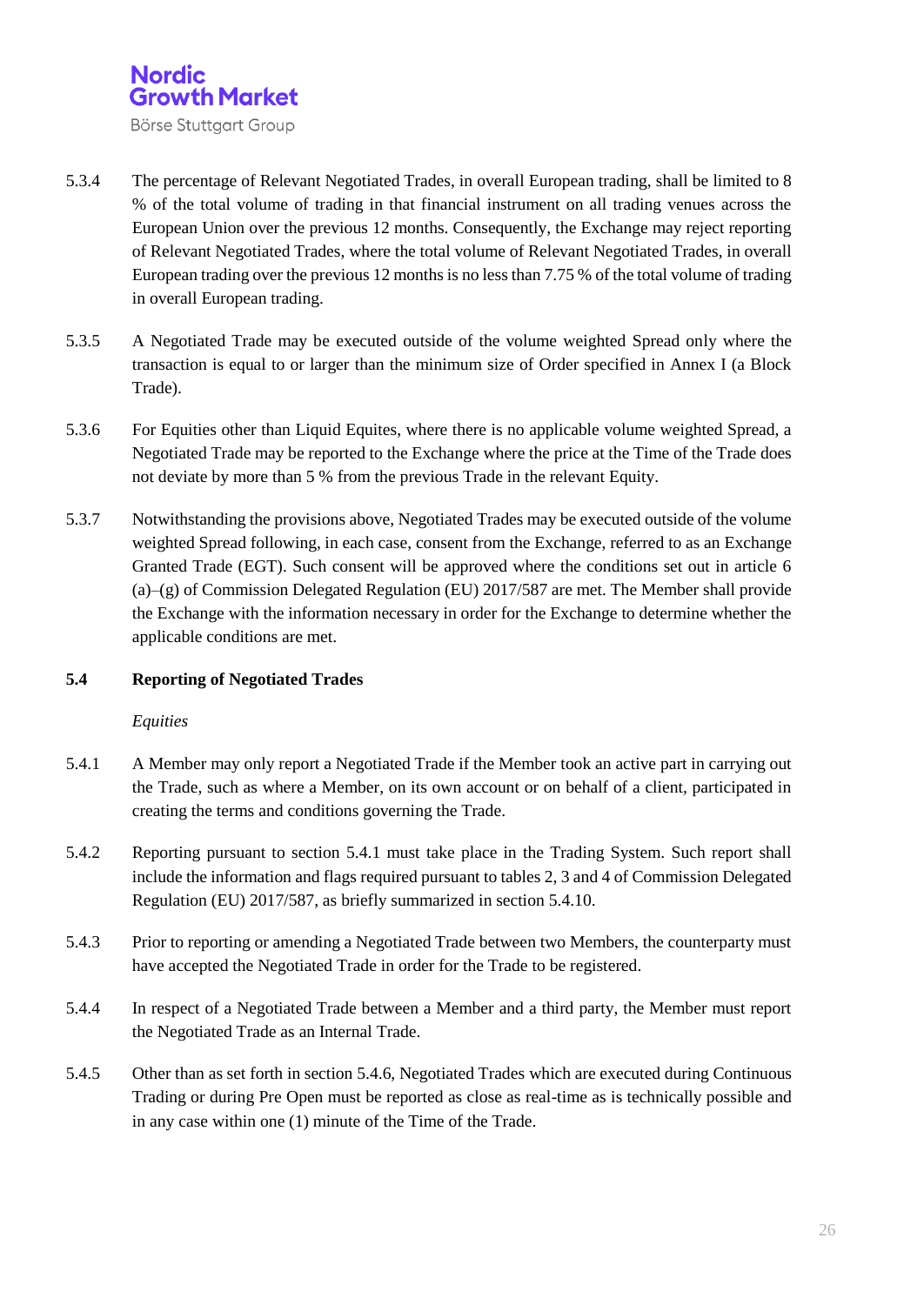

- 5.3.4 The percentage of Relevant Negotiated Trades, in overall European trading, shall be limited to 8 % of the total volume of trading in that financial instrument on all trading venues across the European Union over the previous 12 months. Consequently, the Exchange may reject reporting of Relevant Negotiated Trades, where the total volume of Relevant Negotiated Trades, in overall European trading over the previous 12 months is no less than 7.75 % of the total volume of trading in overall European trading.
- 5.3.5 A Negotiated Trade may be executed outside of the volume weighted Spread only where the transaction is equal to or larger than the minimum size of Order specified in Annex I (a Block Trade).
- 5.3.6 For Equities other than Liquid Equites, where there is no applicable volume weighted Spread, a Negotiated Trade may be reported to the Exchange where the price at the Time of the Trade does not deviate by more than 5 % from the previous Trade in the relevant Equity.
- 5.3.7 Notwithstanding the provisions above, Negotiated Trades may be executed outside of the volume weighted Spread following, in each case, consent from the Exchange, referred to as an Exchange Granted Trade (EGT). Such consent will be approved where the conditions set out in article 6  $(a)$ –(g) of Commission Delegated Regulation (EU) 2017/587 are met. The Member shall provide the Exchange with the information necessary in order for the Exchange to determine whether the applicable conditions are met.

#### **5.4 Reporting of Negotiated Trades**

#### *Equities*

- 5.4.1 A Member may only report a Negotiated Trade if the Member took an active part in carrying out the Trade, such as where a Member, on its own account or on behalf of a client, participated in creating the terms and conditions governing the Trade.
- 5.4.2 Reporting pursuant to section 5.4.1 must take place in the Trading System. Such report shall include the information and flags required pursuant to tables 2, 3 and 4 of Commission Delegated Regulation (EU) 2017/587, as briefly summarized in section 5.4.10.
- 5.4.3 Prior to reporting or amending a Negotiated Trade between two Members, the counterparty must have accepted the Negotiated Trade in order for the Trade to be registered.
- 5.4.4 In respect of a Negotiated Trade between a Member and a third party, the Member must report the Negotiated Trade as an Internal Trade.
- 5.4.5 Other than as set forth in section 5.4.6, Negotiated Trades which are executed during Continuous Trading or during Pre Open must be reported as close as real-time as is technically possible and in any case within one (1) minute of the Time of the Trade.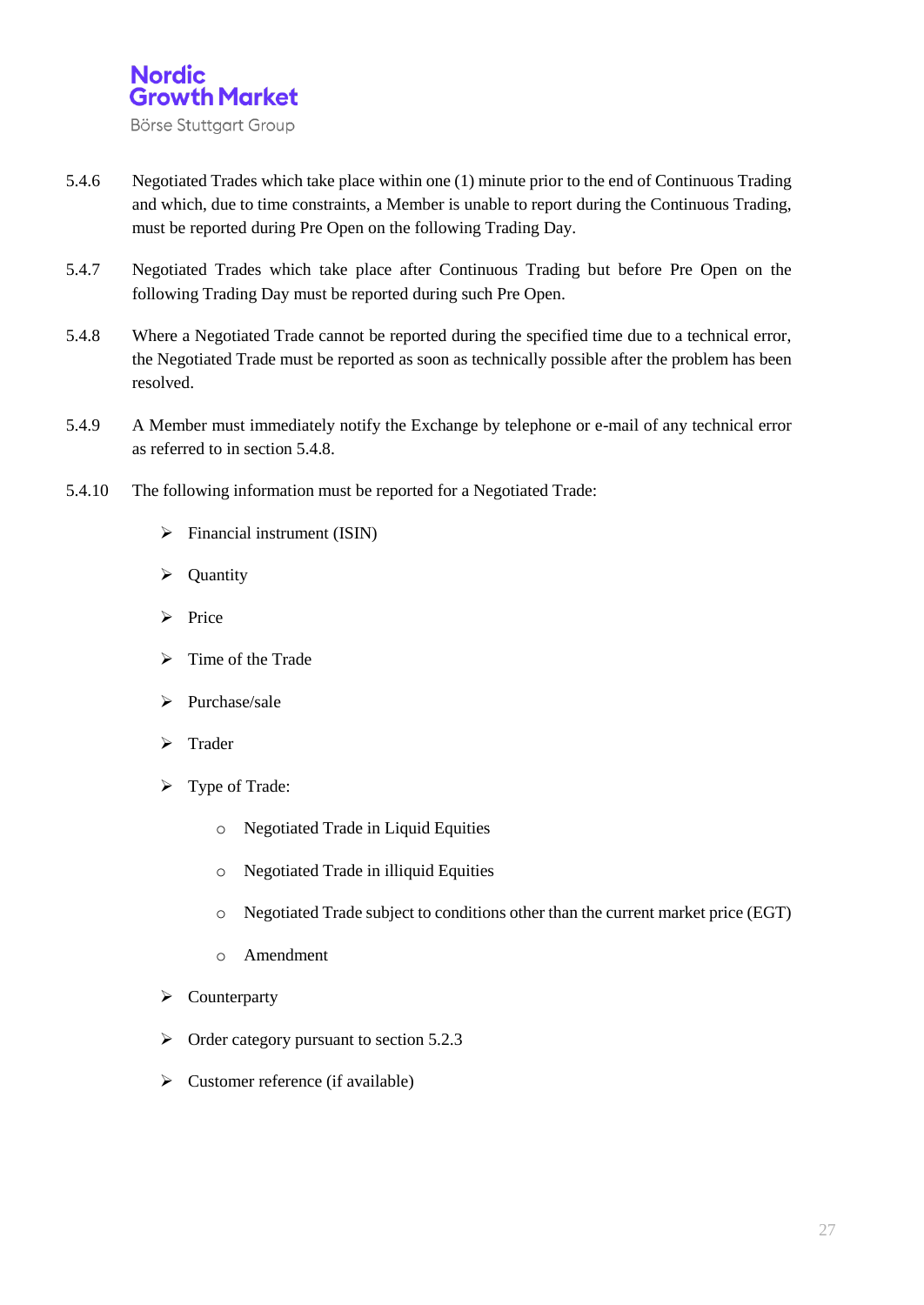

- 5.4.6 Negotiated Trades which take place within one (1) minute prior to the end of Continuous Trading and which, due to time constraints, a Member is unable to report during the Continuous Trading, must be reported during Pre Open on the following Trading Day.
- 5.4.7 Negotiated Trades which take place after Continuous Trading but before Pre Open on the following Trading Day must be reported during such Pre Open.
- 5.4.8 Where a Negotiated Trade cannot be reported during the specified time due to a technical error, the Negotiated Trade must be reported as soon as technically possible after the problem has been resolved.
- 5.4.9 A Member must immediately notify the Exchange by telephone or e-mail of any technical error as referred to in section 5.4.8.
- 5.4.10 The following information must be reported for a Negotiated Trade:
	- $\triangleright$  Financial instrument (ISIN)
	- $\triangleright$  Quantity
	- $\triangleright$  Price
	- $\triangleright$  Time of the Trade
	- $\triangleright$  Purchase/sale
	- > Trader
	- > Type of Trade:
		- o Negotiated Trade in Liquid Equities
		- o Negotiated Trade in illiquid Equities
		- o Negotiated Trade subject to conditions other than the current market price (EGT)
		- o Amendment
	- $\triangleright$  Counterparty
	- $\triangleright$  Order category pursuant to section 5.2.3
	- $\triangleright$  Customer reference (if available)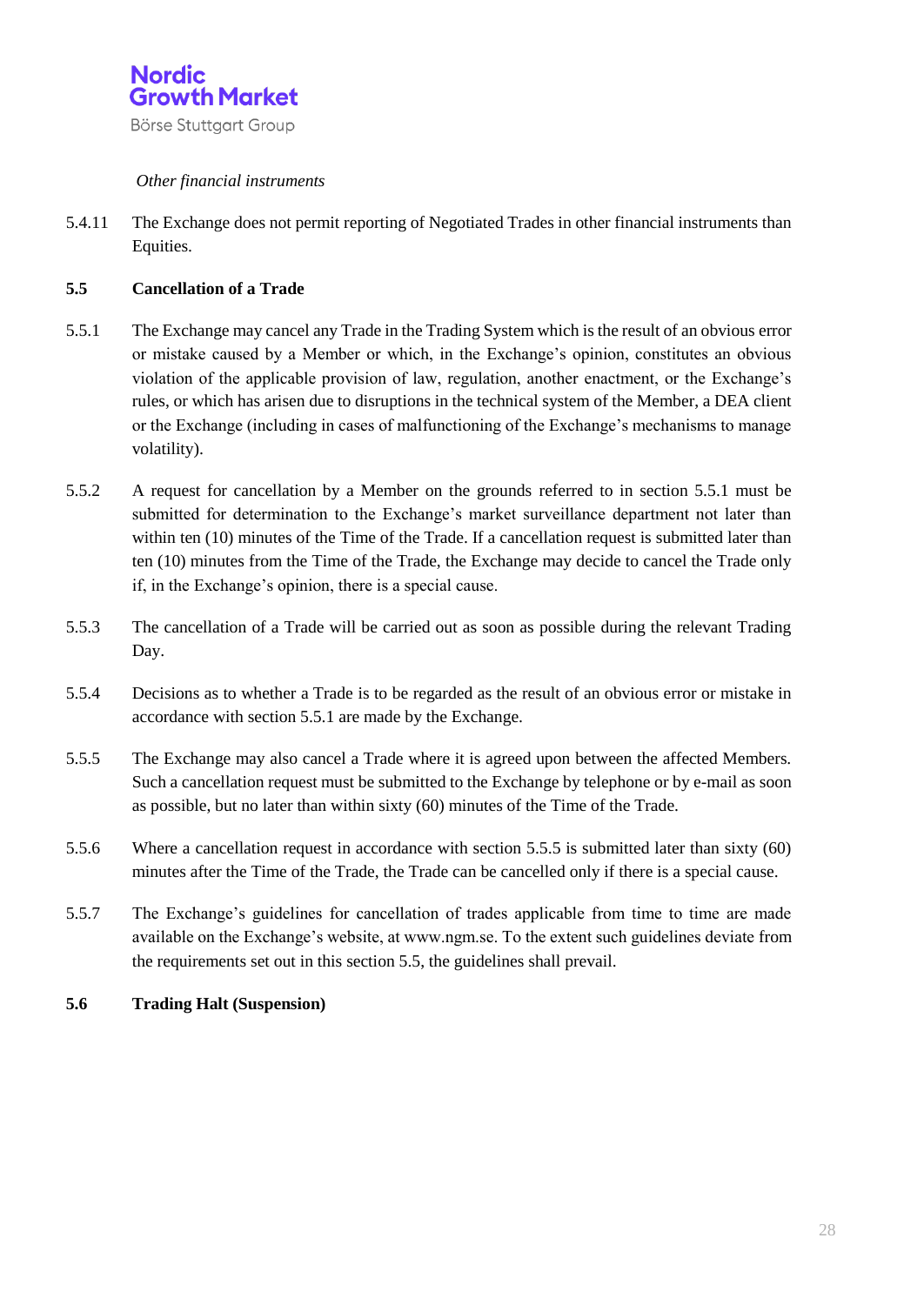

#### *Other financial instruments*

5.4.11 The Exchange does not permit reporting of Negotiated Trades in other financial instruments than Equities.

#### **5.5 Cancellation of a Trade**

- 5.5.1 The Exchange may cancel any Trade in the Trading System which is the result of an obvious error or mistake caused by a Member or which, in the Exchange's opinion, constitutes an obvious violation of the applicable provision of law, regulation, another enactment, or the Exchange's rules, or which has arisen due to disruptions in the technical system of the Member, a DEA client or the Exchange (including in cases of malfunctioning of the Exchange's mechanisms to manage volatility).
- 5.5.2 A request for cancellation by a Member on the grounds referred to in section 5.5.1 must be submitted for determination to the Exchange's market surveillance department not later than within ten (10) minutes of the Time of the Trade. If a cancellation request is submitted later than ten (10) minutes from the Time of the Trade, the Exchange may decide to cancel the Trade only if, in the Exchange's opinion, there is a special cause.
- 5.5.3 The cancellation of a Trade will be carried out as soon as possible during the relevant Trading Day.
- 5.5.4 Decisions as to whether a Trade is to be regarded as the result of an obvious error or mistake in accordance with section 5.5.1 are made by the Exchange.
- 5.5.5 The Exchange may also cancel a Trade where it is agreed upon between the affected Members. Such a cancellation request must be submitted to the Exchange by telephone or by e-mail as soon as possible, but no later than within sixty (60) minutes of the Time of the Trade.
- 5.5.6 Where a cancellation request in accordance with section 5.5.5 is submitted later than sixty (60) minutes after the Time of the Trade, the Trade can be cancelled only if there is a special cause.
- 5.5.7 The Exchange's guidelines for cancellation of trades applicable from time to time are made available on the Exchange's website, at www.ngm.se. To the extent such guidelines deviate from the requirements set out in this section 5.5, the guidelines shall prevail.
- **5.6 Trading Halt (Suspension)**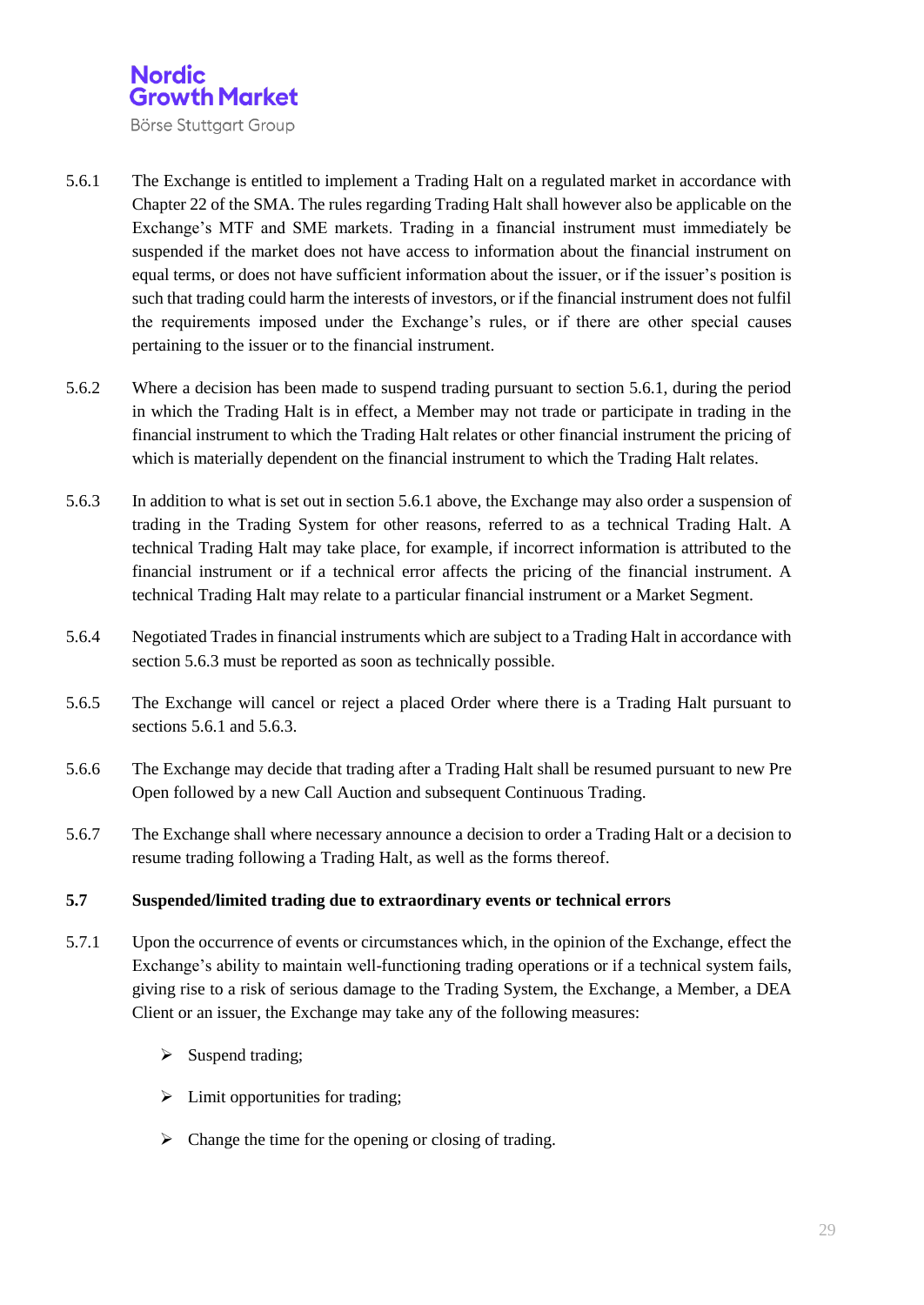

- 5.6.1 The Exchange is entitled to implement a Trading Halt on a regulated market in accordance with Chapter 22 of the SMA. The rules regarding Trading Halt shall however also be applicable on the Exchange's MTF and SME markets. Trading in a financial instrument must immediately be suspended if the market does not have access to information about the financial instrument on equal terms, or does not have sufficient information about the issuer, or if the issuer's position is such that trading could harm the interests of investors, or if the financial instrument does not fulfil the requirements imposed under the Exchange's rules, or if there are other special causes pertaining to the issuer or to the financial instrument.
- 5.6.2 Where a decision has been made to suspend trading pursuant to section 5.6.1, during the period in which the Trading Halt is in effect, a Member may not trade or participate in trading in the financial instrument to which the Trading Halt relates or other financial instrument the pricing of which is materially dependent on the financial instrument to which the Trading Halt relates.
- 5.6.3 In addition to what is set out in section 5.6.1 above, the Exchange may also order a suspension of trading in the Trading System for other reasons, referred to as a technical Trading Halt. A technical Trading Halt may take place, for example, if incorrect information is attributed to the financial instrument or if a technical error affects the pricing of the financial instrument. A technical Trading Halt may relate to a particular financial instrument or a Market Segment.
- 5.6.4 Negotiated Trades in financial instruments which are subject to a Trading Halt in accordance with section 5.6.3 must be reported as soon as technically possible.
- 5.6.5 The Exchange will cancel or reject a placed Order where there is a Trading Halt pursuant to sections 5.6.1 and 5.6.3.
- 5.6.6 The Exchange may decide that trading after a Trading Halt shall be resumed pursuant to new Pre Open followed by a new Call Auction and subsequent Continuous Trading.
- 5.6.7 The Exchange shall where necessary announce a decision to order a Trading Halt or a decision to resume trading following a Trading Halt, as well as the forms thereof.

#### **5.7 Suspended/limited trading due to extraordinary events or technical errors**

- 5.7.1 Upon the occurrence of events or circumstances which, in the opinion of the Exchange, effect the Exchange's ability to maintain well-functioning trading operations or if a technical system fails, giving rise to a risk of serious damage to the Trading System, the Exchange, a Member, a DEA Client or an issuer, the Exchange may take any of the following measures:
	- $\triangleright$  Suspend trading;
	- $\triangleright$  Limit opportunities for trading;
	- $\triangleright$  Change the time for the opening or closing of trading.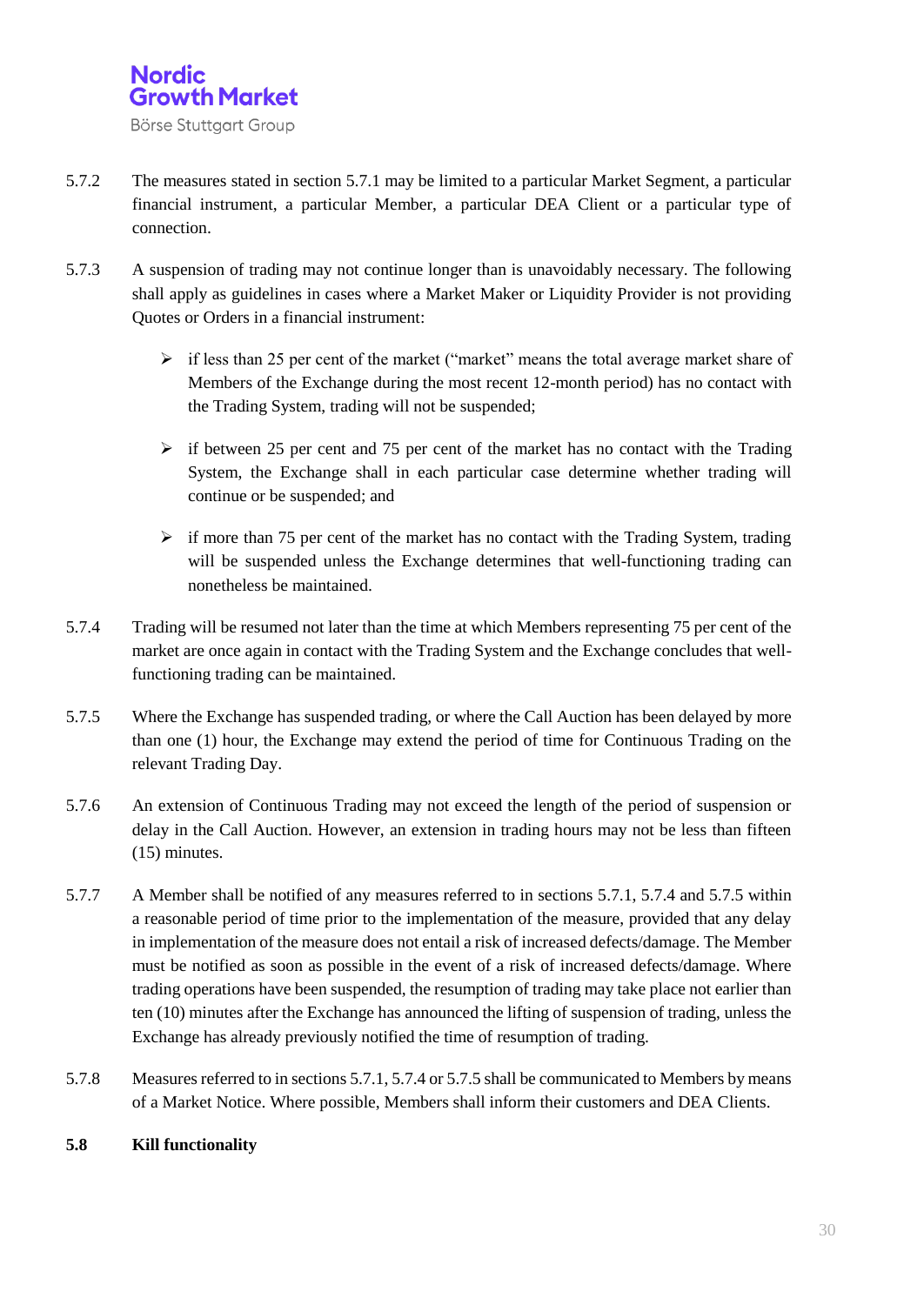

- 5.7.2 The measures stated in section 5.7.1 may be limited to a particular Market Segment, a particular financial instrument, a particular Member, a particular DEA Client or a particular type of connection.
- 5.7.3 A suspension of trading may not continue longer than is unavoidably necessary. The following shall apply as guidelines in cases where a Market Maker or Liquidity Provider is not providing Quotes or Orders in a financial instrument:
	- $\triangleright$  if less than 25 per cent of the market ("market" means the total average market share of Members of the Exchange during the most recent 12-month period) has no contact with the Trading System, trading will not be suspended;
	- $\geq$  if between 25 per cent and 75 per cent of the market has no contact with the Trading System, the Exchange shall in each particular case determine whether trading will continue or be suspended; and
	- $\triangleright$  if more than 75 per cent of the market has no contact with the Trading System, trading will be suspended unless the Exchange determines that well-functioning trading can nonetheless be maintained.
- 5.7.4 Trading will be resumed not later than the time at which Members representing 75 per cent of the market are once again in contact with the Trading System and the Exchange concludes that wellfunctioning trading can be maintained.
- 5.7.5 Where the Exchange has suspended trading, or where the Call Auction has been delayed by more than one (1) hour, the Exchange may extend the period of time for Continuous Trading on the relevant Trading Day.
- 5.7.6 An extension of Continuous Trading may not exceed the length of the period of suspension or delay in the Call Auction. However, an extension in trading hours may not be less than fifteen (15) minutes.
- 5.7.7 A Member shall be notified of any measures referred to in sections 5.7.1, 5.7.4 and 5.7.5 within a reasonable period of time prior to the implementation of the measure, provided that any delay in implementation of the measure does not entail a risk of increased defects/damage. The Member must be notified as soon as possible in the event of a risk of increased defects/damage. Where trading operations have been suspended, the resumption of trading may take place not earlier than ten (10) minutes after the Exchange has announced the lifting of suspension of trading, unless the Exchange has already previously notified the time of resumption of trading.
- 5.7.8 Measures referred to in sections 5.7.1, 5.7.4 or 5.7.5 shall be communicated to Members by means of a Market Notice. Where possible, Members shall inform their customers and DEA Clients.

#### **5.8 Kill functionality**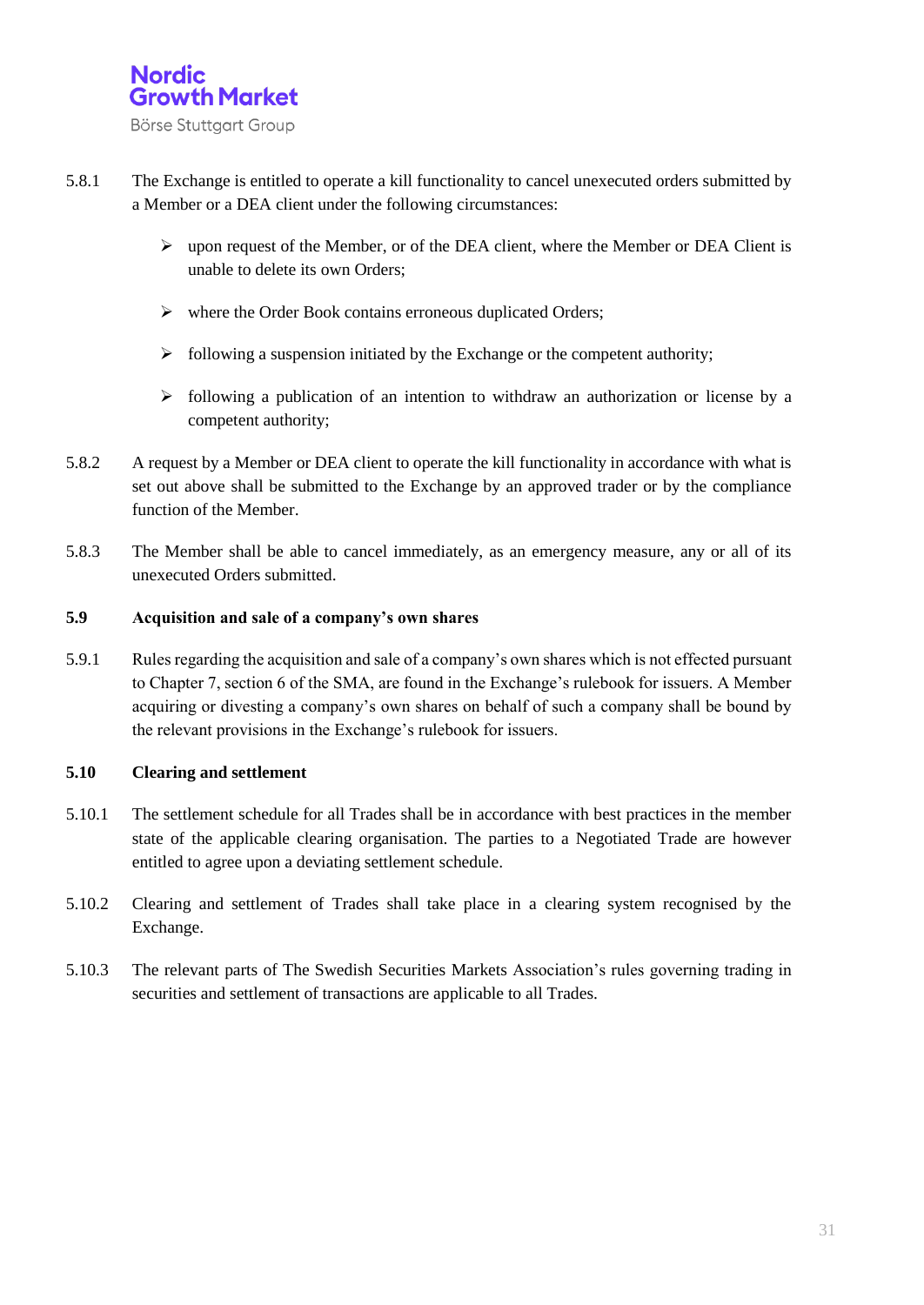

- 5.8.1 The Exchange is entitled to operate a kill functionality to cancel unexecuted orders submitted by a Member or a DEA client under the following circumstances:
	- upon request of the Member, or of the DEA client, where the Member or DEA Client is unable to delete its own Orders;
	- $\triangleright$  where the Order Book contains erroneous duplicated Orders;
	- $\triangleright$  following a suspension initiated by the Exchange or the competent authority;
	- $\triangleright$  following a publication of an intention to withdraw an authorization or license by a competent authority;
- 5.8.2 A request by a Member or DEA client to operate the kill functionality in accordance with what is set out above shall be submitted to the Exchange by an approved trader or by the compliance function of the Member.
- 5.8.3 The Member shall be able to cancel immediately, as an emergency measure, any or all of its unexecuted Orders submitted.

#### **5.9 Acquisition and sale of a company's own shares**

5.9.1 Rules regarding the acquisition and sale of a company's own shares which is not effected pursuant to Chapter 7, section 6 of the SMA, are found in the Exchange's rulebook for issuers. A Member acquiring or divesting a company's own shares on behalf of such a company shall be bound by the relevant provisions in the Exchange's rulebook for issuers.

#### **5.10 Clearing and settlement**

- 5.10.1 The settlement schedule for all Trades shall be in accordance with best practices in the member state of the applicable clearing organisation. The parties to a Negotiated Trade are however entitled to agree upon a deviating settlement schedule.
- 5.10.2 Clearing and settlement of Trades shall take place in a clearing system recognised by the Exchange.
- 5.10.3 The relevant parts of The Swedish Securities Markets Association's rules governing trading in securities and settlement of transactions are applicable to all Trades.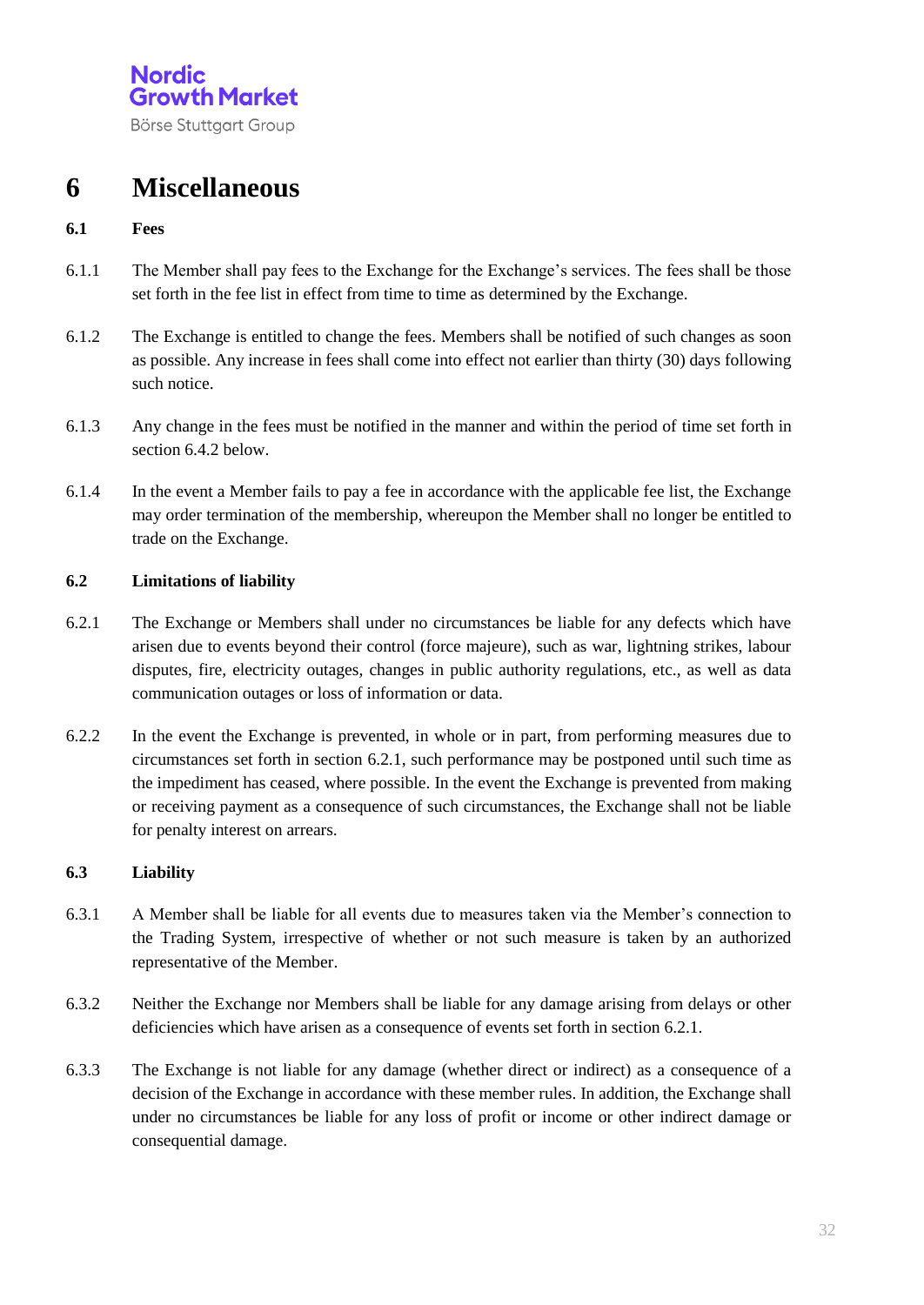Börse Stuttgart Group

## **6 Miscellaneous**

#### **6.1 Fees**

- 6.1.1 The Member shall pay fees to the Exchange for the Exchange's services. The fees shall be those set forth in the fee list in effect from time to time as determined by the Exchange.
- 6.1.2 The Exchange is entitled to change the fees. Members shall be notified of such changes as soon as possible. Any increase in fees shall come into effect not earlier than thirty (30) days following such notice.
- 6.1.3 Any change in the fees must be notified in the manner and within the period of time set forth in section 6.4.2 below.
- 6.1.4 In the event a Member fails to pay a fee in accordance with the applicable fee list, the Exchange may order termination of the membership, whereupon the Member shall no longer be entitled to trade on the Exchange.

#### **6.2 Limitations of liability**

- 6.2.1 The Exchange or Members shall under no circumstances be liable for any defects which have arisen due to events beyond their control (force majeure), such as war, lightning strikes, labour disputes, fire, electricity outages, changes in public authority regulations, etc., as well as data communication outages or loss of information or data.
- 6.2.2 In the event the Exchange is prevented, in whole or in part, from performing measures due to circumstances set forth in section 6.2.1, such performance may be postponed until such time as the impediment has ceased, where possible. In the event the Exchange is prevented from making or receiving payment as a consequence of such circumstances, the Exchange shall not be liable for penalty interest on arrears.

#### **6.3 Liability**

- 6.3.1 A Member shall be liable for all events due to measures taken via the Member's connection to the Trading System, irrespective of whether or not such measure is taken by an authorized representative of the Member.
- 6.3.2 Neither the Exchange nor Members shall be liable for any damage arising from delays or other deficiencies which have arisen as a consequence of events set forth in section 6.2.1.
- 6.3.3 The Exchange is not liable for any damage (whether direct or indirect) as a consequence of a decision of the Exchange in accordance with these member rules. In addition, the Exchange shall under no circumstances be liable for any loss of profit or income or other indirect damage or consequential damage.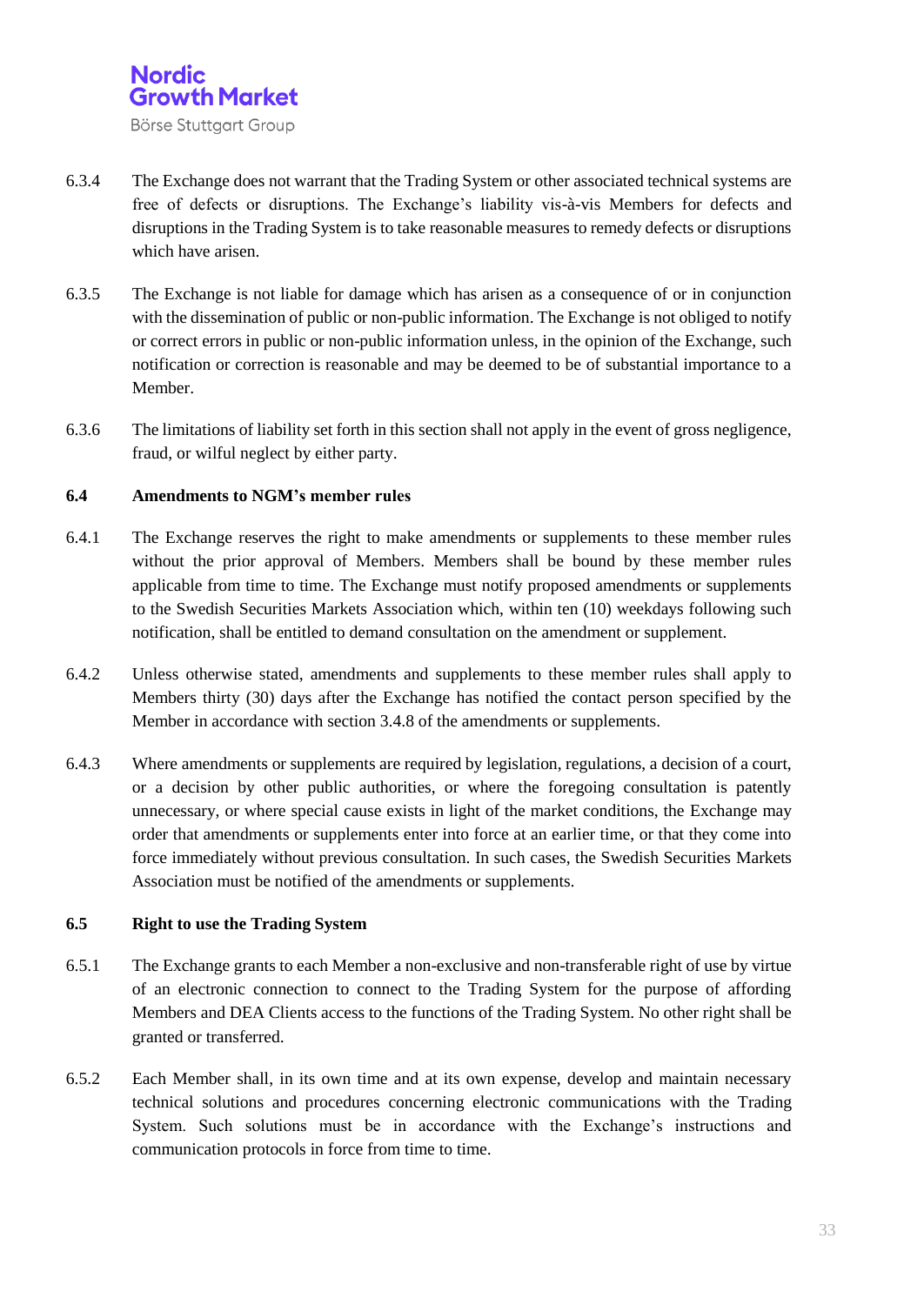

- 6.3.4 The Exchange does not warrant that the Trading System or other associated technical systems are free of defects or disruptions. The Exchange's liability vis-à-vis Members for defects and disruptions in the Trading System is to take reasonable measures to remedy defects or disruptions which have arisen.
- 6.3.5 The Exchange is not liable for damage which has arisen as a consequence of or in conjunction with the dissemination of public or non-public information. The Exchange is not obliged to notify or correct errors in public or non-public information unless, in the opinion of the Exchange, such notification or correction is reasonable and may be deemed to be of substantial importance to a Member.
- 6.3.6 The limitations of liability set forth in this section shall not apply in the event of gross negligence, fraud, or wilful neglect by either party.

#### **6.4 Amendments to NGM's member rules**

- 6.4.1 The Exchange reserves the right to make amendments or supplements to these member rules without the prior approval of Members. Members shall be bound by these member rules applicable from time to time. The Exchange must notify proposed amendments or supplements to the Swedish Securities Markets Association which, within ten (10) weekdays following such notification, shall be entitled to demand consultation on the amendment or supplement.
- 6.4.2 Unless otherwise stated, amendments and supplements to these member rules shall apply to Members thirty (30) days after the Exchange has notified the contact person specified by the Member in accordance with section 3.4.8 of the amendments or supplements.
- 6.4.3 Where amendments or supplements are required by legislation, regulations, a decision of a court, or a decision by other public authorities, or where the foregoing consultation is patently unnecessary, or where special cause exists in light of the market conditions, the Exchange may order that amendments or supplements enter into force at an earlier time, or that they come into force immediately without previous consultation. In such cases, the Swedish Securities Markets Association must be notified of the amendments or supplements.

#### **6.5 Right to use the Trading System**

- 6.5.1 The Exchange grants to each Member a non-exclusive and non-transferable right of use by virtue of an electronic connection to connect to the Trading System for the purpose of affording Members and DEA Clients access to the functions of the Trading System. No other right shall be granted or transferred.
- 6.5.2 Each Member shall, in its own time and at its own expense, develop and maintain necessary technical solutions and procedures concerning electronic communications with the Trading System. Such solutions must be in accordance with the Exchange's instructions and communication protocols in force from time to time.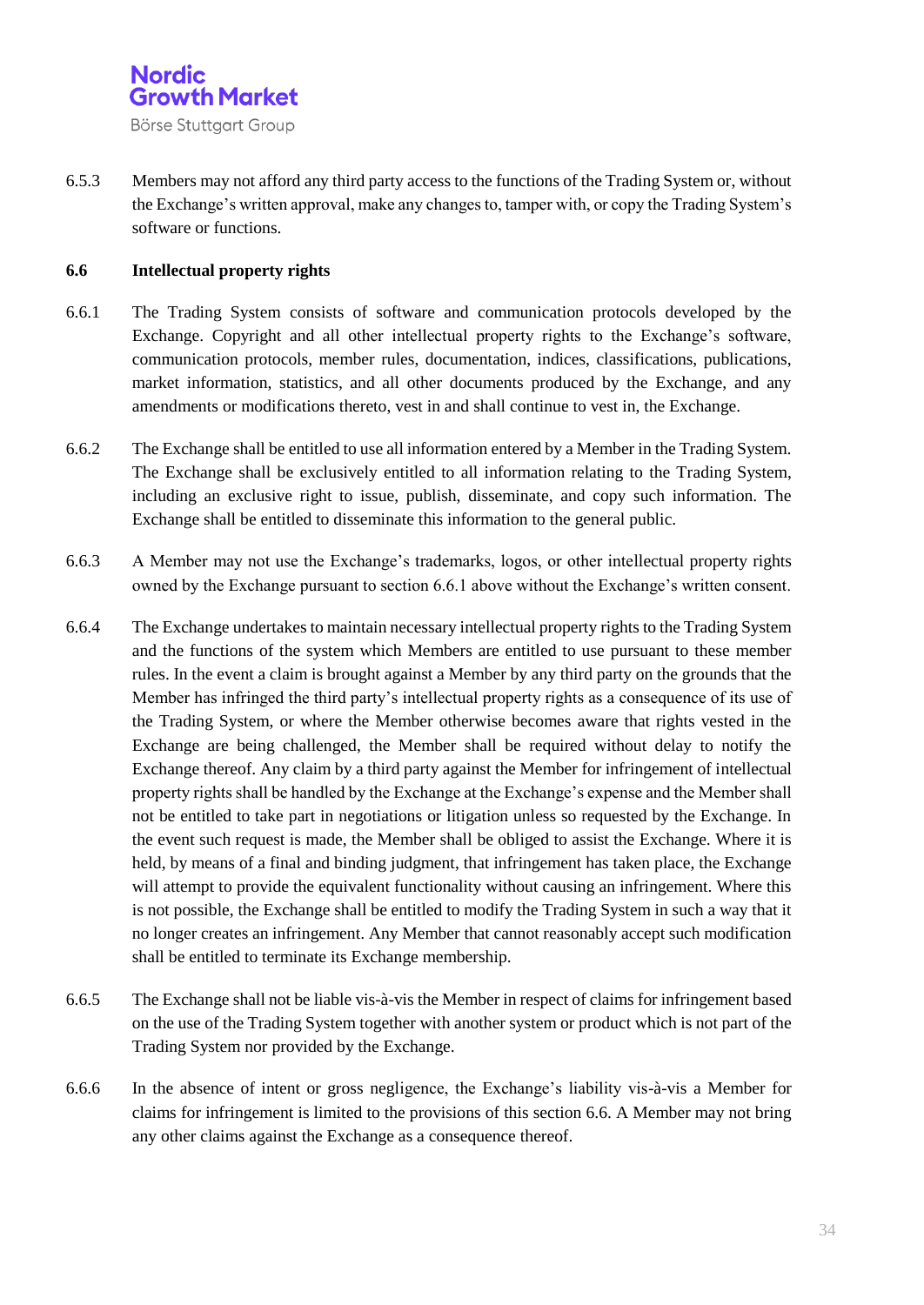

6.5.3 Members may not afford any third party access to the functions of the Trading System or, without the Exchange's written approval, make any changes to, tamper with, or copy the Trading System's software or functions.

#### **6.6 Intellectual property rights**

- 6.6.1 The Trading System consists of software and communication protocols developed by the Exchange. Copyright and all other intellectual property rights to the Exchange's software, communication protocols, member rules, documentation, indices, classifications, publications, market information, statistics, and all other documents produced by the Exchange, and any amendments or modifications thereto, vest in and shall continue to vest in, the Exchange.
- 6.6.2 The Exchange shall be entitled to use all information entered by a Member in the Trading System. The Exchange shall be exclusively entitled to all information relating to the Trading System, including an exclusive right to issue, publish, disseminate, and copy such information. The Exchange shall be entitled to disseminate this information to the general public.
- 6.6.3 A Member may not use the Exchange's trademarks, logos, or other intellectual property rights owned by the Exchange pursuant to section 6.6.1 above without the Exchange's written consent.
- 6.6.4 The Exchange undertakes to maintain necessary intellectual property rights to the Trading System and the functions of the system which Members are entitled to use pursuant to these member rules. In the event a claim is brought against a Member by any third party on the grounds that the Member has infringed the third party's intellectual property rights as a consequence of its use of the Trading System, or where the Member otherwise becomes aware that rights vested in the Exchange are being challenged, the Member shall be required without delay to notify the Exchange thereof. Any claim by a third party against the Member for infringement of intellectual property rights shall be handled by the Exchange at the Exchange's expense and the Member shall not be entitled to take part in negotiations or litigation unless so requested by the Exchange. In the event such request is made, the Member shall be obliged to assist the Exchange. Where it is held, by means of a final and binding judgment, that infringement has taken place, the Exchange will attempt to provide the equivalent functionality without causing an infringement. Where this is not possible, the Exchange shall be entitled to modify the Trading System in such a way that it no longer creates an infringement. Any Member that cannot reasonably accept such modification shall be entitled to terminate its Exchange membership.
- 6.6.5 The Exchange shall not be liable vis-à-vis the Member in respect of claims for infringement based on the use of the Trading System together with another system or product which is not part of the Trading System nor provided by the Exchange.
- 6.6.6 In the absence of intent or gross negligence, the Exchange's liability vis-à-vis a Member for claims for infringement is limited to the provisions of this section 6.6. A Member may not bring any other claims against the Exchange as a consequence thereof.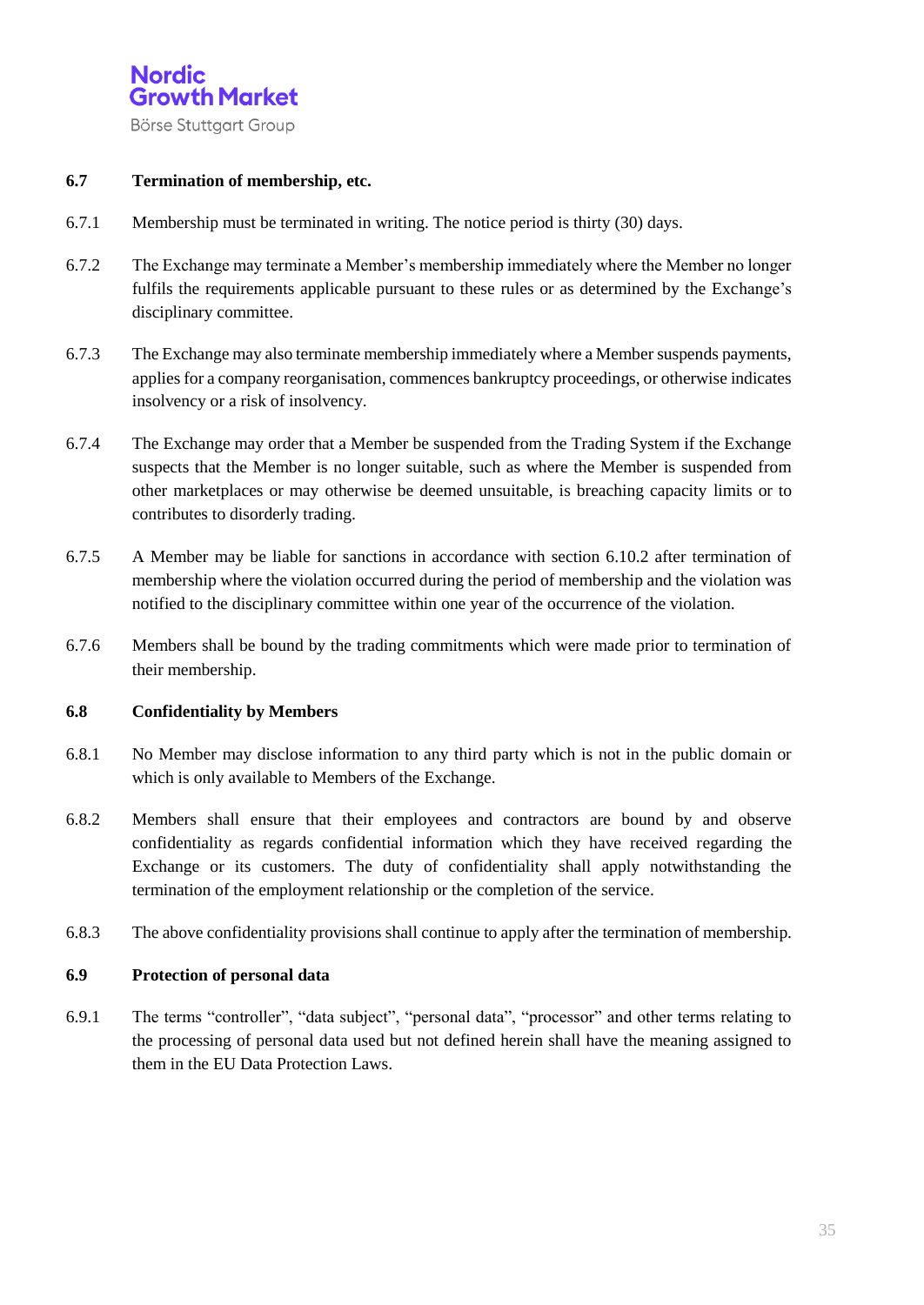

#### **6.7 Termination of membership, etc.**

- 6.7.1 Membership must be terminated in writing. The notice period is thirty (30) days.
- 6.7.2 The Exchange may terminate a Member's membership immediately where the Member no longer fulfils the requirements applicable pursuant to these rules or as determined by the Exchange's disciplinary committee.
- 6.7.3 The Exchange may also terminate membership immediately where a Member suspends payments, applies for a company reorganisation, commences bankruptcy proceedings, or otherwise indicates insolvency or a risk of insolvency.
- 6.7.4 The Exchange may order that a Member be suspended from the Trading System if the Exchange suspects that the Member is no longer suitable, such as where the Member is suspended from other marketplaces or may otherwise be deemed unsuitable, is breaching capacity limits or to contributes to disorderly trading.
- 6.7.5 A Member may be liable for sanctions in accordance with section 6.10.2 after termination of membership where the violation occurred during the period of membership and the violation was notified to the disciplinary committee within one year of the occurrence of the violation.
- 6.7.6 Members shall be bound by the trading commitments which were made prior to termination of their membership.

#### **6.8 Confidentiality by Members**

- 6.8.1 No Member may disclose information to any third party which is not in the public domain or which is only available to Members of the Exchange.
- 6.8.2 Members shall ensure that their employees and contractors are bound by and observe confidentiality as regards confidential information which they have received regarding the Exchange or its customers. The duty of confidentiality shall apply notwithstanding the termination of the employment relationship or the completion of the service.
- 6.8.3 The above confidentiality provisions shall continue to apply after the termination of membership.

#### **6.9 Protection of personal data**

6.9.1 The terms "controller", "data subject", "personal data", "processor" and other terms relating to the processing of personal data used but not defined herein shall have the meaning assigned to them in the EU Data Protection Laws.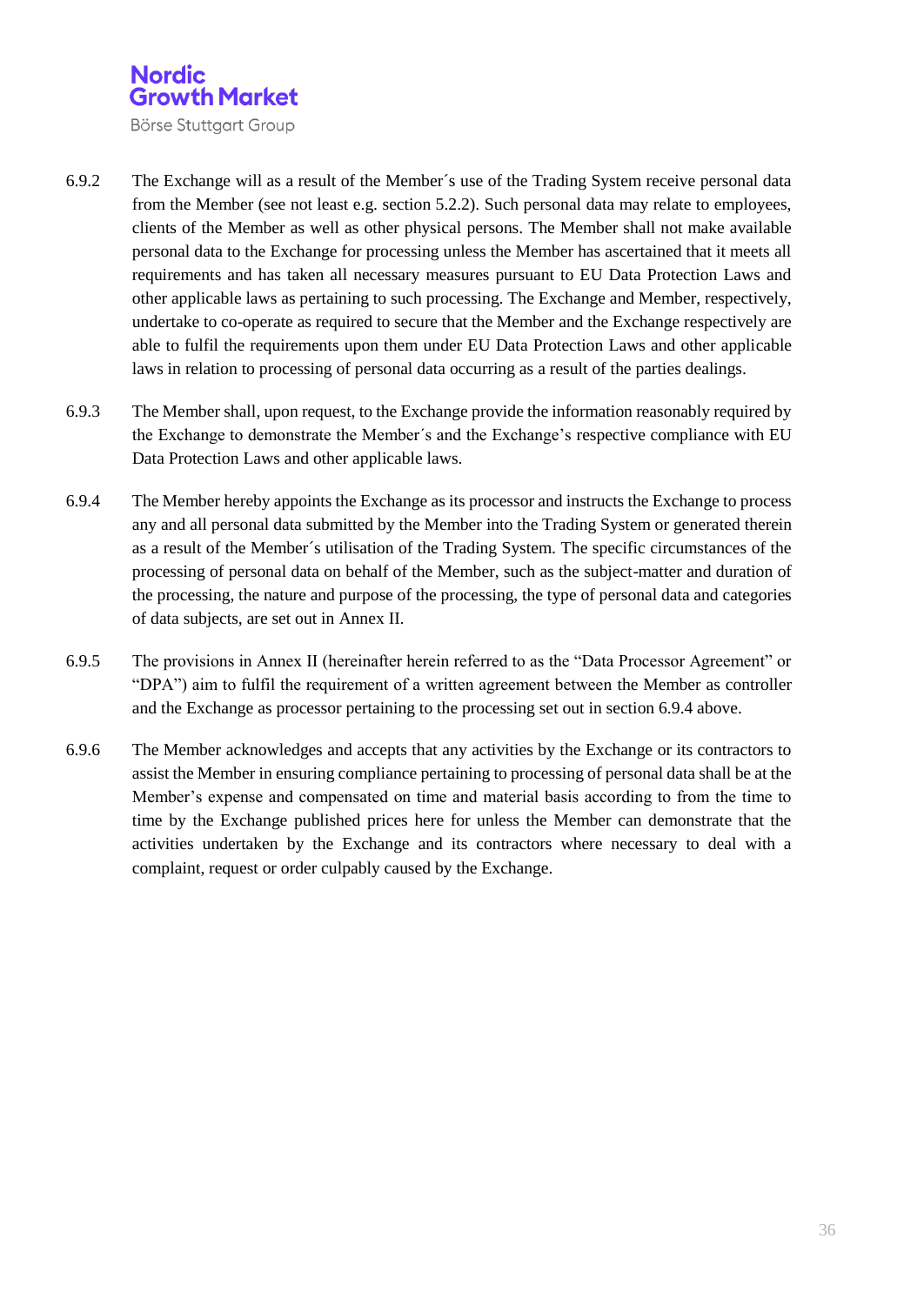

- 6.9.2 The Exchange will as a result of the Member´s use of the Trading System receive personal data from the Member (see not least e.g. section 5.2.2). Such personal data may relate to employees, clients of the Member as well as other physical persons. The Member shall not make available personal data to the Exchange for processing unless the Member has ascertained that it meets all requirements and has taken all necessary measures pursuant to EU Data Protection Laws and other applicable laws as pertaining to such processing. The Exchange and Member, respectively, undertake to co-operate as required to secure that the Member and the Exchange respectively are able to fulfil the requirements upon them under EU Data Protection Laws and other applicable laws in relation to processing of personal data occurring as a result of the parties dealings.
- 6.9.3 The Member shall, upon request, to the Exchange provide the information reasonably required by the Exchange to demonstrate the Member´s and the Exchange's respective compliance with EU Data Protection Laws and other applicable laws.
- 6.9.4 The Member hereby appoints the Exchange as its processor and instructs the Exchange to process any and all personal data submitted by the Member into the Trading System or generated therein as a result of the Member´s utilisation of the Trading System. The specific circumstances of the processing of personal data on behalf of the Member, such as the subject-matter and duration of the processing, the nature and purpose of the processing, the type of personal data and categories of data subjects, are set out in Annex II.
- 6.9.5 The provisions in Annex II (hereinafter herein referred to as the "Data Processor Agreement" or "DPA") aim to fulfil the requirement of a written agreement between the Member as controller and the Exchange as processor pertaining to the processing set out in section 6.9.4 above.
- 6.9.6 The Member acknowledges and accepts that any activities by the Exchange or its contractors to assist the Member in ensuring compliance pertaining to processing of personal data shall be at the Member's expense and compensated on time and material basis according to from the time to time by the Exchange published prices here for unless the Member can demonstrate that the activities undertaken by the Exchange and its contractors where necessary to deal with a complaint, request or order culpably caused by the Exchange.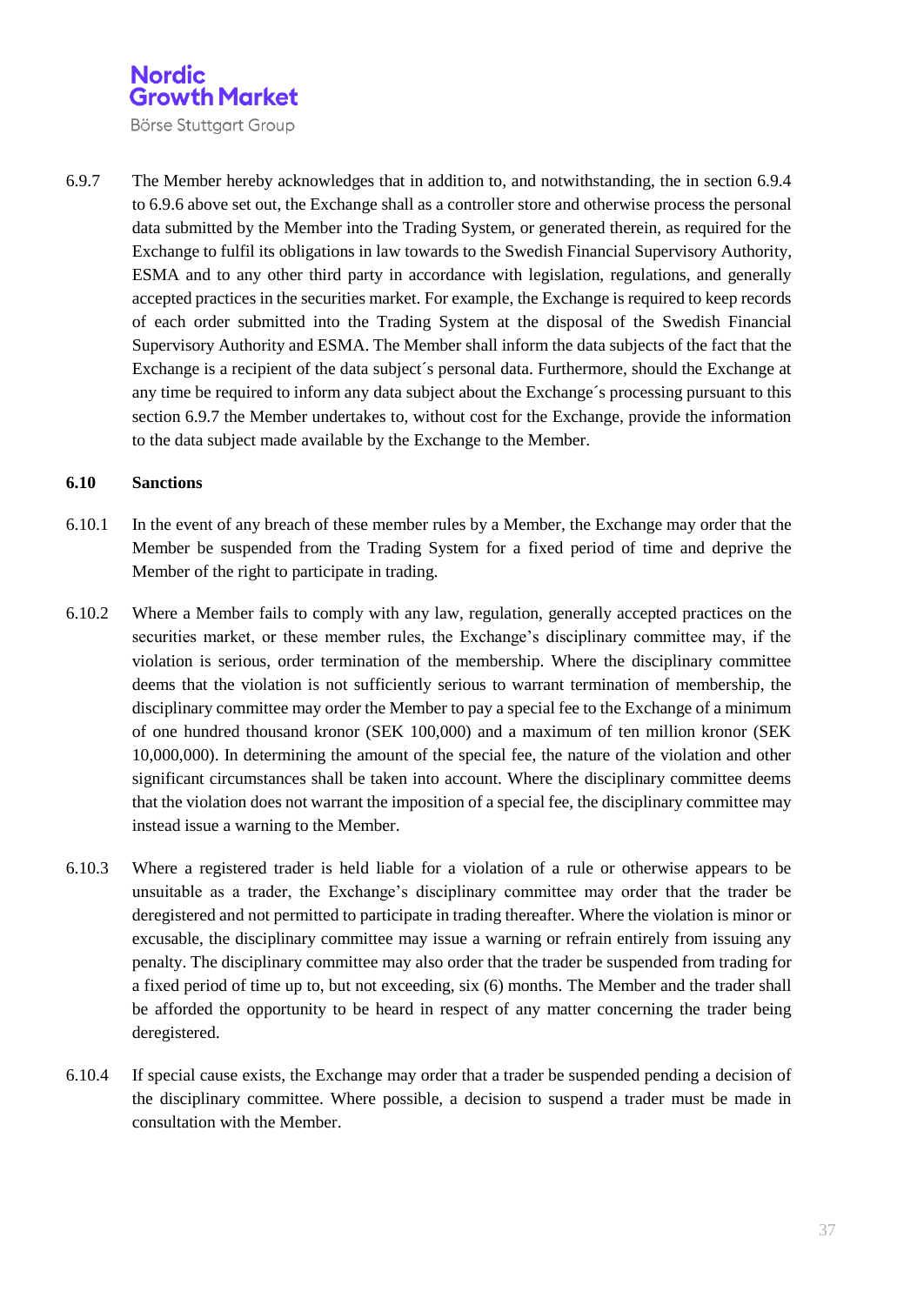Börse Stuttgart Group

6.9.7 The Member hereby acknowledges that in addition to, and notwithstanding, the in section 6.9.4 to 6.9.6 above set out, the Exchange shall as a controller store and otherwise process the personal data submitted by the Member into the Trading System, or generated therein, as required for the Exchange to fulfil its obligations in law towards to the Swedish Financial Supervisory Authority, ESMA and to any other third party in accordance with legislation, regulations, and generally accepted practices in the securities market. For example, the Exchange is required to keep records of each order submitted into the Trading System at the disposal of the Swedish Financial Supervisory Authority and ESMA. The Member shall inform the data subjects of the fact that the Exchange is a recipient of the data subject´s personal data. Furthermore, should the Exchange at any time be required to inform any data subject about the Exchange´s processing pursuant to this section 6.9.7 the Member undertakes to, without cost for the Exchange, provide the information to the data subject made available by the Exchange to the Member.

#### **6.10 Sanctions**

- 6.10.1 In the event of any breach of these member rules by a Member, the Exchange may order that the Member be suspended from the Trading System for a fixed period of time and deprive the Member of the right to participate in trading.
- 6.10.2 Where a Member fails to comply with any law, regulation, generally accepted practices on the securities market, or these member rules, the Exchange's disciplinary committee may, if the violation is serious, order termination of the membership. Where the disciplinary committee deems that the violation is not sufficiently serious to warrant termination of membership, the disciplinary committee may order the Member to pay a special fee to the Exchange of a minimum of one hundred thousand kronor (SEK 100,000) and a maximum of ten million kronor (SEK 10,000,000). In determining the amount of the special fee, the nature of the violation and other significant circumstances shall be taken into account. Where the disciplinary committee deems that the violation does not warrant the imposition of a special fee, the disciplinary committee may instead issue a warning to the Member.
- 6.10.3 Where a registered trader is held liable for a violation of a rule or otherwise appears to be unsuitable as a trader, the Exchange's disciplinary committee may order that the trader be deregistered and not permitted to participate in trading thereafter. Where the violation is minor or excusable, the disciplinary committee may issue a warning or refrain entirely from issuing any penalty. The disciplinary committee may also order that the trader be suspended from trading for a fixed period of time up to, but not exceeding, six (6) months. The Member and the trader shall be afforded the opportunity to be heard in respect of any matter concerning the trader being deregistered.
- 6.10.4 If special cause exists, the Exchange may order that a trader be suspended pending a decision of the disciplinary committee. Where possible, a decision to suspend a trader must be made in consultation with the Member.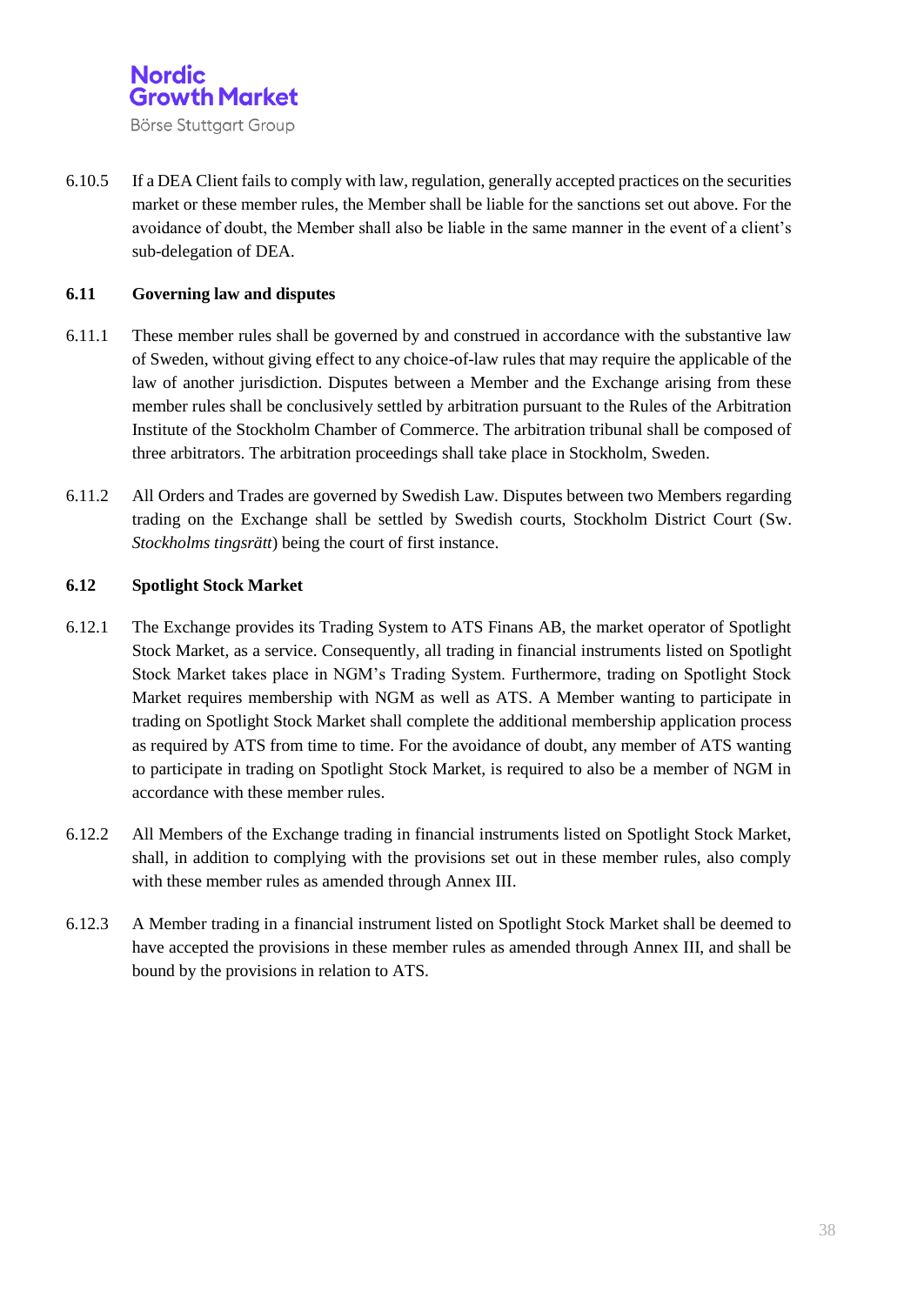

6.10.5 If a DEA Client fails to comply with law, regulation, generally accepted practices on the securities market or these member rules, the Member shall be liable for the sanctions set out above. For the avoidance of doubt, the Member shall also be liable in the same manner in the event of a client's sub-delegation of DEA.

#### **6.11 Governing law and disputes**

- 6.11.1 These member rules shall be governed by and construed in accordance with the substantive law of Sweden, without giving effect to any choice-of-law rules that may require the applicable of the law of another jurisdiction. Disputes between a Member and the Exchange arising from these member rules shall be conclusively settled by arbitration pursuant to the Rules of the Arbitration Institute of the Stockholm Chamber of Commerce. The arbitration tribunal shall be composed of three arbitrators. The arbitration proceedings shall take place in Stockholm, Sweden.
- 6.11.2 All Orders and Trades are governed by Swedish Law. Disputes between two Members regarding trading on the Exchange shall be settled by Swedish courts, Stockholm District Court (Sw. *Stockholms tingsrätt*) being the court of first instance.

#### **6.12 Spotlight Stock Market**

- 6.12.1 The Exchange provides its Trading System to ATS Finans AB, the market operator of Spotlight Stock Market, as a service. Consequently, all trading in financial instruments listed on Spotlight Stock Market takes place in NGM's Trading System. Furthermore, trading on Spotlight Stock Market requires membership with NGM as well as ATS. A Member wanting to participate in trading on Spotlight Stock Market shall complete the additional membership application process as required by ATS from time to time. For the avoidance of doubt, any member of ATS wanting to participate in trading on Spotlight Stock Market, is required to also be a member of NGM in accordance with these member rules.
- 6.12.2 All Members of the Exchange trading in financial instruments listed on Spotlight Stock Market, shall, in addition to complying with the provisions set out in these member rules, also comply with these member rules as amended through Annex III.
- 6.12.3 A Member trading in a financial instrument listed on Spotlight Stock Market shall be deemed to have accepted the provisions in these member rules as amended through Annex III, and shall be bound by the provisions in relation to ATS.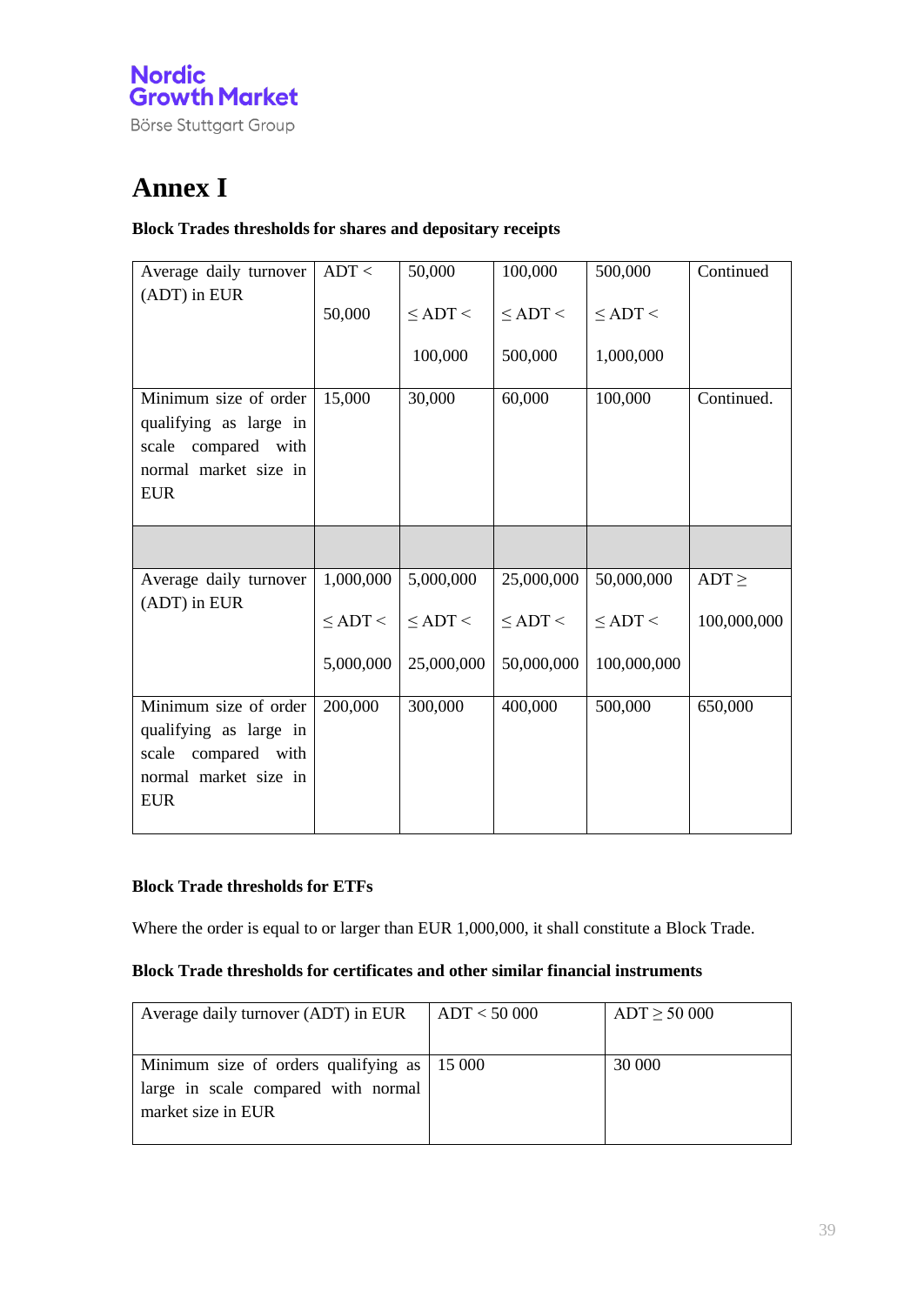

## **Annex I**

#### **Block Trades thresholds for shares and depositary receipts**

| Average daily turnover | ADT <           | 50,000          | 100,000         | 500,000         | Continued   |
|------------------------|-----------------|-----------------|-----------------|-----------------|-------------|
| (ADT) in EUR           | 50,000          | $\le$ ADT $\le$ | $\le$ ADT $\le$ | $\le$ ADT $\le$ |             |
|                        |                 |                 |                 |                 |             |
|                        |                 | 100,000         | 500,000         | 1,000,000       |             |
| Minimum size of order  | 15,000          | 30,000          | 60,000          | 100,000         | Continued.  |
| qualifying as large in |                 |                 |                 |                 |             |
| scale compared with    |                 |                 |                 |                 |             |
| normal market size in  |                 |                 |                 |                 |             |
| <b>EUR</b>             |                 |                 |                 |                 |             |
|                        |                 |                 |                 |                 |             |
|                        |                 |                 |                 |                 |             |
| Average daily turnover | 1,000,000       | 5,000,000       | 25,000,000      | 50,000,000      | $ADT \geq$  |
| (ADT) in EUR           | $\le$ ADT $\le$ | $\le$ ADT $\le$ | $\le$ ADT $\le$ | $\le$ ADT $\le$ | 100,000,000 |
|                        | 5,000,000       | 25,000,000      | 50,000,000      | 100,000,000     |             |
| Minimum size of order  |                 | 300,000         | 400,000         |                 |             |
|                        | 200,000         |                 |                 | 500,000         | 650,000     |
| qualifying as large in |                 |                 |                 |                 |             |
| scale compared with    |                 |                 |                 |                 |             |
| normal market size in  |                 |                 |                 |                 |             |
| <b>EUR</b>             |                 |                 |                 |                 |             |
|                        |                 |                 |                 |                 |             |

#### **Block Trade thresholds for ETFs**

Where the order is equal to or larger than EUR 1,000,000, it shall constitute a Block Trade.

#### **Block Trade thresholds for certificates and other similar financial instruments**

| Average daily turnover (ADT) in EUR                 | ADT < 50000 | $ADT \ge 50000$ |
|-----------------------------------------------------|-------------|-----------------|
|                                                     |             |                 |
| Minimum size of orders qualifying as $\vert$ 15 000 |             | 30 000          |
| large in scale compared with normal                 |             |                 |
| market size in EUR                                  |             |                 |
|                                                     |             |                 |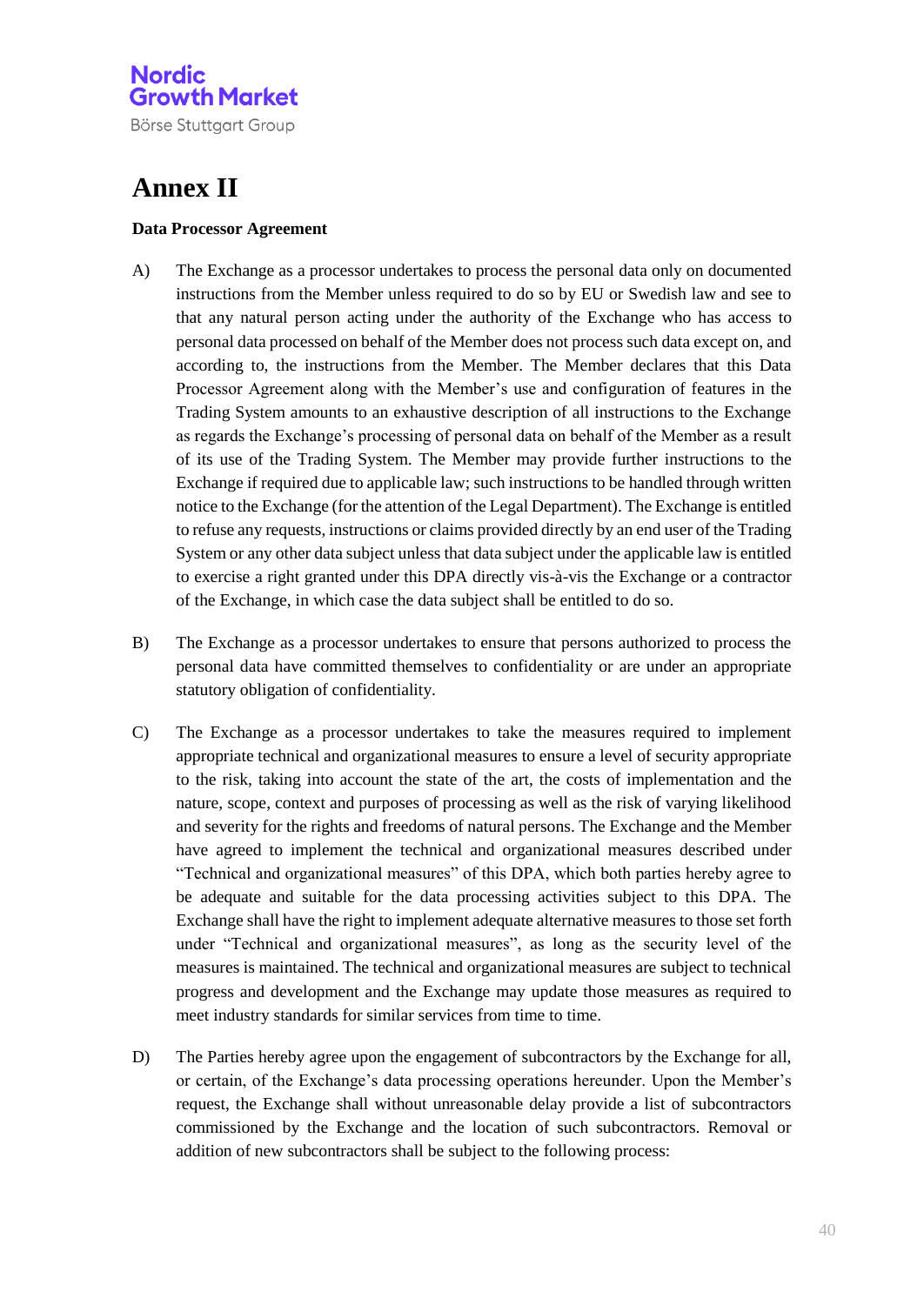Börse Stuttgart Group

## **Annex II**

#### **Data Processor Agreement**

- A) The Exchange as a processor undertakes to process the personal data only on documented instructions from the Member unless required to do so by EU or Swedish law and see to that any natural person acting under the authority of the Exchange who has access to personal data processed on behalf of the Member does not process such data except on, and according to, the instructions from the Member. The Member declares that this Data Processor Agreement along with the Member's use and configuration of features in the Trading System amounts to an exhaustive description of all instructions to the Exchange as regards the Exchange's processing of personal data on behalf of the Member as a result of its use of the Trading System. The Member may provide further instructions to the Exchange if required due to applicable law; such instructions to be handled through written notice to the Exchange (for the attention of the Legal Department). The Exchange is entitled to refuse any requests, instructions or claims provided directly by an end user of the Trading System or any other data subject unless that data subject under the applicable law is entitled to exercise a right granted under this DPA directly vis-à-vis the Exchange or a contractor of the Exchange, in which case the data subject shall be entitled to do so.
- B) The Exchange as a processor undertakes to ensure that persons authorized to process the personal data have committed themselves to confidentiality or are under an appropriate statutory obligation of confidentiality.
- C) The Exchange as a processor undertakes to take the measures required to implement appropriate technical and organizational measures to ensure a level of security appropriate to the risk, taking into account the state of the art, the costs of implementation and the nature, scope, context and purposes of processing as well as the risk of varying likelihood and severity for the rights and freedoms of natural persons. The Exchange and the Member have agreed to implement the technical and organizational measures described under "Technical and organizational measures" of this DPA, which both parties hereby agree to be adequate and suitable for the data processing activities subject to this DPA. The Exchange shall have the right to implement adequate alternative measures to those set forth under "Technical and organizational measures", as long as the security level of the measures is maintained. The technical and organizational measures are subject to technical progress and development and the Exchange may update those measures as required to meet industry standards for similar services from time to time.
- D) The Parties hereby agree upon the engagement of subcontractors by the Exchange for all, or certain, of the Exchange's data processing operations hereunder. Upon the Member's request, the Exchange shall without unreasonable delay provide a list of subcontractors commissioned by the Exchange and the location of such subcontractors. Removal or addition of new subcontractors shall be subject to the following process: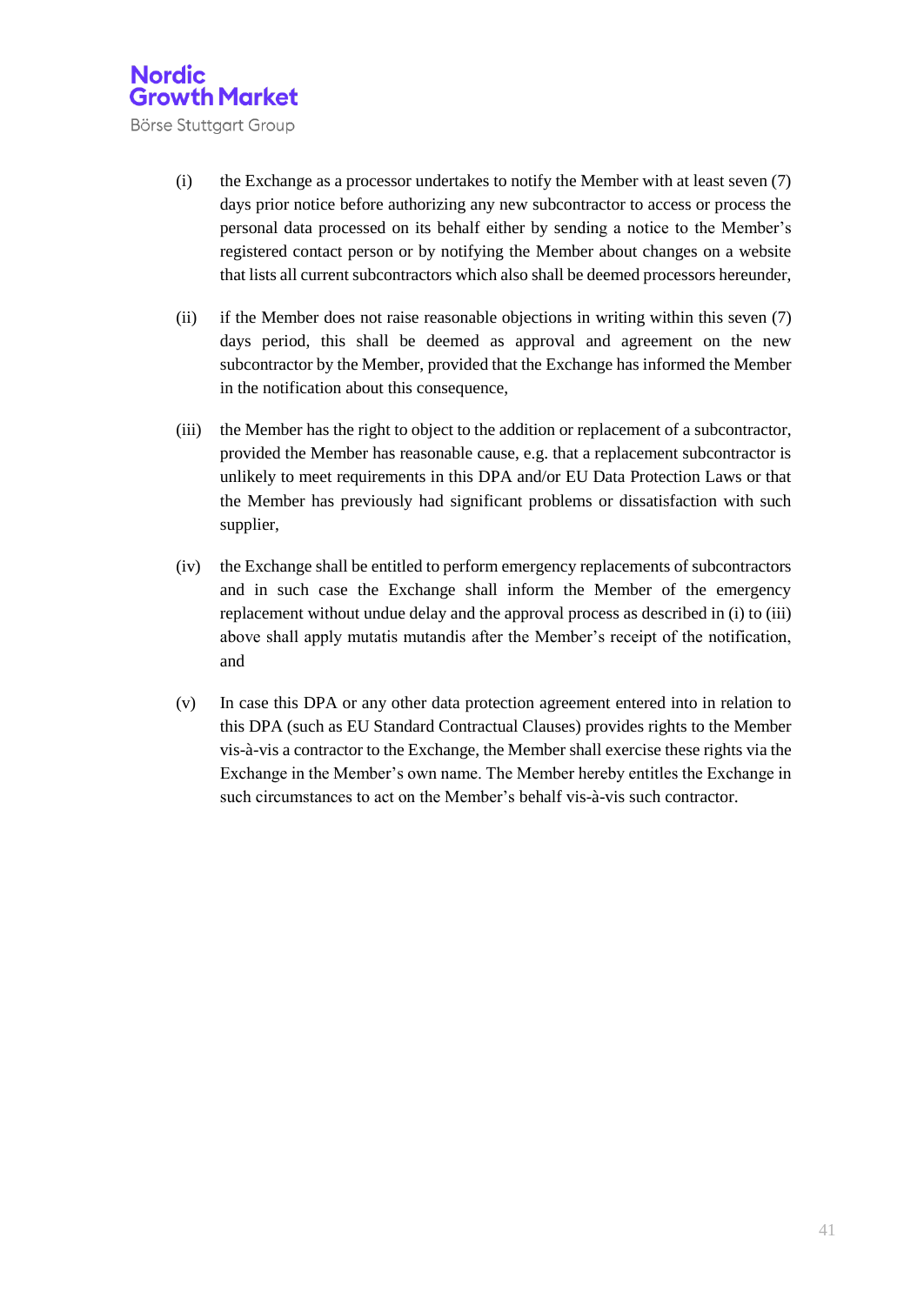

- (i) the Exchange as a processor undertakes to notify the Member with at least seven (7) days prior notice before authorizing any new subcontractor to access or process the personal data processed on its behalf either by sending a notice to the Member's registered contact person or by notifying the Member about changes on a website that lists all current subcontractors which also shall be deemed processors hereunder,
- (ii) if the Member does not raise reasonable objections in writing within this seven (7) days period, this shall be deemed as approval and agreement on the new subcontractor by the Member, provided that the Exchange has informed the Member in the notification about this consequence,
- (iii) the Member has the right to object to the addition or replacement of a subcontractor, provided the Member has reasonable cause, e.g. that a replacement subcontractor is unlikely to meet requirements in this DPA and/or EU Data Protection Laws or that the Member has previously had significant problems or dissatisfaction with such supplier,
- (iv) the Exchange shall be entitled to perform emergency replacements of subcontractors and in such case the Exchange shall inform the Member of the emergency replacement without undue delay and the approval process as described in (i) to (iii) above shall apply mutatis mutandis after the Member's receipt of the notification, and
- (v) In case this DPA or any other data protection agreement entered into in relation to this DPA (such as EU Standard Contractual Clauses) provides rights to the Member vis-à-vis a contractor to the Exchange, the Member shall exercise these rights via the Exchange in the Member's own name. The Member hereby entitles the Exchange in such circumstances to act on the Member's behalf vis-à-vis such contractor.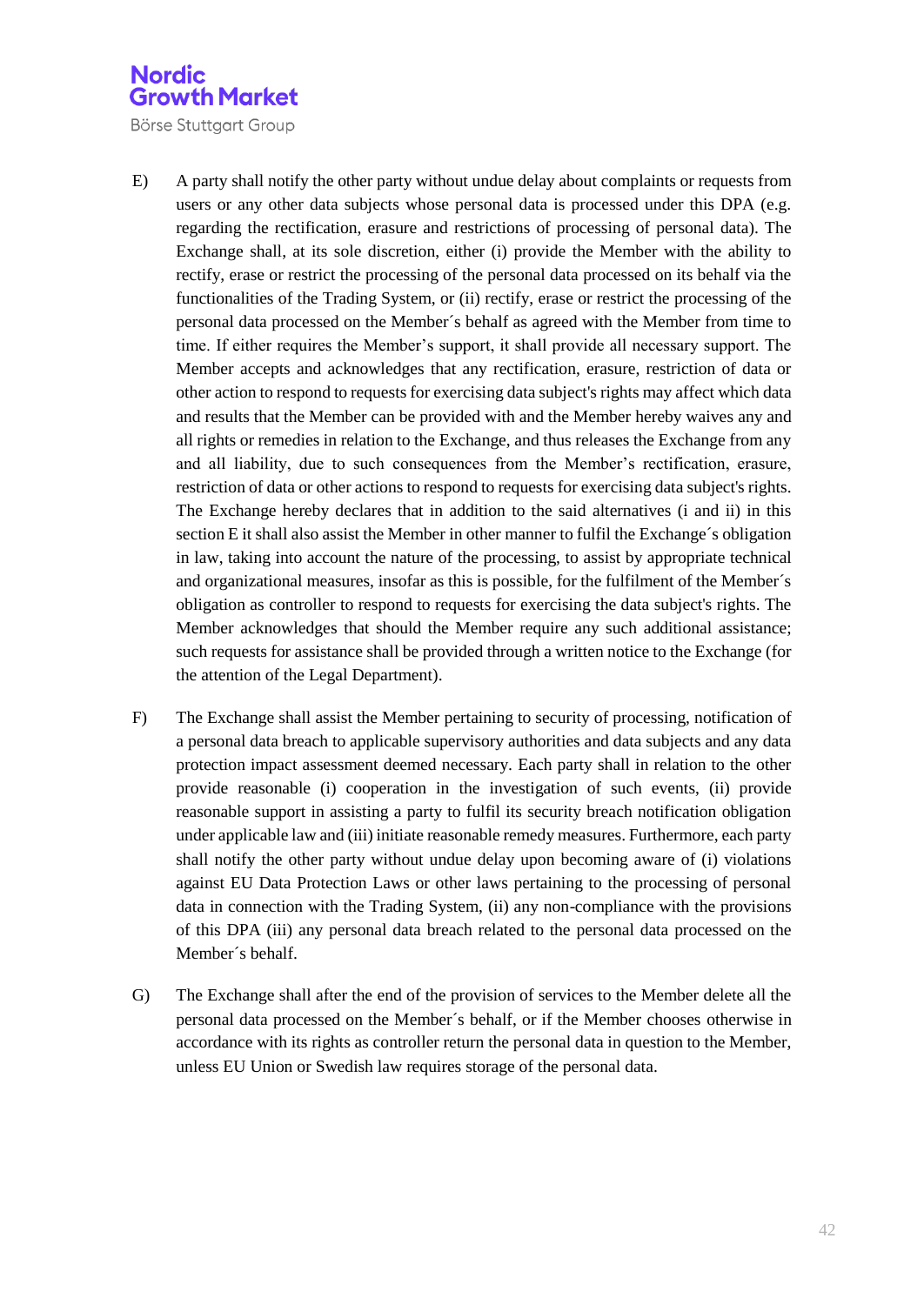- E) A party shall notify the other party without undue delay about complaints or requests from users or any other data subjects whose personal data is processed under this DPA (e.g. regarding the rectification, erasure and restrictions of processing of personal data). The Exchange shall, at its sole discretion, either (i) provide the Member with the ability to rectify, erase or restrict the processing of the personal data processed on its behalf via the functionalities of the Trading System, or (ii) rectify, erase or restrict the processing of the personal data processed on the Member´s behalf as agreed with the Member from time to time. If either requires the Member's support, it shall provide all necessary support. The Member accepts and acknowledges that any rectification, erasure, restriction of data or other action to respond to requests for exercising data subject's rights may affect which data and results that the Member can be provided with and the Member hereby waives any and all rights or remedies in relation to the Exchange, and thus releases the Exchange from any and all liability, due to such consequences from the Member's rectification, erasure, restriction of data or other actions to respond to requests for exercising data subject's rights. The Exchange hereby declares that in addition to the said alternatives (i and ii) in this section E it shall also assist the Member in other manner to fulfil the Exchange´s obligation in law, taking into account the nature of the processing, to assist by appropriate technical and organizational measures, insofar as this is possible, for the fulfilment of the Member´s obligation as controller to respond to requests for exercising the data subject's rights. The Member acknowledges that should the Member require any such additional assistance; such requests for assistance shall be provided through a written notice to the Exchange (for the attention of the Legal Department).
- F) The Exchange shall assist the Member pertaining to security of processing, notification of a personal data breach to applicable supervisory authorities and data subjects and any data protection impact assessment deemed necessary. Each party shall in relation to the other provide reasonable (i) cooperation in the investigation of such events, (ii) provide reasonable support in assisting a party to fulfil its security breach notification obligation under applicable law and (iii) initiate reasonable remedy measures. Furthermore, each party shall notify the other party without undue delay upon becoming aware of (i) violations against EU Data Protection Laws or other laws pertaining to the processing of personal data in connection with the Trading System, (ii) any non-compliance with the provisions of this DPA (iii) any personal data breach related to the personal data processed on the Member´s behalf.
- G) The Exchange shall after the end of the provision of services to the Member delete all the personal data processed on the Member´s behalf, or if the Member chooses otherwise in accordance with its rights as controller return the personal data in question to the Member, unless EU Union or Swedish law requires storage of the personal data.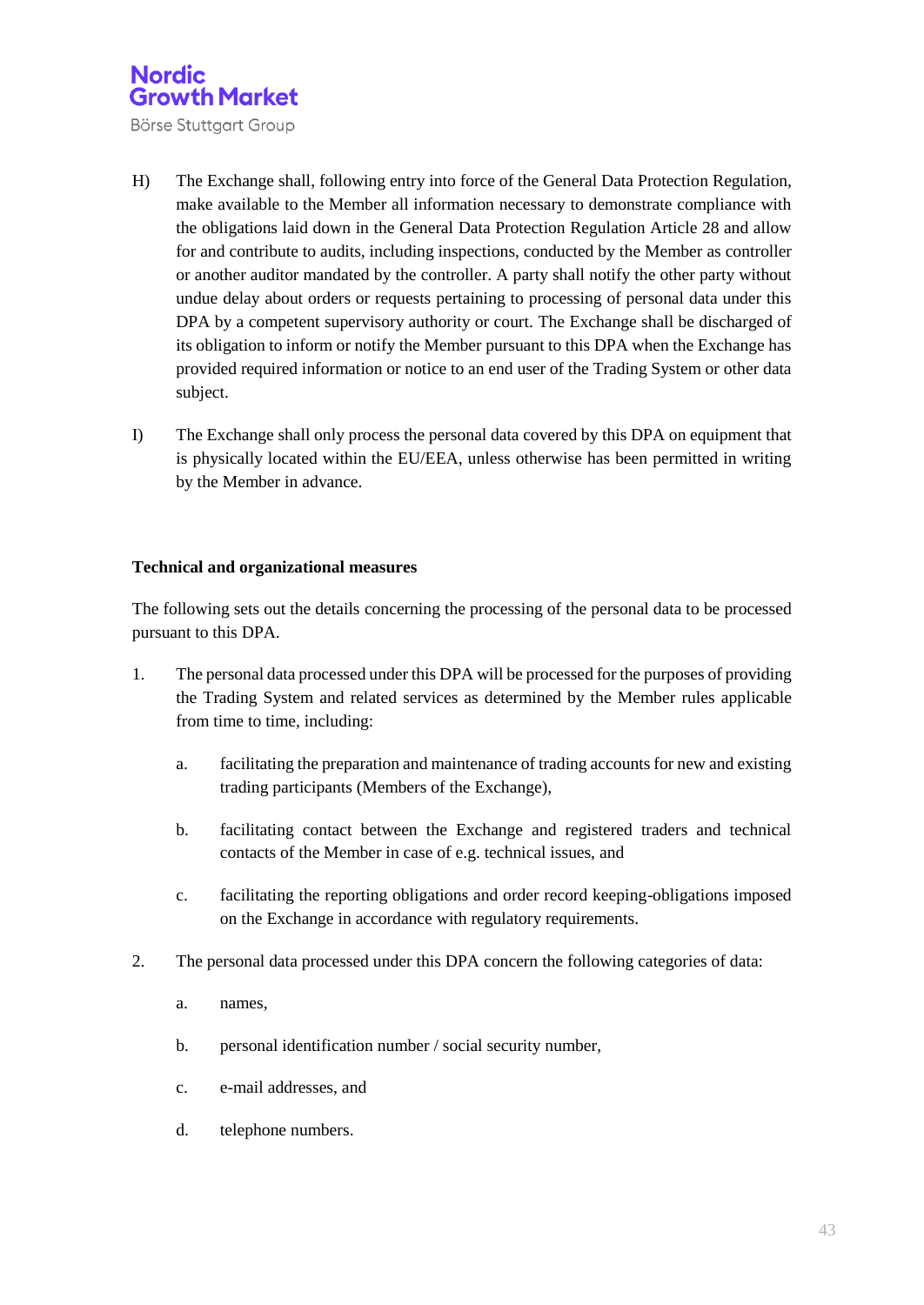Börse Stuttgart Group

- H) The Exchange shall, following entry into force of the General Data Protection Regulation, make available to the Member all information necessary to demonstrate compliance with the obligations laid down in the General Data Protection Regulation Article 28 and allow for and contribute to audits, including inspections, conducted by the Member as controller or another auditor mandated by the controller. A party shall notify the other party without undue delay about orders or requests pertaining to processing of personal data under this DPA by a competent supervisory authority or court. The Exchange shall be discharged of its obligation to inform or notify the Member pursuant to this DPA when the Exchange has provided required information or notice to an end user of the Trading System or other data subject.
- I) The Exchange shall only process the personal data covered by this DPA on equipment that is physically located within the EU/EEA, unless otherwise has been permitted in writing by the Member in advance.

#### **Technical and organizational measures**

The following sets out the details concerning the processing of the personal data to be processed pursuant to this DPA.

- 1. The personal data processed under this DPA will be processed for the purposes of providing the Trading System and related services as determined by the Member rules applicable from time to time, including:
	- a. facilitating the preparation and maintenance of trading accounts for new and existing trading participants (Members of the Exchange),
	- b. facilitating contact between the Exchange and registered traders and technical contacts of the Member in case of e.g. technical issues, and
	- c. facilitating the reporting obligations and order record keeping-obligations imposed on the Exchange in accordance with regulatory requirements.
- 2. The personal data processed under this DPA concern the following categories of data:
	- a. names,
	- b. personal identification number / social security number,
	- c. e-mail addresses, and
	- d. telephone numbers.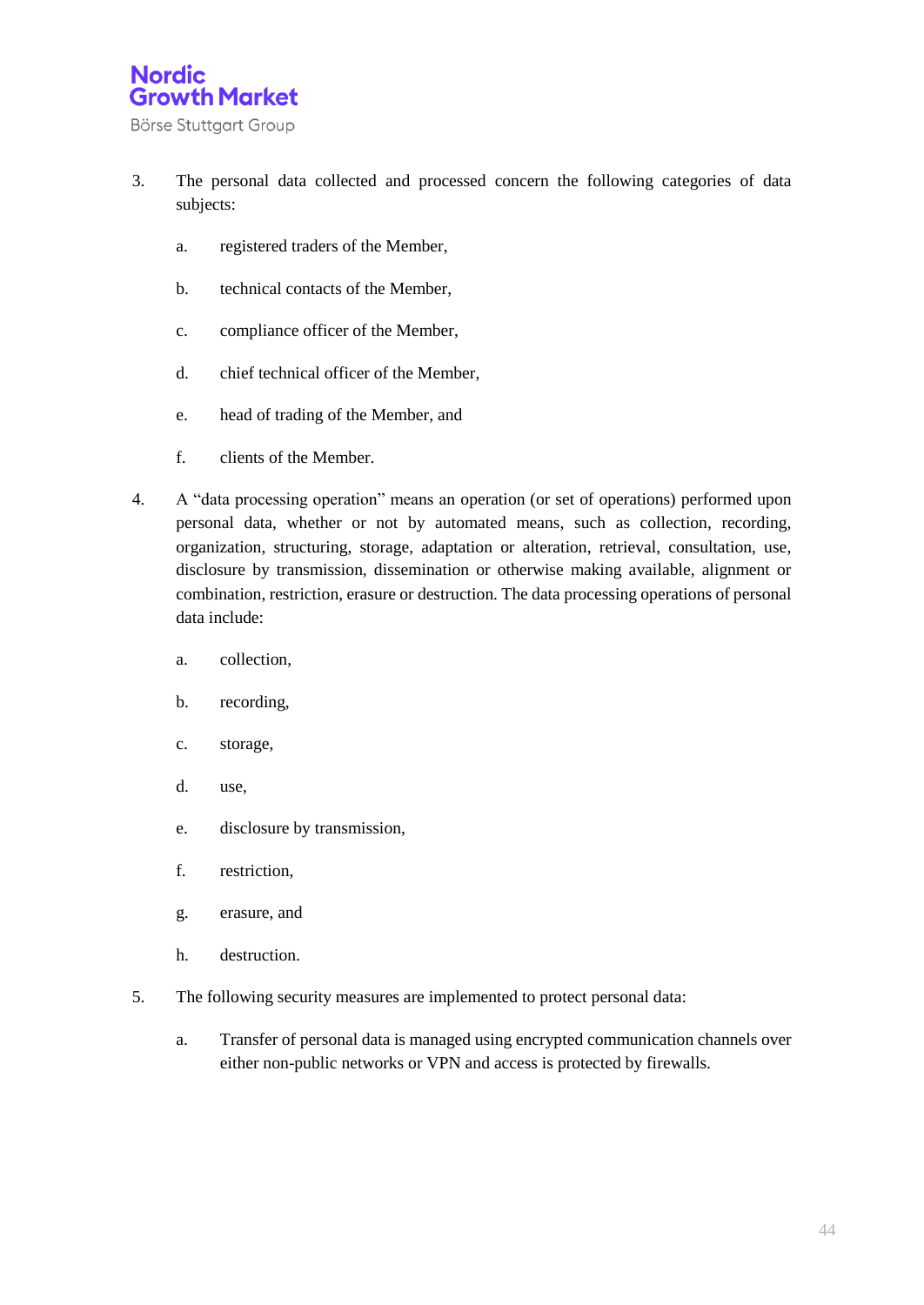- 3. The personal data collected and processed concern the following categories of data subjects:
	- a. registered traders of the Member,
	- b. technical contacts of the Member,
	- c. compliance officer of the Member,
	- d. chief technical officer of the Member,
	- e. head of trading of the Member, and
	- f. clients of the Member.
- 4. A "data processing operation" means an operation (or set of operations) performed upon personal data, whether or not by automated means, such as collection, recording, organization, structuring, storage, adaptation or alteration, retrieval, consultation, use, disclosure by transmission, dissemination or otherwise making available, alignment or combination, restriction, erasure or destruction. The data processing operations of personal data include:
	- a. collection,
	- b. recording,
	- c. storage,
	- d. use,
	- e. disclosure by transmission,
	- f. restriction,
	- g. erasure, and
	- h. destruction.
- 5. The following security measures are implemented to protect personal data:
	- a. Transfer of personal data is managed using encrypted communication channels over either non-public networks or VPN and access is protected by firewalls.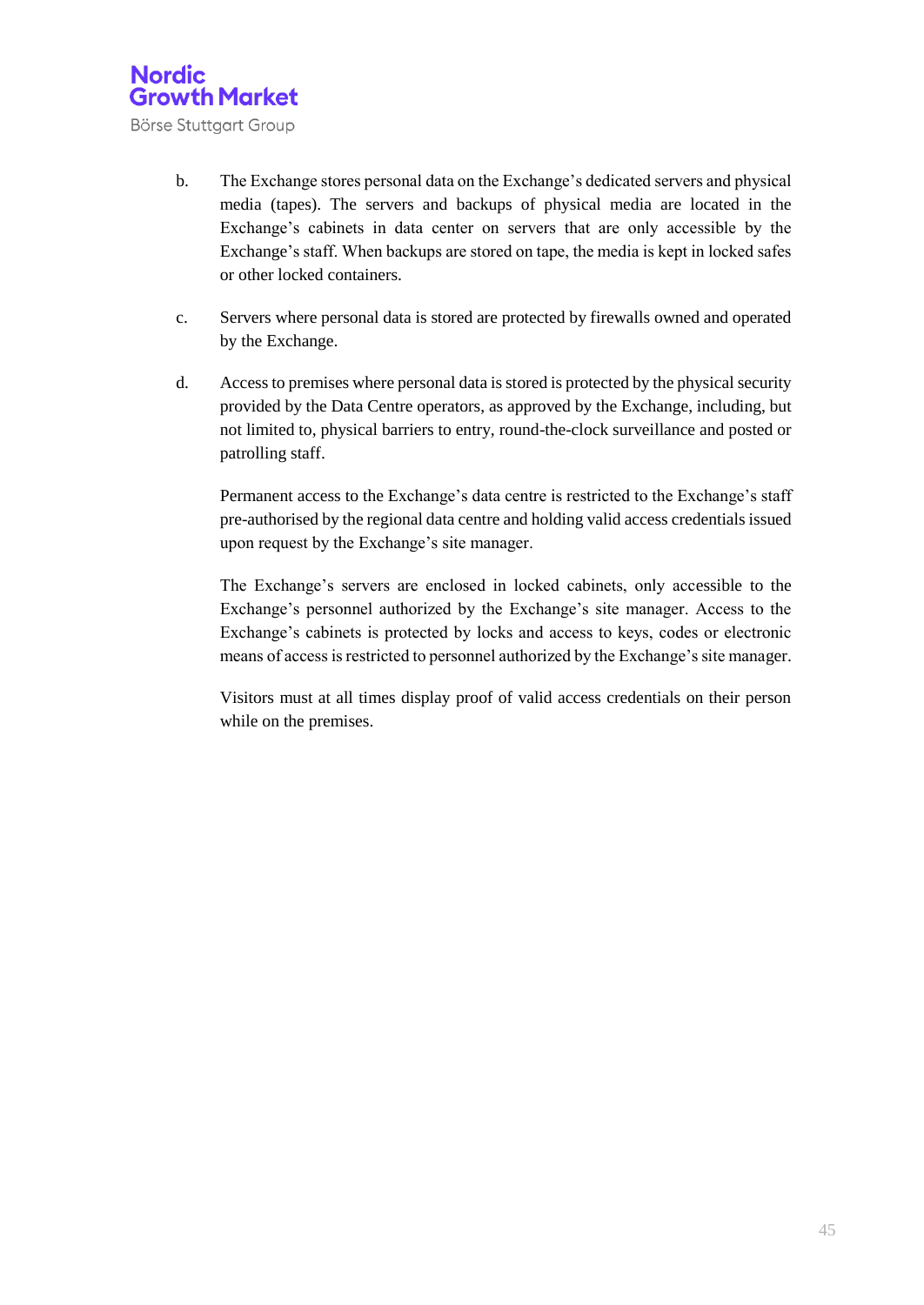

- b. The Exchange stores personal data on the Exchange's dedicated servers and physical media (tapes). The servers and backups of physical media are located in the Exchange's cabinets in data center on servers that are only accessible by the Exchange's staff. When backups are stored on tape, the media is kept in locked safes or other locked containers.
- c. Servers where personal data is stored are protected by firewalls owned and operated by the Exchange.
- d. Access to premises where personal data is stored is protected by the physical security provided by the Data Centre operators, as approved by the Exchange, including, but not limited to, physical barriers to entry, round-the-clock surveillance and posted or patrolling staff.

Permanent access to the Exchange's data centre is restricted to the Exchange's staff pre-authorised by the regional data centre and holding valid access credentials issued upon request by the Exchange's site manager.

The Exchange's servers are enclosed in locked cabinets, only accessible to the Exchange's personnel authorized by the Exchange's site manager. Access to the Exchange's cabinets is protected by locks and access to keys, codes or electronic means of access is restricted to personnel authorized by the Exchange's site manager.

Visitors must at all times display proof of valid access credentials on their person while on the premises.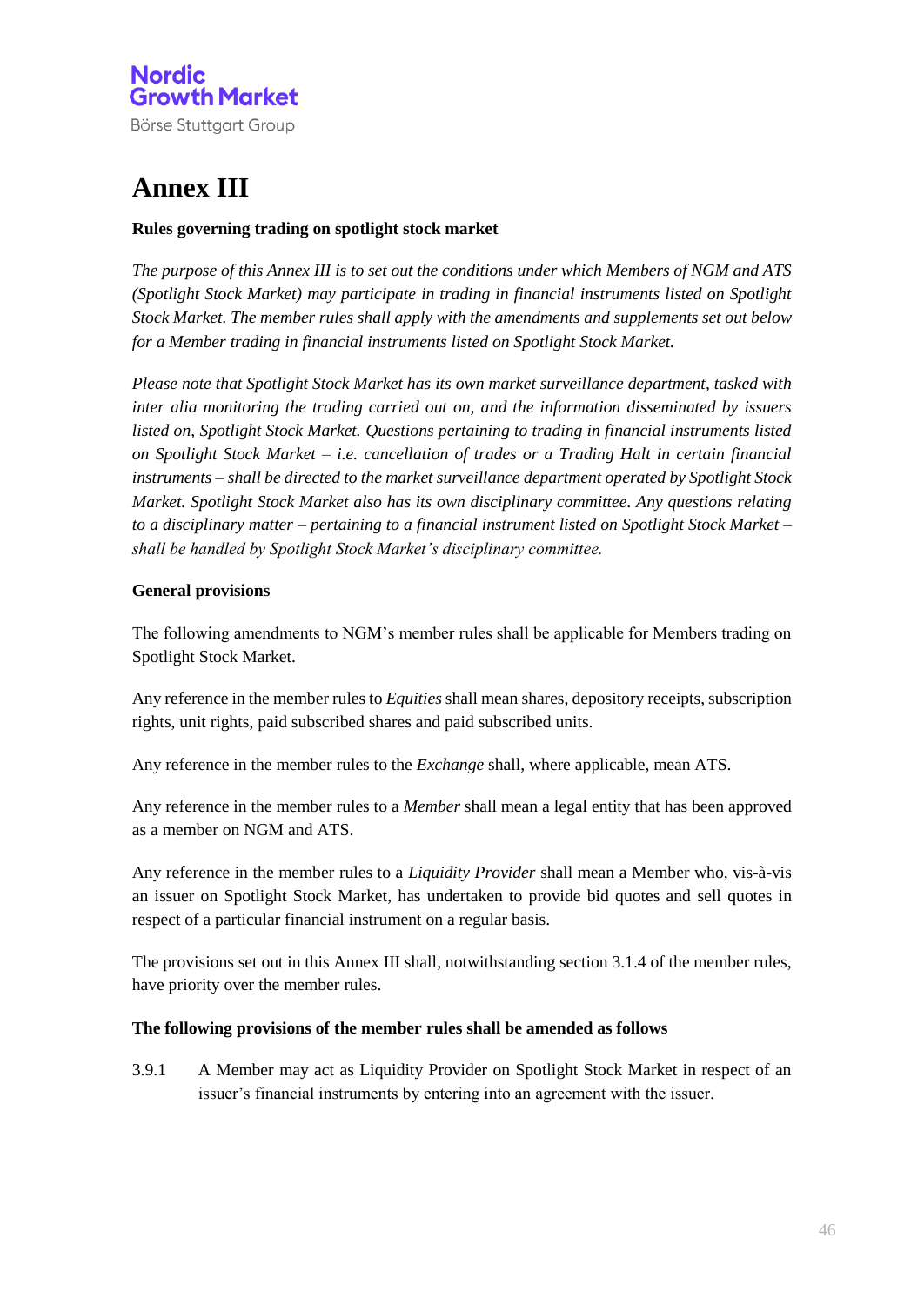

## **Annex III**

#### **Rules governing trading on spotlight stock market**

*The purpose of this Annex III is to set out the conditions under which Members of NGM and ATS (Spotlight Stock Market) may participate in trading in financial instruments listed on Spotlight Stock Market. The member rules shall apply with the amendments and supplements set out below for a Member trading in financial instruments listed on Spotlight Stock Market.* 

*Please note that Spotlight Stock Market has its own market surveillance department, tasked with inter alia monitoring the trading carried out on, and the information disseminated by issuers listed on, Spotlight Stock Market. Questions pertaining to trading in financial instruments listed on Spotlight Stock Market – i.e. cancellation of trades or a Trading Halt in certain financial instruments – shall be directed to the market surveillance department operated by Spotlight Stock Market. Spotlight Stock Market also has its own disciplinary committee. Any questions relating to a disciplinary matter – pertaining to a financial instrument listed on Spotlight Stock Market – shall be handled by Spotlight Stock Market's disciplinary committee.* 

#### **General provisions**

The following amendments to NGM's member rules shall be applicable for Members trading on Spotlight Stock Market.

Any reference in the member rules to *Equities* shall mean shares, depository receipts, subscription rights, unit rights, paid subscribed shares and paid subscribed units.

Any reference in the member rules to the *Exchange* shall, where applicable, mean ATS.

Any reference in the member rules to a *Member* shall mean a legal entity that has been approved as a member on NGM and ATS.

Any reference in the member rules to a *Liquidity Provider* shall mean a Member who, vis-à-vis an issuer on Spotlight Stock Market, has undertaken to provide bid quotes and sell quotes in respect of a particular financial instrument on a regular basis.

The provisions set out in this Annex III shall, notwithstanding section 3.1.4 of the member rules, have priority over the member rules.

#### **The following provisions of the member rules shall be amended as follows**

3.9.1 A Member may act as Liquidity Provider on Spotlight Stock Market in respect of an issuer's financial instruments by entering into an agreement with the issuer.